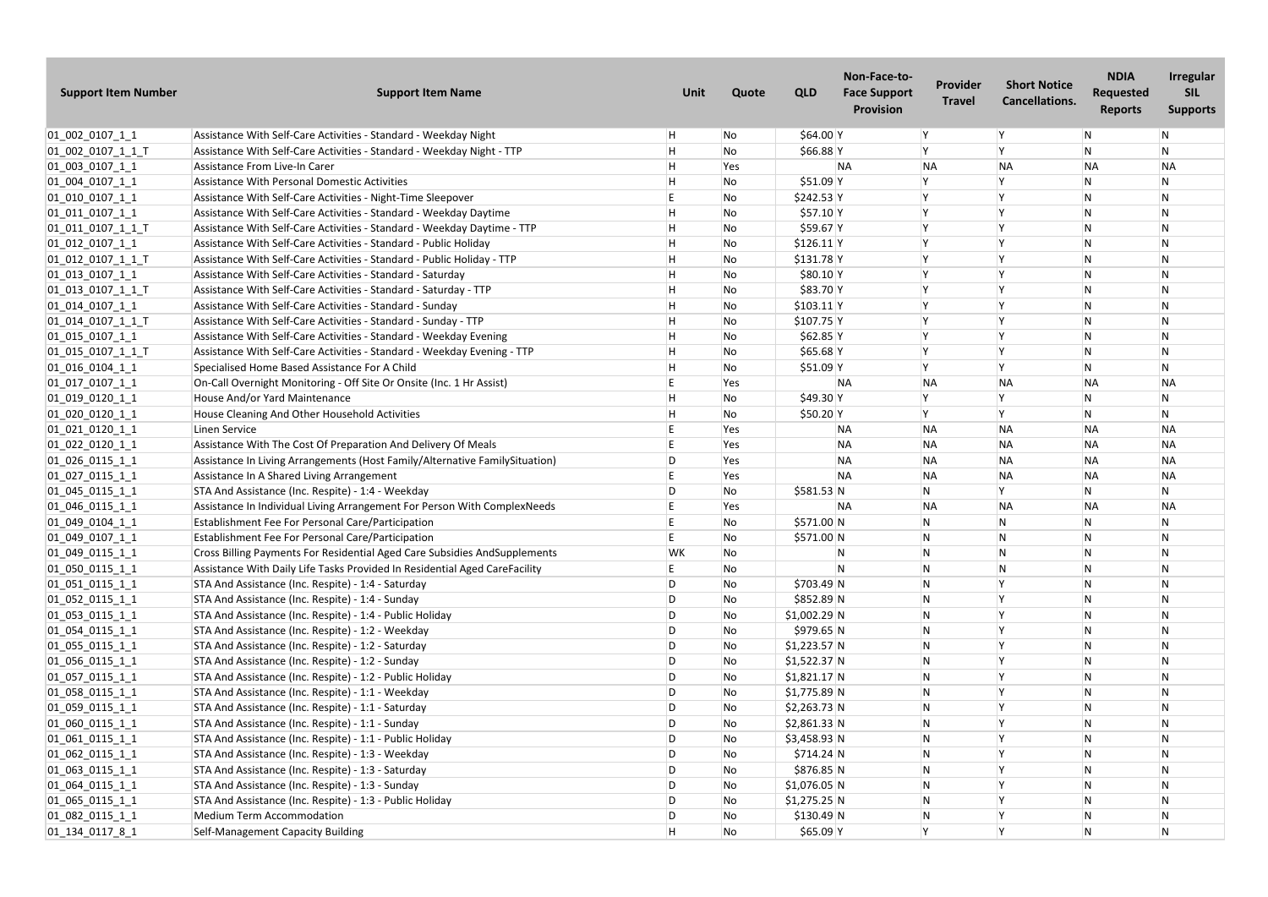| <b>Support Item Number</b>  | <b>Support Item Name</b>                                                    | Unit      | Quote | <b>QLD</b>    | Non-Face-to-<br><b>Face Support</b><br><b>Provision</b> | <b>Provider</b><br><b>Travel</b> | <b>Short Notice</b><br><b>Cancellations.</b> | <b>NDIA</b><br><b>Requested</b><br><b>Reports</b> | <b>Irregular</b><br><b>SIL</b><br><b>Supports</b> |
|-----------------------------|-----------------------------------------------------------------------------|-----------|-------|---------------|---------------------------------------------------------|----------------------------------|----------------------------------------------|---------------------------------------------------|---------------------------------------------------|
| $01_002_0107_11$            | Assistance With Self-Care Activities - Standard - Weekday Night             |           | No    | \$64.00 Y     |                                                         | lY.                              | $\mathsf{Y}$                                 | $\mathsf{N}$                                      | $\mathsf{N}$                                      |
| 01_002_0107_1_1_T           | Assistance With Self-Care Activities - Standard - Weekday Night - TTP       |           | No    | $$66.88$ Y    |                                                         | <b>V</b>                         | l v                                          | N                                                 | N                                                 |
| 01_003_0107_1_1             | Assistance From Live-In Carer                                               |           | Yes   |               | <b>NA</b>                                               | <b>NA</b>                        | <b>NA</b>                                    | <b>NA</b>                                         | <b>NA</b>                                         |
| 01_004_0107_1_1             | Assistance With Personal Domestic Activities                                |           | No    | $$51.09$ Y    |                                                         |                                  | ١v                                           | $\mathsf{N}$                                      | N                                                 |
| $[01]$ $010$ $0107$ $1$ $1$ | Assistance With Self-Care Activities - Night-Time Sleepover                 |           | No    | \$242.53 Y    |                                                         | $\mathsf{v}$                     | ١v                                           | $\mathsf{N}$                                      | N                                                 |
| $[01_011_0107_1]$           | Assistance With Self-Care Activities - Standard - Weekday Daytime           |           | No    | $$57.10$ Y    |                                                         | $\mathsf{v}$                     | Ιv                                           | $\mathsf{N}$                                      | $\mathsf{N}$                                      |
| $[01_011_0107_11_1]$        | Assistance With Self-Care Activities - Standard - Weekday Daytime - TTP     |           | No    | $$59.67$ Y    |                                                         | $\mathsf{v}$                     | ١v                                           | $\mathsf{N}$                                      | N                                                 |
| $01_012_0107_11$            | Assistance With Self-Care Activities - Standard - Public Holiday            |           | No    | $$126.11$ Y   |                                                         |                                  |                                              | $\mathsf{N}$                                      | N                                                 |
| $01_012_0107_11_T$          | Assistance With Self-Care Activities - Standard - Public Holiday - TTP      |           | No    | $$131.78$ Y   |                                                         |                                  | ١v                                           | N                                                 | $\overline{N}$                                    |
| 01_013_0107_1_1             | Assistance With Self-Care Activities - Standard - Saturday                  |           | No    | \$80.10 Y     |                                                         | $\mathbf v$                      | $\checkmark$                                 | $\mathsf{N}$                                      | N                                                 |
| 01_013_0107_1_1_T           | Assistance With Self-Care Activities - Standard - Saturday - TTP            |           | No    | \$83.70 Y     |                                                         |                                  | l v                                          | $\mathsf{N}$                                      | N                                                 |
| $01$ 014 0107 1 1           | Assistance With Self-Care Activities - Standard - Sunday                    |           | No    | $$103.11$ Y   |                                                         | $\mathsf{v}$                     | $\vee$                                       | $\mathsf{N}$                                      | N                                                 |
| 01_014_0107_1_1_T           | Assistance With Self-Care Activities - Standard - Sunday - TTP              |           | No    | \$107.75 Y    |                                                         |                                  | ١v                                           | $\mathsf{N}$                                      | $\mathsf{N}$                                      |
| $[01_015_0107_1]$           | Assistance With Self-Care Activities - Standard - Weekday Evening           |           | No    | $$62.85$ Y    |                                                         | $\mathsf{v}$                     | ١v                                           | $\mathsf{N}$                                      | $\mathsf{N}$                                      |
| $[01_015_0107_11_T$         | Assistance With Self-Care Activities - Standard - Weekday Evening - TTP     |           | No    | $$65.68$ Y    |                                                         |                                  | $\checkmark$                                 | $\overline{N}$                                    | N                                                 |
| 01_016_0104_1_1             | Specialised Home Based Assistance For A Child                               |           | No    | $$51.09$ Y    |                                                         |                                  | l v                                          | N                                                 | N                                                 |
| $[01_017_0107_1]$           | On-Call Overnight Monitoring - Off Site Or Onsite (Inc. 1 Hr Assist)        |           | Yes   |               | <b>NA</b>                                               | <b>NA</b>                        | <b>NA</b>                                    | <b>NA</b>                                         | <b>NA</b>                                         |
| 01_019_0120_1_1             | House And/or Yard Maintenance                                               |           | No    | \$49.30 Y     |                                                         | $\mathsf{v}$                     | l v                                          | N                                                 | N                                                 |
| [01] 020] 0120] 11          | House Cleaning And Other Household Activities                               |           | No    | $$50.20$ Y    |                                                         | $\vee$                           | $\checkmark$                                 | $\mathsf{N}$                                      | N                                                 |
| 01_021_0120_1_1             | Linen Service                                                               |           | Yes   |               | ΝA                                                      | <b>NA</b>                        | <b>NA</b>                                    | <b>NA</b>                                         | <b>NA</b>                                         |
| $01_022_0120_11$            | Assistance With The Cost Of Preparation And Delivery Of Meals               |           | Yes   |               | <b>NA</b>                                               | <b>NA</b>                        | <b>NA</b>                                    | <b>NA</b>                                         | <b>NA</b>                                         |
| 01_026_0115_1_1             | Assistance In Living Arrangements (Host Family/Alternative FamilySituation) |           | Yes   |               | <b>NA</b>                                               | <b>NA</b>                        | <b>NA</b>                                    | <b>NA</b>                                         | <b>NA</b>                                         |
| 01_027_0115_1_1             | Assistance In A Shared Living Arrangement                                   |           | Yes   |               | NA                                                      | <b>NA</b>                        | <b>NA</b>                                    | <b>NA</b>                                         | <b>NA</b>                                         |
| $[01]$ 045 0115 1 1         | STA And Assistance (Inc. Respite) - 1:4 - Weekday                           |           | No    | \$581.53 N    |                                                         | N                                | $\checkmark$                                 | N                                                 | N                                                 |
| 01_046_0115_1_1             | Assistance In Individual Living Arrangement For Person With ComplexNeeds    |           | Yes   |               | <b>NA</b>                                               | <b>NA</b>                        | <b>NA</b>                                    | <b>NA</b>                                         | <b>NA</b>                                         |
| 01 049 0104 1 1             | Establishment Fee For Personal Care/Participation                           |           | No    | \$571.00 N    |                                                         | N                                | N                                            | $\mathsf{N}$                                      | N                                                 |
| 01 049 0107 1 1             | Establishment Fee For Personal Care/Participation                           |           | No    | \$571.00 N    |                                                         | N.                               |                                              | N                                                 | N                                                 |
| 01_049_0115_1_1             | Cross Billing Payments For Residential Aged Care Subsidies AndSupplements   | <b>WK</b> | No    |               | N                                                       | N                                | IN.                                          | $\mathsf{N}$                                      | N                                                 |
| 01_050_0115_1_1             | Assistance With Daily Life Tasks Provided In Residential Aged CareFacility  |           | No    |               | N                                                       | N                                | $\overline{N}$                               | ${\sf N}$                                         | $\mathsf{N}$                                      |
| 01_051_0115_1_1             | STA And Assistance (Inc. Respite) - 1:4 - Saturday                          | D         | No    | $$703.49$ N   |                                                         | N.                               |                                              | $\mathsf{N}$                                      | $\mathsf{N}$                                      |
| 01 052 0115 1 1             | STA And Assistance (Inc. Respite) - 1:4 - Sunday                            | D         | No    | \$852.89 N    |                                                         | N                                | $\vee$                                       | $\mathsf{N}$                                      | N                                                 |
| $ 01$ 053 0115 1 1          | STA And Assistance (Inc. Respite) - 1:4 - Public Holiday                    |           | No    | $$1,002.29$ N |                                                         | N                                |                                              | $\mathsf{N}$                                      | N                                                 |
| 01 054 0115 1 1             | STA And Assistance (Inc. Respite) - 1:2 - Weekday                           | D         | No    | \$979.65 N    |                                                         | N                                | ١v                                           | $\mathsf{N}$                                      | N                                                 |
| 01_055_0115_1_1             | STA And Assistance (Inc. Respite) - 1:2 - Saturday                          |           | No    | $$1,223.57$ N |                                                         | N                                |                                              | ${\sf N}$                                         | N                                                 |
| 01_056_0115_1_1             | STA And Assistance (Inc. Respite) - 1:2 - Sunday                            |           | No    | $$1,522.37$ N |                                                         | N                                |                                              | $\mathsf{N}$                                      | N                                                 |
| $01_057_0115_11$            | STA And Assistance (Inc. Respite) - 1:2 - Public Holiday                    |           | No    | $$1,821.17$ N |                                                         | N                                |                                              | $\mathsf{N}$                                      | N                                                 |
| 01_058_0115_1_1             | STA And Assistance (Inc. Respite) - 1:1 - Weekday                           |           | No    | $$1,775.89$ N |                                                         | N                                | ١v                                           | $\mathsf{N}$                                      | N                                                 |
| 01 059 0115 1 1             | STA And Assistance (Inc. Respite) - 1:1 - Saturday                          | D         | No    | $$2,263.73$ N |                                                         | N                                |                                              | $\mathsf{N}$                                      | N                                                 |
| 01_060_0115_1_1             | STA And Assistance (Inc. Respite) - 1:1 - Sunday                            |           | No    | $$2,861.33$ N |                                                         | N                                |                                              | ${\sf N}$                                         | ${\sf N}$                                         |
| 01_061_0115_1_1             | STA And Assistance (Inc. Respite) - 1:1 - Public Holiday                    | D         | No    | $$3,458.93$ N |                                                         | N                                | ١v                                           | N                                                 | N                                                 |
| 01_062_0115_1_1             | STA And Assistance (Inc. Respite) - 1:3 - Weekday                           |           | No    | $$714.24$ N   |                                                         | N                                |                                              | $\mathsf{N}$                                      | N                                                 |
| 01_063_0115_1_1             | STA And Assistance (Inc. Respite) - 1:3 - Saturday                          | D         | No    | \$876.85 N    |                                                         | N                                |                                              | $\mathsf{N}$                                      | N                                                 |
| $01_064_0115_11$            | STA And Assistance (Inc. Respite) - 1:3 - Sunday                            |           | No    | $$1,076.05$ N |                                                         | N                                |                                              | $\mathsf{N}$                                      | N                                                 |
| 01_065_0115_1_1             | STA And Assistance (Inc. Respite) - 1:3 - Public Holiday                    |           | No    | $$1,275.25$ N |                                                         | N                                | ١v                                           | $\mathsf{N}$                                      | $\mathsf{N}$                                      |
| 01_082_0115_1_1             | <b>Medium Term Accommodation</b>                                            |           | No    | \$130.49 N    |                                                         | N                                |                                              | $\mathsf{N}$                                      | ${\sf N}$                                         |
| 01_134_0117_8_1             | Self-Management Capacity Building                                           |           | No    | $$65.09$ Y    |                                                         | IY.                              | ١v                                           | $\mathsf{N}$                                      | $\mathsf{N}$                                      |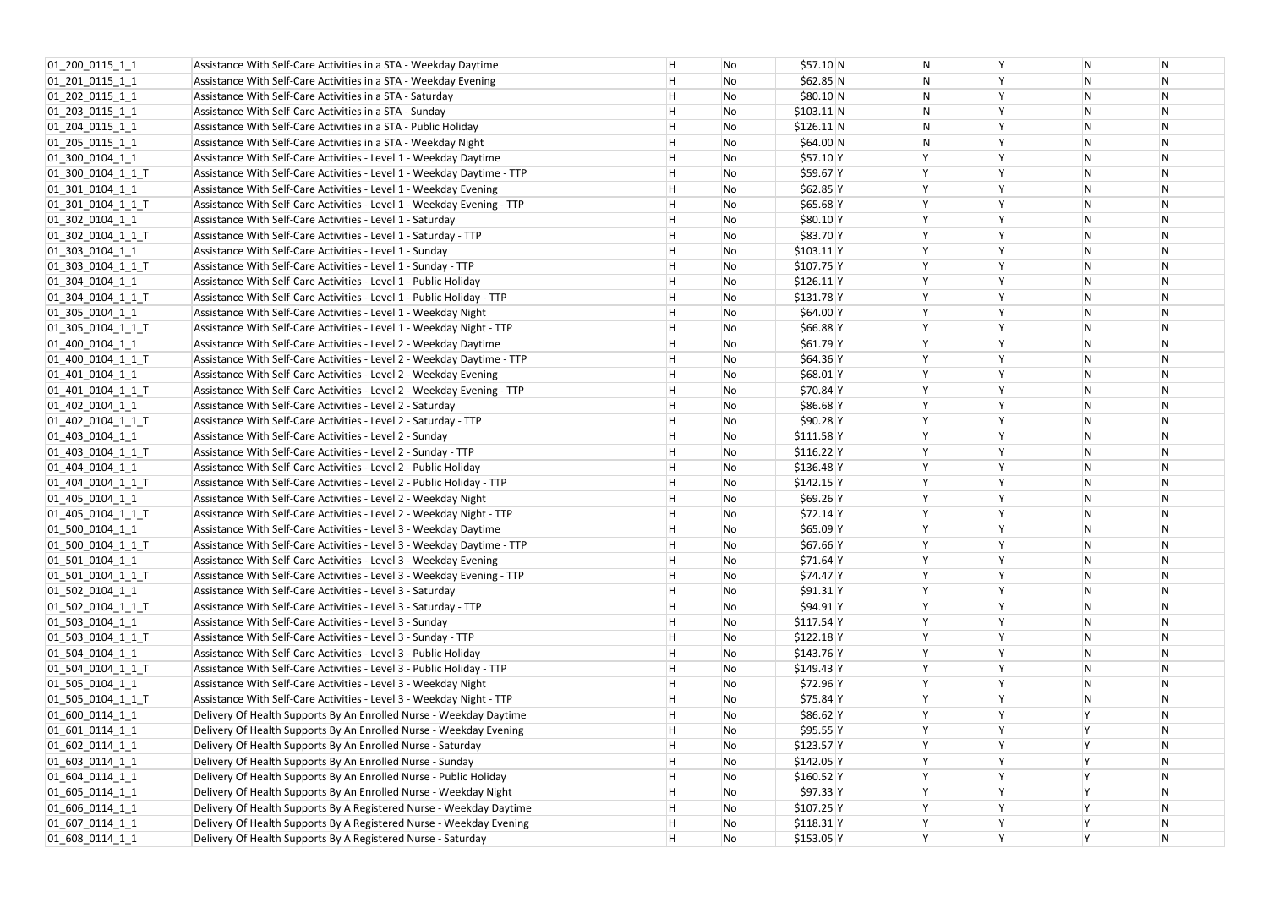| 01_200_0115_1_1     | Assistance With Self-Care Activities in a STA - Weekday Daytime        | H  | No | \$57.10 N    | N |
|---------------------|------------------------------------------------------------------------|----|----|--------------|---|
| 01_201_0115_1_1     | Assistance With Self-Care Activities in a STA - Weekday Evening        | н. | No | \$62.85 N    | N |
| 01_202_0115_1_1     | Assistance With Self-Care Activities in a STA - Saturday               | Н  | No | \$80.10 N    | N |
| $01$ 203 0115 1 1   | Assistance With Self-Care Activities in a STA - Sunday                 | H  | No | $$103.11$ N  | N |
| 01_204_0115_1_1     | Assistance With Self-Care Activities in a STA - Public Holiday         | Н  | No | $$126.11$ N  | N |
| $01$ 205 0115 1 1   | Assistance With Self-Care Activities in a STA - Weekday Night          | Н. | No | \$64.00 N    | N |
| 01_300_0104_1_1     | Assistance With Self-Care Activities - Level 1 - Weekday Daytime       | H  | No | \$57.10 Y    | Υ |
| 01_300_0104_1_1_T   | Assistance With Self-Care Activities - Level 1 - Weekday Daytime - TTP | H  | No | $$59.67$ Y   | Υ |
| 01_301_0104_1_1     | Assistance With Self-Care Activities - Level 1 - Weekday Evening       | H  | No | $$62.85$ Y   | Y |
| 01_301_0104_1_1_T   | Assistance With Self-Care Activities - Level 1 - Weekday Evening - TTP | H  | No | $$65.68$ Y   | Υ |
| 01_302_0104_1_1     | Assistance With Self-Care Activities - Level 1 - Saturday              | H  | No | \$80.10 Y    |   |
| 01_302_0104_1_1_T   | Assistance With Self-Care Activities - Level 1 - Saturday - TTP        | Н  | No | \$83.70 Y    | Y |
| 01_303_0104_1_1     | Assistance With Self-Care Activities - Level 1 - Sunday                | H  | No | $$103.11$  Y | Y |
| 01_303_0104_1_1_T   | Assistance With Self-Care Activities - Level 1 - Sunday - TTP          | H  | No | $$107.75$ Y  | Υ |
| 01_304_0104_1_1     | Assistance With Self-Care Activities - Level 1 - Public Holiday        | H  | No | $$126.11$ Y  | Y |
| $[01]$ 304 0104 1 1 | Assistance With Self-Care Activities - Level 1 - Public Holiday - TTP  | H  | No | $$131.78$ Y  | Υ |
| 01_305_0104_1_1     | Assistance With Self-Care Activities - Level 1 - Weekday Night         | H  | No | \$64.00 Y    | Υ |
| 01_305_0104_1_1_T   | Assistance With Self-Care Activities - Level 1 - Weekday Night - TTP   | H  | No | $$66.88$ Y   | Y |
| 01_400_0104_1_1     | Assistance With Self-Care Activities - Level 2 - Weekday Daytime       | Н  | No | \$61.79 Y    | Y |
| 01_400_0104_1_1_T   | Assistance With Self-Care Activities - Level 2 - Weekday Daytime - TTP | H  | No | \$64.36 Y    | γ |
| 01 401 0104 1 1     | Assistance With Self-Care Activities - Level 2 - Weekday Evening       | H  | No | $$68.01$ Y   | Y |
| 01_401_0104_1_1_T   | Assistance With Self-Care Activities - Level 2 - Weekday Evening - TTP | H  | No | $$70.84$ Y   | Υ |
| 01_402_0104_1_1     | Assistance With Self-Care Activities - Level 2 - Saturday              | H  | No | \$86.68 Y    | Y |
| 01_402_0104_1_1_T   | Assistance With Self-Care Activities - Level 2 - Saturday - TTP        | Н  | No | $$90.28$ Y   | Y |
| 01_403_0104_1_1     | Assistance With Self-Care Activities - Level 2 - Sunday                | H  | No | $$111.58$ Y  | Y |
| 01_403_0104_1_1_T   | Assistance With Self-Care Activities - Level 2 - Sunday - TTP          | H  | No | $$116.22$ Y  | Y |
| 01 404 0104 1 1     | Assistance With Self-Care Activities - Level 2 - Public Holiday        | H  | No | $$136.48$ Y  | Υ |
| 01_404_0104_1_1_T   | Assistance With Self-Care Activities - Level 2 - Public Holiday - TTP  | H  | No | $$142.15$ Y  | Υ |
| 01_405_0104_1_1     | Assistance With Self-Care Activities - Level 2 - Weekday Night         | H  | No | \$69.26 Y    | Y |
| 01_405_0104_1_1_T   | Assistance With Self-Care Activities - Level 2 - Weekday Night - TTP   | H  | No | \$72.14 Y    |   |
| 01_500_0104_1_1     | Assistance With Self-Care Activities - Level 3 - Weekday Daytime       | H  | No | $$65.09$ Y   | Y |
| 01_500_0104_1_1_T   | Assistance With Self-Care Activities - Level 3 - Weekday Daytime - TTP | H  | No | \$67.66 Y    | Υ |
| 01_501_0104_1_1     | Assistance With Self-Care Activities - Level 3 - Weekday Evening       | H  | No | $$71.64$ Y   | Y |
| 01_501_0104_1_1_T   | Assistance With Self-Care Activities - Level 3 - Weekday Evening - TTP | H  | No | \$74.47 Y    | Y |
| 01 502 0104 1 1     | Assistance With Self-Care Activities - Level 3 - Saturday              | H  | No | $$91.31$ Y   | Y |
| 01_502_0104_1_1_T   | Assistance With Self-Care Activities - Level 3 - Saturday - TTP        | H  | No | $$94.91$ Y   |   |
| 01 503 0104 1 1     | Assistance With Self-Care Activities - Level 3 - Sunday                | H  | No | $$117.54$ Y  |   |
| 01_503_0104_1_1_T   | Assistance With Self-Care Activities - Level 3 - Sunday - TTP          | H  | No | $$122.18$ Y  | γ |
| 01_504_0104_1_1     | Assistance With Self-Care Activities - Level 3 - Public Holiday        | H  | No | \$143.76 Y   | Y |
| 01_504_0104_1_1_T   | Assistance With Self-Care Activities - Level 3 - Public Holiday - TTP  | H  | No | \$149.43 Y   | Y |
| 01_505_0104_1_1     | Assistance With Self-Care Activities - Level 3 - Weekday Night         | H  | No | \$72.96 Y    | Υ |
| 01_505_0104_1_1_T   | Assistance With Self-Care Activities - Level 3 - Weekday Night - TTP   | H  | No | $$75.84$ Y   | Y |
| 01_600_0114_1_1     | Delivery Of Health Supports By An Enrolled Nurse - Weekday Daytime     | Н  | No | $$86.62$ Y   | Y |
| 01 601 0114 1 1     | Delivery Of Health Supports By An Enrolled Nurse - Weekday Evening     | H  | No | \$95.55 Y    | Y |
| 01 602 0114 1 1     | Delivery Of Health Supports By An Enrolled Nurse - Saturday            | H  | No | $$123.57$ Y  | Y |
| 01 603 0114 1 1     | Delivery Of Health Supports By An Enrolled Nurse - Sunday              | H  | No | \$142.05 Y   | Υ |
| $[01]$ 604 0114 1 1 | Delivery Of Health Supports By An Enrolled Nurse - Public Holiday      | H  | No | $$160.52$ Y  | Y |
| 01 605 0114 1 1     | Delivery Of Health Supports By An Enrolled Nurse - Weekday Night       | H  | No | \$97.33 Y    | Y |
| 01 606 0114 1 1     | Delivery Of Health Supports By A Registered Nurse - Weekday Daytime    | H  | No | $$107.25$ Y  |   |
| 01_607_0114_1_1     | Delivery Of Health Supports By A Registered Nurse - Weekday Evening    | Н  | No | $$118.31$ Y  | Y |
| 01_608_0114_1_1     | Delivery Of Health Supports By A Registered Nurse - Saturday           | H  | No | $$153.05$ Y  | Y |

| Υ | N | N         |
|---|---|-----------|
| Υ | N | N         |
| Y | N | N         |
| Υ | N | N         |
| Υ | N | N         |
| Υ | N | N         |
| Υ | N | N         |
| Υ | N | N         |
| Y | N | N         |
| Y | N | N         |
| Υ | N | N         |
| Υ | N | N         |
| Y | N | N         |
| Υ | N | N         |
| Y | N | N         |
| Υ | N | N         |
| Υ | N | N         |
| Υ | N | N         |
| Y | N | N         |
| Υ | N | N         |
| Υ | N | ${\sf N}$ |
| Υ | N | N         |
| Y | N | N         |
| Y | N | N         |
| Υ | N | N         |
| Υ | N | N         |
| Υ | N | N         |
| Y | N | N         |
| Υ | N | N         |
| Υ | N | N         |
| Υ | N | N         |
| Υ | N | N         |
| Υ | N | N         |
| Υ | N | N         |
| Υ | N | N         |
| Y | N | N         |
| Υ | N | N         |
| Y | N | N         |
| Υ | N | N         |
| Υ | N | N         |
| Y | N | N         |
| Υ | N | N         |
| Υ | Υ | N         |
| Υ | Υ | N         |
| Υ | Υ | N         |
| Υ | Υ | N         |
| Υ | Υ | ${\sf N}$ |
| Υ | Υ | N         |
| Υ | Y | N         |
| Y | Y | N         |
| Υ | Υ | N         |
|   |   |           |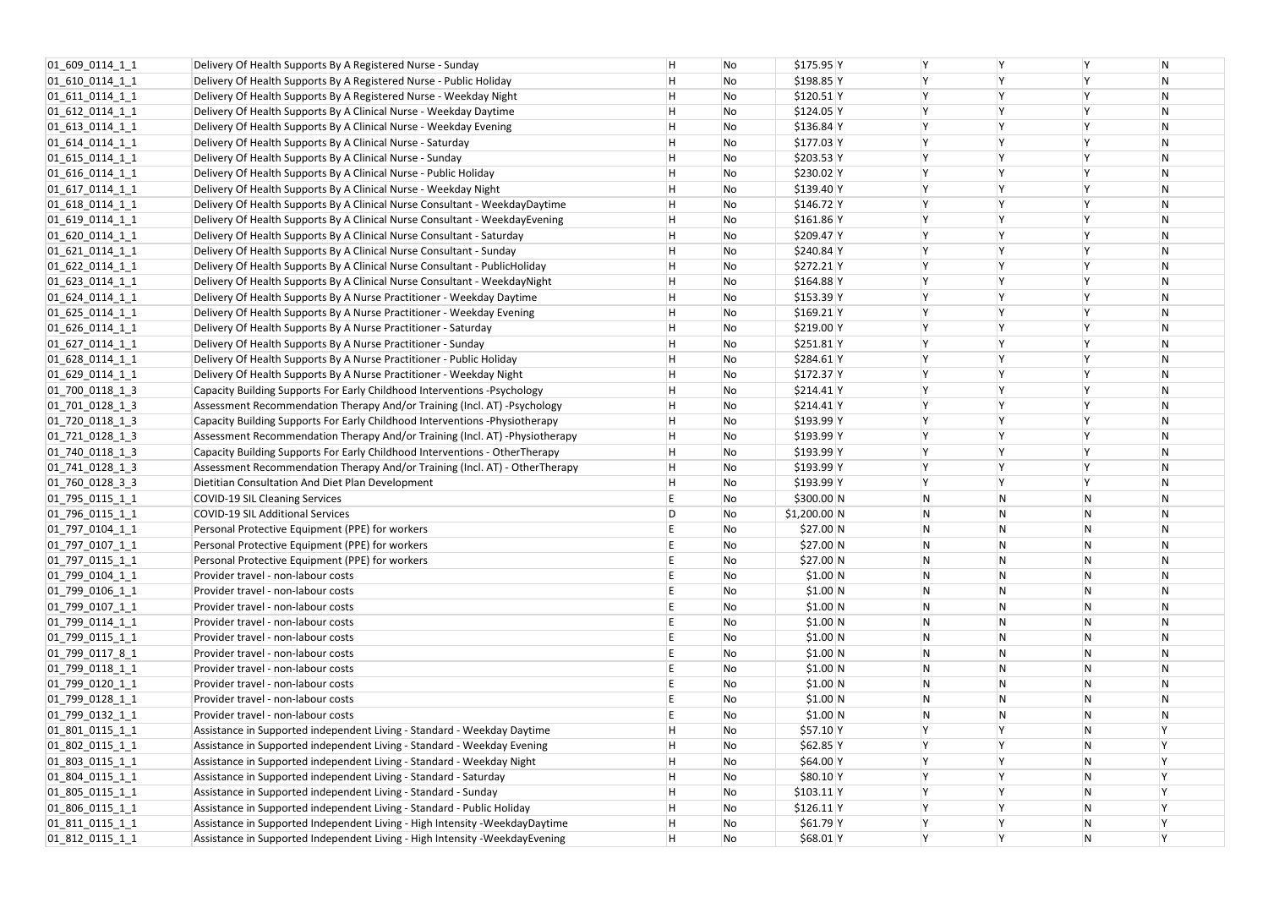| 01 609 0114 1 1     | Delivery Of Health Supports By A Registered Nurse - Sunday                    | н | No | $$175.95$ Y   | Υ         |
|---------------------|-------------------------------------------------------------------------------|---|----|---------------|-----------|
| 01 610 0114 1 1     | Delivery Of Health Supports By A Registered Nurse - Public Holiday            | н | No | $$198.85$ Y   | Υ         |
| 01 611 0114 1 1     | Delivery Of Health Supports By A Registered Nurse - Weekday Night             | н | No | $$120.51$ Y   | γ         |
| 01 612 0114 1 1     | Delivery Of Health Supports By A Clinical Nurse - Weekday Daytime             | н | No | $$124.05$ Y   | Υ         |
| 01 613 0114 1 1     | Delivery Of Health Supports By A Clinical Nurse - Weekday Evening             | н | No | $$136.84$ Y   | γ         |
| 01 614 0114 1 1     | Delivery Of Health Supports By A Clinical Nurse - Saturday                    | н | No | $$177.03$ Y   | Υ         |
| 01 615 0114 1 1     | Delivery Of Health Supports By A Clinical Nurse - Sunday                      | H | No | $$203.53$ Y   | γ         |
| 01 616 0114 1 1     | Delivery Of Health Supports By A Clinical Nurse - Public Holiday              | н | No | $$230.02$ Y   | Υ         |
| 01 617 0114 1 1     | Delivery Of Health Supports By A Clinical Nurse - Weekday Night               | н | No | $$139.40$ Y   | Υ         |
| 01 618 0114 1 1     | Delivery Of Health Supports By A Clinical Nurse Consultant - WeekdayDaytime   | н | No | $$146.72$ Y   | γ         |
| 01_619_0114_1_1     | Delivery Of Health Supports By A Clinical Nurse Consultant - WeekdayEvening   | н | No | $$161.86$ Y   | Υ         |
| 01 620 0114 1 1     | Delivery Of Health Supports By A Clinical Nurse Consultant - Saturday         | н | No | \$209.47 Y    | Υ         |
| 01 621 0114 1 1     | Delivery Of Health Supports By A Clinical Nurse Consultant - Sunday           | н | No | $$240.84$ Y   | γ         |
| 01 622 0114 1 1     | Delivery Of Health Supports By A Clinical Nurse Consultant - PublicHoliday    | н | No | $$272.21$ Y   | Υ         |
| 01 623 0114 1 1     | Delivery Of Health Supports By A Clinical Nurse Consultant - Weekday Night    | H | No | $$164.88$ Y   | Υ         |
| 01 624 0114 1 1     | Delivery Of Health Supports By A Nurse Practitioner - Weekday Daytime         | н | No | $$153.39$ Y   | Υ         |
| 01 625 0114 1 1     | Delivery Of Health Supports By A Nurse Practitioner - Weekday Evening         | н | No | $$169.21$ Y   | Υ         |
| 01 626 0114 1 1     | Delivery Of Health Supports By A Nurse Practitioner - Saturday                | н | No | \$219.00 Y    | Υ         |
| 01 627 0114 1 1     | Delivery Of Health Supports By A Nurse Practitioner - Sunday                  | H | No | $$251.81$ Y   | γ         |
| $[01_628_0114_1]$   | Delivery Of Health Supports By A Nurse Practitioner - Public Holiday          | H | No | $$284.61$ Y   | Υ         |
| 01 629 0114 1 1     | Delivery Of Health Supports By A Nurse Practitioner - Weekday Night           | н | No | $$172.37$ Y   | Υ         |
| 01_700_0118_1_3     | Capacity Building Supports For Early Childhood Interventions - Psychology     | н | No | $$214.41$ Y   | γ         |
| $01$ _701_0128_1_3  | Assessment Recommendation Therapy And/or Training (Incl. AT) -Psychology      | н | No | $$214.41$ Y   | Υ         |
| 01 720 0118 1 3     | Capacity Building Supports For Early Childhood Interventions - Physiotherapy  | н | No | \$193.99 Y    | γ         |
| 01 721 0128 1 3     | Assessment Recommendation Therapy And/or Training (Incl. AT) -Physiotherapy   | н | No | $$193.99$ Y   | Υ         |
| 01 740 0118 1 3     | Capacity Building Supports For Early Childhood Interventions - OtherTherapy   | н | No | \$193.99 Y    | γ         |
| $[01]$ 741 0128 1 3 | Assessment Recommendation Therapy And/or Training (Incl. AT) - OtherTherapy   | H | No | $$193.99$ Y   | Υ         |
| 01 760 0128 3 3     | Dietitian Consultation And Diet Plan Development                              | н | No | \$193.99 Y    | Υ         |
| 01 795 0115 1 1     | <b>COVID-19 SIL Cleaning Services</b>                                         | E | No | \$300.00 N    | ${\sf N}$ |
| 01 796 0115 1 1     | <b>COVID-19 SIL Additional Services</b>                                       | D | No | $$1,200.00$ N | N         |
| 01 797 0104 1 1     | Personal Protective Equipment (PPE) for workers                               | E | No | \$27.00 N     | ${\sf N}$ |
| 01 797 0107 1 1     | Personal Protective Equipment (PPE) for workers                               | E | No | \$27.00 N     | N         |
| 01_797_0115_1_1     | Personal Protective Equipment (PPE) for workers                               | E | No | \$27.00 N     | N         |
| 01 799 0104 1 1     | Provider travel - non-labour costs                                            | E | No | \$1.00 N      | N         |
| 01_799_0106_1_1     | Provider travel - non-labour costs                                            | E | No | \$1.00 N      | N         |
| 01 799 0107 1 1     | Provider travel - non-labour costs                                            | E | No | \$1.00 N      | N         |
| 01 799 0114 1 1     | Provider travel - non-labour costs                                            | E | No | \$1.00 N      | N         |
| 01 799 0115 1 1     | Provider travel - non-labour costs                                            | E | No | \$1.00 N      | N         |
| 01 799 0117 8 1     | Provider travel - non-labour costs                                            | E | No | \$1.00 N      | N         |
| 01 799 0118 1 1     | Provider travel - non-labour costs                                            | E | No | \$1.00 N      | N         |
| 01 799 0120 1 1     | Provider travel - non-labour costs                                            | E | No | \$1.00 N      | N         |
| 01_799_0128_1_1     | Provider travel - non-labour costs                                            | E | No | \$1.00 N      | N         |
| 01_799_0132_1_1     | Provider travel - non-labour costs                                            | E | No | \$1.00 N      | N         |
| 01 801 0115 1 1     | Assistance in Supported independent Living - Standard - Weekday Daytime       | н | No | \$57.10 Y     | Υ         |
| 01_802_0115_1_1     | Assistance in Supported independent Living - Standard - Weekday Evening       | н | No | $$62.85$ Y    | γ         |
| 01 803 0115 1 1     | Assistance in Supported independent Living - Standard - Weekday Night         | H | No | \$64.00 Y     | Υ         |
| 01 804 0115 1 1     | Assistance in Supported independent Living - Standard - Saturday              | н | No | $$80.10$ Y    | Υ         |
| 01 805 0115 1 1     | Assistance in Supported independent Living - Standard - Sunday                | H | No | $$103.11$ Y   | γ         |
| 01_806_0115_1_1     | Assistance in Supported independent Living - Standard - Public Holiday        | н | No | $$126.11$ Y   | Υ         |
| 01 811 0115 1 1     | Assistance in Supported Independent Living - High Intensity -WeekdayDaytime   | н | No | $$61.79$ Y    | γ         |
| 01 812 0115 1 1     | Assistance in Supported Independent Living - High Intensity - Weekday Evening | H | No | $$68.01$ Y    | Υ         |

| Y         | Y | N         |
|-----------|---|-----------|
| Υ         | Υ | N         |
| Y         | Υ | N         |
| Y         | Y | N         |
| Υ         | Υ | N         |
| Y         | Υ | N         |
| Y         | Y | N         |
| Υ         | Ÿ | N         |
| Υ         | Υ | N         |
| Y         | Y | N         |
| Y         | Y | N         |
| Υ         | Υ | N         |
| Y         | Y | N         |
| Υ         | Υ | N         |
| Υ         | Υ | ${\sf N}$ |
| Y         | Y | N         |
| Y         | Y | N         |
| Y         | Y | N         |
| Υ         | Υ | N         |
| Y         | Υ | N         |
| Y         | Y | N         |
| Y         | Y | N         |
| Y         | Y | N         |
| Y         | Υ | N         |
| Y         | Y | N         |
| Y         | Y | N         |
| Υ         | Υ | N         |
| Υ         | Υ | N         |
| ${\sf N}$ | N | N         |
| N         | N | N         |
| N         | N | ${\sf N}$ |
| ${\sf N}$ | N | ${\sf N}$ |
| ${\sf N}$ | N | N         |
| N         | N | ${\sf N}$ |
|           |   |           |
| ${\sf N}$ | N | N         |
| ${\sf N}$ | N | N         |
| ${\sf N}$ | N | ${\sf N}$ |
| ${\sf N}$ | N | N         |
| ${\sf N}$ | N | N         |
| ${\sf N}$ | N | N         |
| N         | N | ${\sf N}$ |
| ${\sf N}$ | N | ${\sf N}$ |
| ${\sf N}$ | N | N         |
| Υ         | N | Υ         |
| Υ         | N | Υ         |
| Υ         | N | Υ         |
| Υ         | N | Υ         |
| Υ         | N | Υ         |
| Y         | N | Υ         |
| Υ         | N | Υ         |
| Υ         | N | Υ         |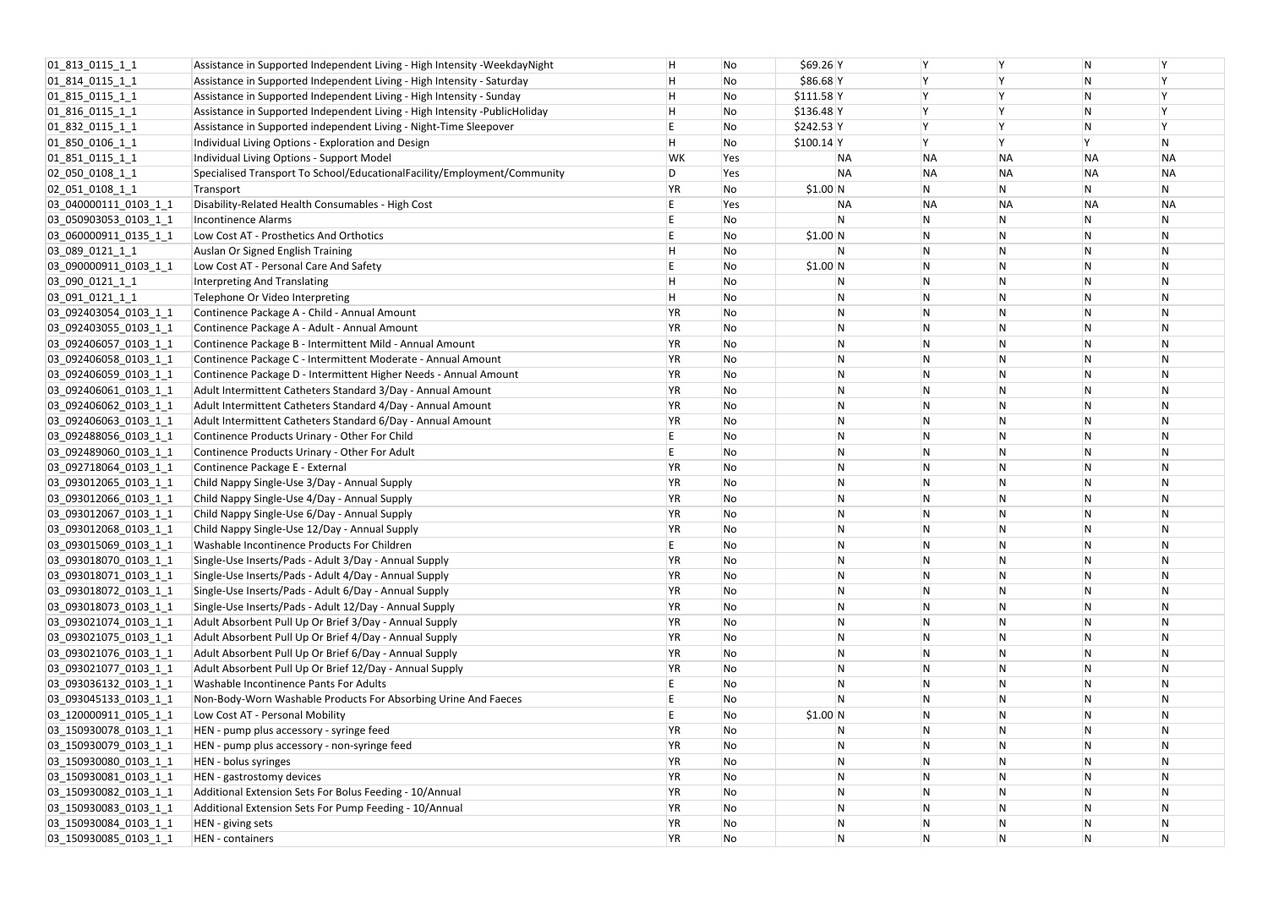| 01_813_0115_1_1                                | Assistance in Supported Independent Living - High Intensity - Weekday Night | H         | No         | \$69.26 Y   |              |                |              | N         |              |
|------------------------------------------------|-----------------------------------------------------------------------------|-----------|------------|-------------|--------------|----------------|--------------|-----------|--------------|
| $[01_814_0115_1]$                              | Assistance in Supported Independent Living - High Intensity - Saturday      | H         | No         | \$86.68 Y   |              |                |              | N         | Y            |
| 01_815_0115_1_1                                | Assistance in Supported Independent Living - High Intensity - Sunday        | H         | No         | $$111.58$ Y |              |                |              | N         |              |
| 01_816_0115_1_1                                | Assistance in Supported Independent Living - High Intensity -PublicHoliday  | н         | No         | $$136.48$ Y |              |                |              | N         | Y            |
| $ 01_832_0115_11 $                             | Assistance in Supported independent Living - Night-Time Sleepover           |           | No         | \$242.53 Y  |              |                |              | N         | Y            |
| $ 01_850_0106_11 $                             | Individual Living Options - Exploration and Design                          | н         | No         | $$100.14$ Y |              |                |              |           | ${\sf N}$    |
| 01 851 0115 1 1                                | Individual Living Options - Support Model                                   | WK        | <b>Yes</b> |             | ΝA           | <b>NA</b>      | <b>NA</b>    | <b>NA</b> | NΑ           |
| $ 02\rangle 050\rangle 0108\rangle 1\rangle 1$ | Specialised Transport To School/EducationalFacility/Employment/Community    | D         | Yes        |             | ΝA           | <b>NA</b>      | <b>NA</b>    | <b>NA</b> | NΑ           |
| $02$ 051 0108 1 1                              | Transport                                                                   | ΥR        | No         | \$1.00 N    |              | N              | N            | N         | N            |
| 03_040000111_0103_1_1                          | Disability-Related Health Consumables - High Cost                           |           | Yes        |             | ΝA           | <b>NA</b>      | <b>NA</b>    | <b>NA</b> | NΑ           |
| 03_050903053_0103_1_1                          | Incontinence Alarms                                                         |           | No         |             | N.           | N              |              | N         | N            |
| 03_060000911_0135_1_1                          | Low Cost AT - Prosthetics And Orthotics                                     |           | No         | \$1.00 N    |              | ${\sf N}$      | N            | N         | $\mathsf{N}$ |
| 03 089 0121 1 1                                | Auslan Or Signed English Training                                           |           | No         |             | N            | $\mathsf{N}$   | N            | N         | N            |
| 03_090000911_0103_1_1                          | Low Cost AT - Personal Care And Safety                                      |           | No         | \$1.00 N    |              | N              | N            | N         | N            |
| 03_090_0121_1_1                                | Interpreting And Translating                                                | Η         | No         |             | N            | $\overline{N}$ | N            | N         | N            |
| 03091012111                                    | Telephone Or Video Interpreting                                             | Η         | No         |             | N            | $\mathsf{N}$   | N            | N         | $\mathsf{N}$ |
| 03 092403054 0103 1 1                          | Continence Package A - Child - Annual Amount                                | YR        | No         |             | N            | $\mathsf{N}$   | N            | N         | $\mathsf{N}$ |
| 03_092403055_0103_1_1                          | Continence Package A - Adult - Annual Amount                                | ΥR        | No         |             | N            | $\mathsf{N}$   | N            | N         | N            |
| 03 092406057 0103 1 1                          | Continence Package B - Intermittent Mild - Annual Amount                    | YR        | No         |             | N            | ${\sf N}$      | N            | N         | $\mathsf{N}$ |
| 03_092406058_0103_1_1                          | Continence Package C - Intermittent Moderate - Annual Amount                | ΥR        | No         |             | N            | $\overline{N}$ |              | N         | N            |
| 03_092406059_0103_1_1                          | Continence Package D - Intermittent Higher Needs - Annual Amount            | ΥR        | No         |             | N            | $\mathsf{N}$   | N            | N         | N            |
| 03 092406061 0103 1 1                          | Adult Intermittent Catheters Standard 3/Day - Annual Amount                 | ΥR        | No         |             | N            | $\mathsf{N}$   | N            | N         | N            |
| 03_092406062_0103_1_1                          | Adult Intermittent Catheters Standard 4/Day - Annual Amount                 | ΥR        | No         |             | N            | $\mathsf{N}$   | N            | N         | N            |
| 03_092406063_0103_1_1                          | Adult Intermittent Catheters Standard 6/Day - Annual Amount                 | ΥR        | No         |             | N            | $\mathsf{N}$   | N            | N         | $\mathsf{N}$ |
| 03_092488056_0103_1_1                          | Continence Products Urinary - Other For Child                               |           | No         |             | N            | $\mathsf{N}$   |              | N         | $\mathsf{N}$ |
| 03 092489060 0103 1 1                          | Continence Products Urinary - Other For Adult                               |           | No         |             | N            | $\mathsf{N}$   | N            | N         | N            |
| 03_092718064_0103_1_1                          | Continence Package E - External                                             | ΥR        | No         |             | N            | $\mathsf{N}$   | N            | N         | N            |
| 03_093012065_0103_1_1                          | Child Nappy Single-Use 3/Day - Annual Supply                                | ΥR        | No         |             | N            | $\mathsf{N}$   | N            | N         | $\mathsf{N}$ |
| 03_093012066_0103_1_1                          | Child Nappy Single-Use 4/Day - Annual Supply                                | ΥR        | No         |             | N            | $\mathsf{N}$   | N            | N         | N            |
| $[03]$ 093012067_0103_1_1                      | Child Nappy Single-Use 6/Day - Annual Supply                                | ΥR        | No         |             | N            | N              |              | N         | N            |
| 03 093012068 0103 1 1                          | Child Nappy Single-Use 12/Day - Annual Supply                               | <b>YR</b> | No         |             | N            | ${\sf N}$      | N            |           | N            |
| 03 093015069 0103 1 1                          | <b>Washable Incontinence Products For Children</b>                          | E         | No         |             | $\mathsf{N}$ | ${\sf N}$      | $\mathsf{N}$ | N         | N            |
| 03 093018070 0103 1 1                          | Single-Use Inserts/Pads - Adult 3/Day - Annual Supply                       | YR        | No         |             | N            | $\mathsf{N}$   | N            | N         | N            |
| 03 093018071 0103 1 1                          | Single-Use Inserts/Pads - Adult 4/Day - Annual Supply                       | ΥR        | No         |             | N            | $\mathsf{N}$   | N            | N         | N            |
| 03_093018072_0103_1_1                          | Single-Use Inserts/Pads - Adult 6/Day - Annual Supply                       | ΥR        | No         |             | N            | $\mathsf{N}$   | N            | N         | $\mathsf{N}$ |
| 03_093018073_0103_1_1                          | Single-Use Inserts/Pads - Adult 12/Day - Annual Supply                      | ΥR        | No         |             | N            | $\mathsf{N}$   | $\mathsf{N}$ | N         | N            |
| 03_093021074_0103_1_1                          | Adult Absorbent Pull Up Or Brief 3/Day - Annual Supply                      | ΥR        | No         |             | N            | $\mathsf{N}$   |              | N         | $\mathsf{N}$ |
| 03 093021075 0103 1 1                          | Adult Absorbent Pull Up Or Brief 4/Day - Annual Supply                      | YR        | No         |             | N            | $\mathsf{N}$   | N            | N         | $\mathsf{N}$ |
| 03_093021076_0103_1_1                          | Adult Absorbent Pull Up Or Brief 6/Day - Annual Supply                      | ΥR        | No         |             | N            | $\mathsf{N}$   | N            | N         | N            |
| 03_093021077_0103_1_1                          | Adult Absorbent Pull Up Or Brief 12/Day - Annual Supply                     | ΥR        | No         |             | N            | $\mathsf{N}$   | N            | N         | N            |
| 03_093036132_0103_1_1                          | <b>Washable Incontinence Pants For Adults</b>                               |           | No         |             | N            | $\mathsf{N}$   | N            | N         | N            |
| 03_093045133_0103_1_1                          | Non-Body-Worn Washable Products For Absorbing Urine And Faeces              |           | No         |             | N            | $\mathsf{N}$   | N            | N         | N            |
| 03_120000911_0105_1_1                          | Low Cost AT - Personal Mobility                                             |           | No         | \$1.00 N    |              | $\mathsf{N}$   | $\mathsf{N}$ | N         | $\mathsf{N}$ |
| 03_150930078_0103_1_1                          | HEN - pump plus accessory - syringe feed                                    | YR        | No         |             | N            | $\mathsf{N}$   | N            | N         | $\mathsf{N}$ |
| 03_150930079_0103_1_1                          | HEN - pump plus accessory - non-syringe feed                                | YR        | No         |             | N            | $\mathsf{N}$   | N            | N         | N            |
| 03_150930080_0103_1_1                          | HEN - bolus syringes                                                        | ΥR        | No         |             | N            | $\mathsf{N}$   | N            | N         | $\mathsf{N}$ |
| 03_150930081_0103_1_1                          | HEN - gastrostomy devices                                                   | ΥR        | No         |             | N            | $\mathsf{N}$   | N            | N         | N            |
| 03_150930082_0103_1_1                          | Additional Extension Sets For Bolus Feeding - 10/Annual                     | ΥR        | No         |             | N            | $\mathsf{N}$   | $\mathsf{N}$ | N         | N            |
| 03_150930083_0103_1_1                          | Additional Extension Sets For Pump Feeding - 10/Annual                      | ΥR        | No         |             | N            | $\mathsf{N}$   | N            | N         | N            |
| 03_150930084_0103_1_1                          | HEN - giving sets                                                           | YR        | No         |             | N            | $\mathsf{N}$   | $\mathsf{N}$ | N         | $\mathsf{N}$ |
| 03_150930085_0103_1_1                          | <b>HEN</b> - containers                                                     | ΥR        | No         |             | N            | $\mathsf{N}$   | N            | N         | N            |
|                                                |                                                                             |           |            |             |              |                |              |           |              |

| Υ         | N         | Υ         |
|-----------|-----------|-----------|
| Υ         | N         | Υ         |
| Υ         | N         | Υ         |
| Υ         | N         | Υ         |
| Υ         | N         | Υ         |
| Υ         | Υ         | N         |
| <b>NA</b> | <b>NA</b> | <b>NA</b> |
| <b>NA</b> | <b>NA</b> | <b>NA</b> |
| N         | N         | N         |
| <b>NA</b> | <b>NA</b> | <b>NA</b> |
| N         | N         | N         |
| ${\sf N}$ | N         | N         |
| N         | N         | N         |
| N         | N         | N         |
| N         | N         | N         |
| N         | N         | ${\sf N}$ |
| ${\sf N}$ | N         | N         |
| N         | N         | N         |
| ${\sf N}$ | N         | N         |
| N         | N         | N         |
| ${\sf N}$ | N         | ${\sf N}$ |
| ${\sf N}$ | N         | N         |
| ${\sf N}$ | N         | N         |
| ${\sf N}$ | N         | N         |
| N         | N         | N         |
| ${\sf N}$ | N         | ${\sf N}$ |
| N         | N         | N         |
| ${\sf N}$ | N         | ${\sf N}$ |
| ${\sf N}$ | N         | N         |
| N         | N         | N         |
| N         | N         | N         |
| N         | N         | N         |
| N         | N         | N         |
| N         | N         | N         |
| N         | N         | N         |
| ${\sf N}$ | N         | N         |
| N         | N         | N         |
| N         | N         | N         |
| N         | N         | N         |
| N         | N         | N         |
| N         | N         | N         |
| N         | N         | N         |
| ${\sf N}$ | N         | N         |
| N         | N         | N         |
| N         | N         | N         |
| N         | N         | N         |
| N         | N         | ${\sf N}$ |
| N         | N         | N         |
| N         | N         | N         |
| N         | N         | N         |
| N         | N         | N         |
|           |           |           |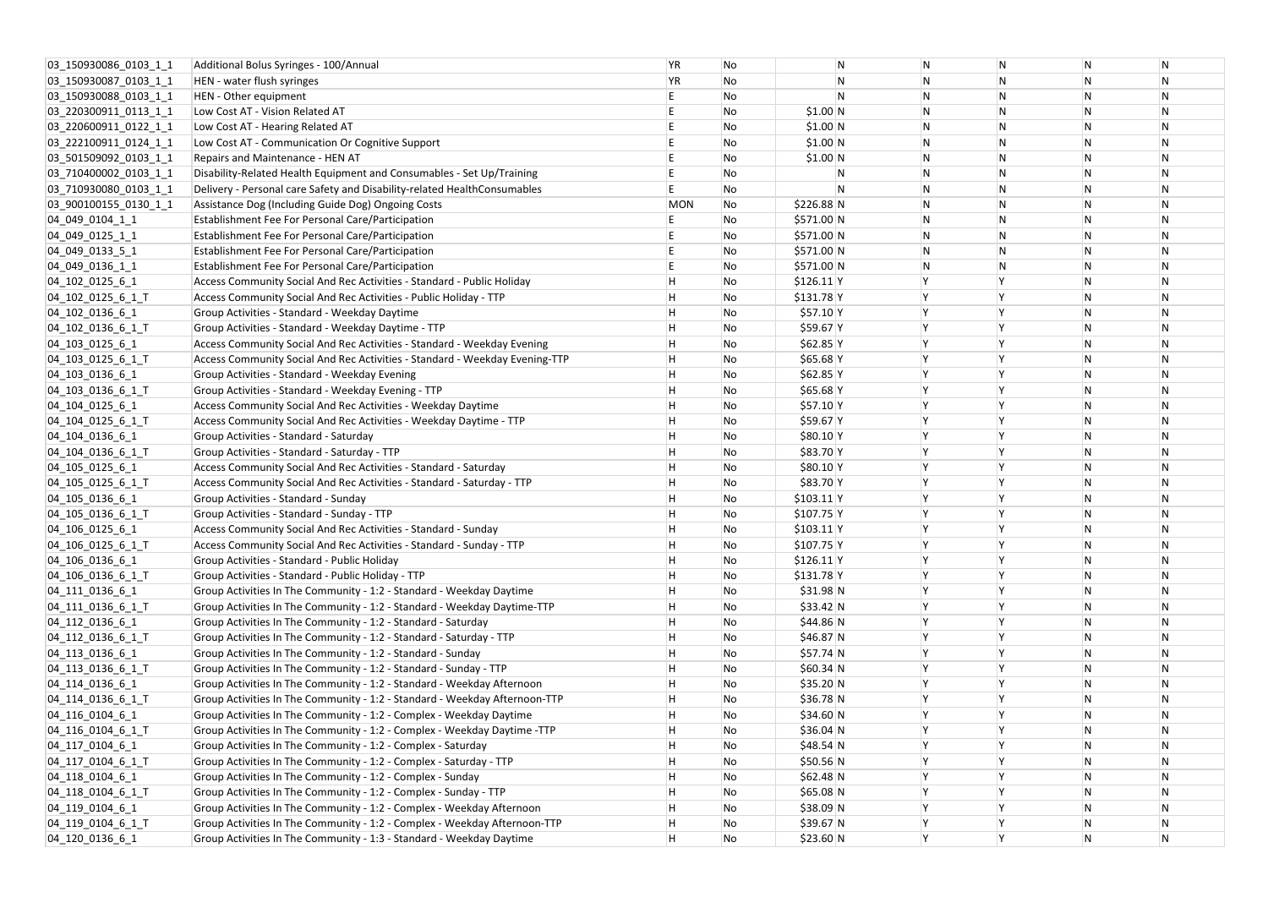| 03 150930086 0103 1 1                  | Additional Bolus Syringes - 100/Annual                                      | <b>YR</b>  | No |             | N | N |
|----------------------------------------|-----------------------------------------------------------------------------|------------|----|-------------|---|---|
| 03 150930087 0103 1 1                  | HEN - water flush syringes                                                  | YR         | No |             | N | N |
| 03_150930088_0103_1_1                  | HEN - Other equipment                                                       | E,         | No |             | N | N |
| 03 220300911 0113 1 1                  | Low Cost AT - Vision Related AT                                             | E          | No | \$1.00 N    |   | N |
| 03 220600911 0122 1 1                  | Low Cost AT - Hearing Related AT                                            | E          | No | \$1.00 N    |   | N |
| 03 222100911 0124 1 1                  | Low Cost AT - Communication Or Cognitive Support                            | E.         | No | \$1.00 N    |   | N |
| 03 501509092 0103 1 1                  | Repairs and Maintenance - HEN AT                                            | E          | No | \$1.00 N    |   | N |
| 03_710400002_0103_1_1                  | Disability-Related Health Equipment and Consumables - Set Up/Training       | E          | No |             | N | N |
| 03 710930080 0103 1 1                  | Delivery - Personal care Safety and Disability-related HealthConsumables    | E          | No |             | N | N |
| 03 900100155 0130 1 1                  | Assistance Dog (Including Guide Dog) Ongoing Costs                          | <b>MON</b> | No | $$226.88$ N |   | N |
| 04_049_0104_1_1                        | Establishment Fee For Personal Care/Participation                           | E.         | No | \$571.00 N  |   | N |
| 04 049 0125 1 1                        | Establishment Fee For Personal Care/Participation                           | E          | No | \$571.00 N  |   | N |
| 04_049_0133_5_1                        | Establishment Fee For Personal Care/Participation                           | E          | No | \$571.00 N  |   | N |
| 04 049 0136 1 1                        | Establishment Fee For Personal Care/Participation                           | E          | No | \$571.00 N  |   | N |
| 04 102 0125 6 1                        | Access Community Social And Rec Activities - Standard - Public Holiday      | H          | No | $$126.11$ Y |   | Υ |
| 04_102_0125_6_1_T                      | Access Community Social And Rec Activities - Public Holiday - TTP           | H          | No | $$131.78$ Y |   | Y |
| 04_102_0136_6_1                        | Group Activities - Standard - Weekday Daytime                               | H          | No | \$57.10 Y   |   | Y |
| 04_102_0136_6_1_T                      | Group Activities - Standard - Weekday Daytime - TTP                         | H          | No | \$59.67 Y   |   |   |
| 04 103 0125 6 1                        | Access Community Social And Rec Activities - Standard - Weekday Evening     | H          | No | $$62.85$ Y  |   | Y |
| $[04]$ 103 $[0125]$ 6 $1$ <sup>T</sup> | Access Community Social And Rec Activities - Standard - Weekday Evening-TTP | H          | No | $$65.68$ Y  |   | Y |
| 04 103 0136 6 1                        | Group Activities - Standard - Weekday Evening                               | H          | No | \$62.85 Y   |   | Y |
| 04_103_0136_6_1_T                      | Group Activities - Standard - Weekday Evening - TTP                         | H          | No | $$65.68$ Y  |   | Y |
| 04_104_0125_6_1                        | Access Community Social And Rec Activities - Weekday Daytime                | H          | No | \$57.10 Y   |   | Υ |
| 04_104_0125_6_1_T                      | Access Community Social And Rec Activities - Weekday Daytime - TTP          | H          | No | \$59.67 Y   |   |   |
| 04 104 0136 6 1                        | Group Activities - Standard - Saturday                                      | H          | No | \$80.10 Y   |   |   |
| 04_104_0136_6_1_T                      | Group Activities - Standard - Saturday - TTP                                | Н          | No | \$83.70 Y   |   | Y |
| $ 04$ 105 0125 6 1                     | Access Community Social And Rec Activities - Standard - Saturday            | Н          | No | \$80.10 Y   |   | Y |
| 04_105_0125_6_1_T                      | Access Community Social And Rec Activities - Standard - Saturday - TTP      | H          | No | \$83.70 Y   |   | Y |
| 04 105 0136 6 1                        | Group Activities - Standard - Sunday                                        | H          | No | $$103.11$ Y |   | Y |
| 04_105_0136_6_1_T                      | Group Activities - Standard - Sunday - TTP                                  | H          | No | $$107.75$ Y |   | Y |
| 04 106 0125 6 1                        | Access Community Social And Rec Activities - Standard - Sunday              | H          | No | $$103.11$ Y |   | Y |
| 04_106_0125_6_1_T                      | Access Community Social And Rec Activities - Standard - Sunday - TTP        | Η          | No | $$107.75$ Y |   |   |
| 04 106 0136 6 1                        | Group Activities - Standard - Public Holiday                                | Н          | No | $$126.11$ Y |   | Υ |
| 04_106_0136_6_1_T                      | Group Activities - Standard - Public Holiday - TTP                          | Н          | No | $$131.78$ Y |   | Υ |
| 04_111_0136_6_1                        | Group Activities In The Community - 1:2 - Standard - Weekday Daytime        | H          | No | \$31.98 N   |   | Y |
| 04_111_0136_6_1_T                      | Group Activities In The Community - 1:2 - Standard - Weekday Daytime-TTP    | H          | No | \$33.42 N   |   |   |
| 04_112_0136_6_1                        | Group Activities In The Community - 1:2 - Standard - Saturday               | Н.         | No | \$44.86 N   |   |   |
| 04_112_0136_6_1_T                      | Group Activities In The Community - 1:2 - Standard - Saturday - TTP         | Н          | No | $$46.87$ N  |   | Y |
| 04 113 0136 6 1                        | Group Activities In The Community - 1:2 - Standard - Sunday                 | H          | No | \$57.74 N   |   | Υ |
| 04_113_0136_6_1_T                      | Group Activities In The Community - 1:2 - Standard - Sunday - TTP           | H          | No | \$60.34 N   |   | Y |
| 04_114_0136_6_1                        | Group Activities In The Community - 1:2 - Standard - Weekday Afternoon      | Н          | No | \$35.20 N   |   |   |
| 04_114_0136_6_1_T                      | Group Activities In The Community - 1:2 - Standard - Weekday Afternoon-TTP  | H          | No | $$36.78$ N  |   | Υ |
| 04 116 0104 6 1                        | Group Activities In The Community - 1:2 - Complex - Weekday Daytime         | Н          | No | \$34.60 N   |   |   |
| 04_116_0104_6_1_T                      | Group Activities In The Community - 1:2 - Complex - Weekday Daytime -TTP    | Н          | No | \$36.04 N   |   | Υ |
| 04_117_0104_6 1                        | Group Activities In The Community - 1:2 - Complex - Saturday                | Н          | No | \$48.54 N   |   | Υ |
| 04 117 0104 6 1 T                      | Group Activities In The Community - 1:2 - Complex - Saturday - TTP          | Н          | No | $$50.56$ N  |   | Y |
| 04 118 0104 6 1                        | Group Activities In The Community - 1:2 - Complex - Sunday                  | H          | No | \$62.48 N   |   | Y |
| 04_118_0104_6_1_T                      | Group Activities In The Community - 1:2 - Complex - Sunday - TTP            | H          | No | \$65.08 N   |   | Υ |
| 04_119_0104_6_1                        | Group Activities In The Community - 1:2 - Complex - Weekday Afternoon       | H          | No | \$38.09 N   |   | Υ |
| 04 119 0104 6 1 T                      | Group Activities In The Community - 1:2 - Complex - Weekday Afternoon-TTP   | H          | No | $$39.67$ N  |   | Υ |
| 04_120_0136_6_1                        | Group Activities In The Community - 1:3 - Standard - Weekday Daytime        | H          | No | \$23.60 N   |   | Υ |

| N | N            | N |
|---|--------------|---|
| N | ${\sf N}$    | N |
| N | N            | N |
| N | ${\sf N}$    | N |
| N | N            | N |
| N | ${\sf N}$    | N |
| N | N            | N |
| N | ${\sf N}$    | N |
| N | ${\sf N}$    | N |
| N | ${\sf N}$    | N |
| N | ${\sf N}$    | N |
| N | N            | N |
| N | ${\sf N}$    | N |
| N | ${\sf N}$    | N |
| Υ | ${\sf N}$    | N |
| Υ | ${\sf N}$    | N |
| Y | N            | N |
| Υ | ${\sf N}$    | N |
| Υ | N            | N |
| Y | ${\sf N}$    | N |
| Y | ${\sf N}$    | N |
| Y | N            | N |
| Y | ${\sf N}$    |   |
|   |              | N |
| Υ | N            | N |
| Y | N            | N |
| Y | N            | N |
| Y | ${\sf N}$    | N |
| Y | ${\sf N}$    | N |
| Y | N            | N |
| Y | ${\sf N}$    | N |
| Υ | N            | N |
| Υ | ${\sf N}$    | N |
| Y | ${\sf N}$    | N |
| Y | ${\sf N}$    | N |
| Υ | ${\sf N}$    | N |
| Υ | N            | N |
| Y | ${\sf N}$    | N |
| Υ | N            | N |
| Y | ${\sf N}$    | N |
| Y | N            | N |
| Υ | ${\sf N}$    | N |
| Υ | ${\sf N}$    | N |
| Υ | N            | N |
| Y | N            | N |
| Υ | N            | N |
| Y | ${\sf N}$    | N |
| Y | ${\sf N}$    | N |
| Y | N            | N |
| Υ | N            | N |
| Υ | N            | N |
| Υ | $\mathsf{N}$ | N |
|   |              |   |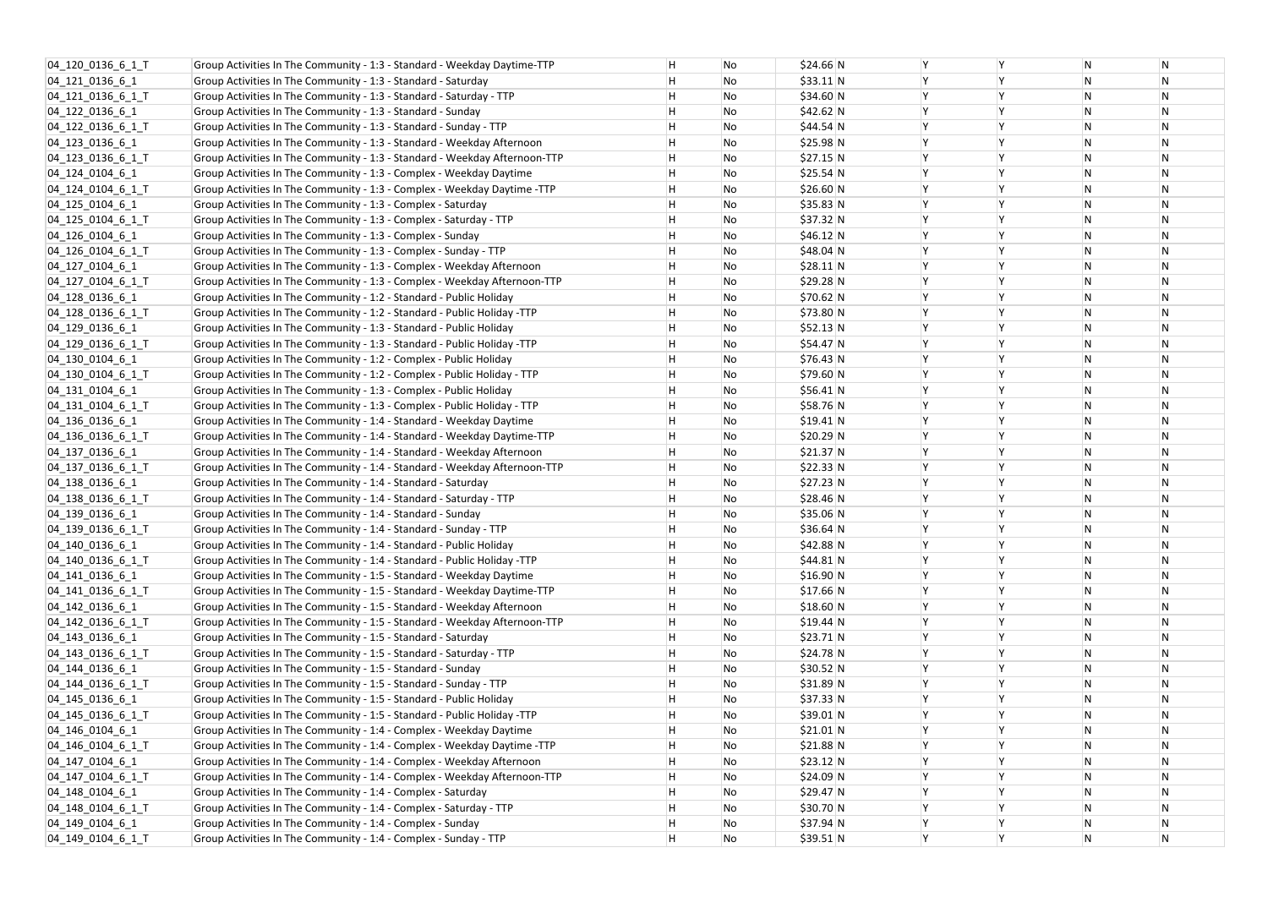| 04_120_0136_6_1_T     | Group Activities In The Community - 1:3 - Standard - Weekday Daytime-TTP   | н | No | \$24.66 N  | Y |
|-----------------------|----------------------------------------------------------------------------|---|----|------------|---|
| 04_121_0136_6_1       | Group Activities In The Community - 1:3 - Standard - Saturday              | Η | No | $$33.11$ N | Υ |
| 04 121 0136 6 1 T     | Group Activities In The Community - 1:3 - Standard - Saturday - TTP        | Η | No | \$34.60 N  | Υ |
| 04 122 0136 6 1       | Group Activities In The Community - 1:3 - Standard - Sunday                | н | No | \$42.62 N  | Υ |
| 04_122_0136_6_1_T     | Group Activities In The Community - 1:3 - Standard - Sunday - TTP          | Η | No | \$44.54 N  | Υ |
| 04 123 0136 6 1       | Group Activities In The Community - 1:3 - Standard - Weekday Afternoon     | н | No | \$25.98 N  | Y |
| 04_123_0136_6_1_T     | Group Activities In The Community - 1:3 - Standard - Weekday Afternoon-TTP | Η | No | \$27.15 N  | Y |
| 04 124 0104 6 1       | Group Activities In The Community - 1:3 - Complex - Weekday Daytime        | Η | No | \$25.54 N  | Υ |
| 04 124 0104 6 1 T     | Group Activities In The Community - 1:3 - Complex - Weekday Daytime -TTP   | н | No | \$26.60 N  | Υ |
| 04 125 0104 6 1       | Group Activities In The Community - 1:3 - Complex - Saturday               | н | No | $$35.83$ N | Y |
| 04_125_0104_6_1_T     | Group Activities In The Community - 1:3 - Complex - Saturday - TTP         | н | No | \$37.32 N  | Υ |
| $[04]$ 126 0104 6 1   | Group Activities In The Community - 1:3 - Complex - Sunday                 | Η | No | \$46.12 N  | Y |
| 04_126_0104_6_1_T     | Group Activities In The Community - 1:3 - Complex - Sunday - TTP           | Η | No | \$48.04 N  | Υ |
| 04_127_0104_6_1       | Group Activities In The Community - 1:3 - Complex - Weekday Afternoon      | Η | No | $$28.11$ N | Υ |
| 04_127_0104_6_1_T     | Group Activities In The Community - 1:3 - Complex - Weekday Afternoon-TTP  | Η | No | $$29.28$ N | Υ |
| 04_128_0136_6_1       | Group Activities In The Community - 1:2 - Standard - Public Holiday        | н | No | \$70.62 N  | Υ |
| 04 128 0136 6 1 T     | Group Activities In The Community - 1:2 - Standard - Public Holiday -TTP   | н | No | \$73.80 N  | Y |
| 04_129_0136_6_1       | Group Activities In The Community - 1:3 - Standard - Public Holiday        | н | No | \$52.13 N  | Υ |
| 04 129 0136 6 1 T     | Group Activities In The Community - 1:3 - Standard - Public Holiday -TTP   | Η | No | $$54.47$ N | Y |
| 04 130 0104 6 1       | Group Activities In The Community - 1:2 - Complex - Public Holiday         | н | No | \$76.43 N  | Υ |
| 04_130_0104_6_1_T     | Group Activities In The Community - 1:2 - Complex - Public Holiday - TTP   | н | No | \$79.60 N  | Y |
| 04 131 0104 6 1       | Group Activities In The Community - 1:3 - Complex - Public Holiday         | н | No | $$56.41$ N | Υ |
| $[04]$ 131 0104 6 1 T | Group Activities In The Community - 1:3 - Complex - Public Holiday - TTP   | н | No | \$58.76 N  | Υ |
| 04_136_0136_6_1       | Group Activities In The Community - 1:4 - Standard - Weekday Daytime       | Η | No | $$19.41$ N | Υ |
| 04 136 0136 6 1 T     | Group Activities In The Community - 1:4 - Standard - Weekday Daytime-TTP   | н | No | \$20.29 N  | Υ |
| 04 137 0136 6 1       | Group Activities In The Community - 1:4 - Standard - Weekday Afternoon     | Η | No | $$21.37$ N | Y |
| 04_137_0136_6_1_T     | Group Activities In The Community - 1:4 - Standard - Weekday Afternoon-TTP | Η | No | \$22.33 N  | Υ |
| 04_138_0136_6_1       | Group Activities In The Community - 1:4 - Standard - Saturday              | н | No | \$27.23 N  | Υ |
| 04_138_0136_6_1_T     | Group Activities In The Community - 1:4 - Standard - Saturday - TTP        | н | No | \$28.46 N  | Y |
| 04_139_0136_6_1       | Group Activities In The Community - 1:4 - Standard - Sunday                | H | No | \$35.06 N  | Υ |
| 04_139_0136_6_1_T     | Group Activities In The Community - 1:4 - Standard - Sunday - TTP          | Н | No | \$36.64 N  | Υ |
| 04_140_0136_6_1       | Group Activities In The Community - 1:4 - Standard - Public Holiday        | Н | No | $$42.88$ N | Y |
| 04 140 0136 6 1 T     | Group Activities In The Community - 1:4 - Standard - Public Holiday -TTP   | Η | No | $$44.81$ N | Υ |
| 04_141_0136_6_1       | Group Activities In The Community - 1:5 - Standard - Weekday Daytime       | Н | No | \$16.90 N  | Y |
| 04_141_0136_6_1_T     | Group Activities In The Community - 1:5 - Standard - Weekday Daytime-TTP   | Н | No | \$17.66 N  | Υ |
| 04_142_0136_6_1       | Group Activities In The Community - 1:5 - Standard - Weekday Afternoon     | н | No | \$18.60 N  | Y |
| 04_142_0136_6_1_T     | Group Activities In The Community - 1:5 - Standard - Weekday Afternoon-TTP | н | No | \$19.44 N  | Υ |
| 04_143_0136_6_1       | Group Activities In The Community - 1:5 - Standard - Saturday              | Η | No | $$23.71$ N | Υ |
| 04_143_0136_6_1_T     | Group Activities In The Community - 1:5 - Standard - Saturday - TTP        | Η | No | \$24.78 N  | Υ |
| 04_144_0136_6_1       | Group Activities In The Community - 1:5 - Standard - Sunday                | Н | No | \$30.52 N  | Υ |
| 04_144_0136_6_1_T     | Group Activities In The Community - 1:5 - Standard - Sunday - TTP          | Η | No | $$31.89$ N | Y |
| 04_145_0136_6_1       | Group Activities In The Community - 1:5 - Standard - Public Holiday        | н | No | \$37.33 N  | Υ |
| 04_145_0136_6_1_T     | Group Activities In The Community - 1:5 - Standard - Public Holiday -TTP   | Н | No | $$39.01$ N | Y |
| 04_146_0104_6_1       | Group Activities In The Community - 1:4 - Complex - Weekday Daytime        | н | No | \$21.01 N  | Υ |
| 04 146 0104 6 1 T     | Group Activities In The Community - 1:4 - Complex - Weekday Daytime -TTP   | Н | No | \$21.88 N  | Y |
| 04_147_0104_6_1       | Group Activities In The Community - 1:4 - Complex - Weekday Afternoon      | Η | No | \$23.12 N  | Υ |
| 04_147_0104_6_1_T     | Group Activities In The Community - 1:4 - Complex - Weekday Afternoon-TTP  | н | No | $$24.09$ N | Υ |
| 04_148_0104_6_1       | Group Activities In The Community - 1:4 - Complex - Saturday               | Н | No | $$29.47$ N | Y |
| 04 148 0104 6 1 T     | Group Activities In The Community - 1:4 - Complex - Saturday - TTP         | н | No | \$30.70 N  | Υ |
| 04_149_0104_6_1       | Group Activities In The Community - 1:4 - Complex - Sunday                 | Н | No | \$37.94 N  | Y |
| 04 149 0104 6 1 T     | Group Activities In The Community - 1:4 - Complex - Sunday - TTP           | H | No | $$39.51$ N | Y |
|                       |                                                                            |   |    |            |   |

| Υ | N         | N         |
|---|-----------|-----------|
| Υ | N         | ${\sf N}$ |
| Υ | N         | ${\sf N}$ |
| Y | N         | N         |
| Y | N         | N         |
| Υ | N         | N         |
| Υ | ${\sf N}$ | ${\sf N}$ |
| Υ | N         | N         |
| Y | ${\sf N}$ | N         |
| Υ | N         | N         |
| Υ | N         | N         |
| Y | N         | ${\sf N}$ |
| Υ | N         | N         |
| Υ | N         | N         |
| Υ | N         | N         |
| Υ | ${\sf N}$ | N         |
| Υ | N         | ${\sf N}$ |
| Υ | N         | N         |
| Y | N         | N         |
| Υ | N         | N         |
| Υ | ${\sf N}$ | ${\sf N}$ |
| Υ | N         | ${\sf N}$ |
| Y | N         | N         |
| Y | N         | N         |
| Υ | N         | N         |
| Υ | ${\sf N}$ | ${\sf N}$ |
| Υ | N         | N         |
| Y | N         | N         |
| Υ | N         | N         |
| Υ | N         | N         |
| Υ | N         | N         |
| Υ | N         | N         |
| Υ | N         | N         |
| Υ | N         | N         |
| Y | N         | N         |
| Υ | N         | N         |
| Υ | N         | N         |
| Υ | N         | ${\sf N}$ |
| Υ | N         | N         |
| Υ | N         | N         |
| Υ | N         | N         |
| Υ | N         | N         |
| Υ | N         | N         |
| Υ | N         | N         |
| Υ | N         | N         |
| Υ | N         | N         |
| Υ | ${\sf N}$ | N         |
| Υ | N         | N         |
| Y | N         | N         |
| Y | N         | N         |
| Υ | N         | N         |
|   |           |           |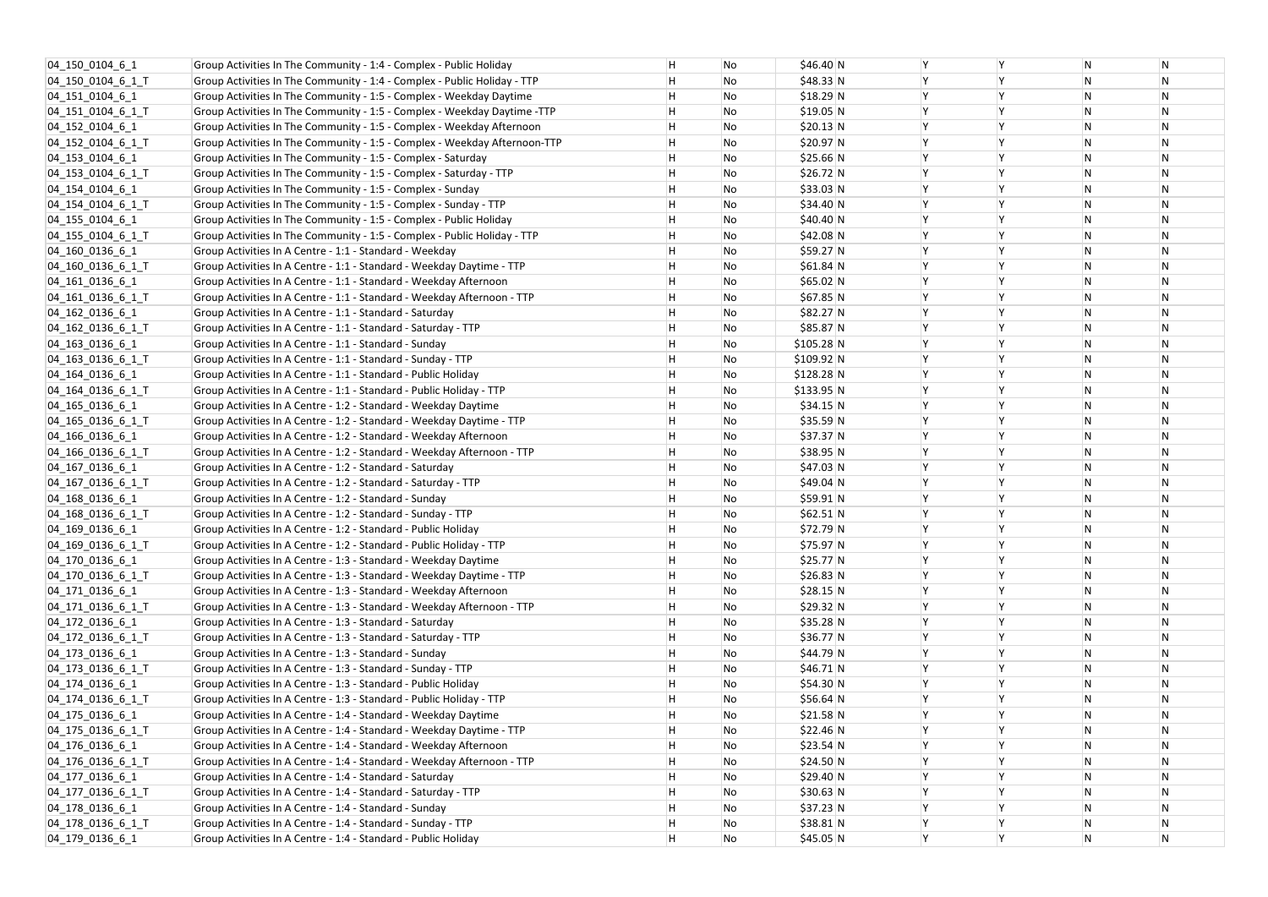| 04 150 0104 6 1               | Group Activities In The Community - 1:4 - Complex - Public Holiday        | Η | No | \$46.40 N   | Y |
|-------------------------------|---------------------------------------------------------------------------|---|----|-------------|---|
| 04 150 0104 6 1 T             | Group Activities In The Community - 1:4 - Complex - Public Holiday - TTP  | н | No | $$48.33$ N  | Υ |
| 04 151 0104 6 1               | Group Activities In The Community - 1:5 - Complex - Weekday Daytime       | Η | No | $$18.29$ N  | Υ |
| 04 151 0104 6 1 T             | Group Activities In The Community - 1:5 - Complex - Weekday Daytime -TTP  | н | No | \$19.05 N   | Υ |
| 04 152 0104 6 1               | Group Activities In The Community - 1:5 - Complex - Weekday Afternoon     | Η | No | \$20.13 N   | Υ |
| 04 152 0104 6 1 T             | Group Activities In The Community - 1:5 - Complex - Weekday Afternoon-TTP | н | No | \$20.97 N   | Υ |
| 04 153 0104 6 1               | Group Activities In The Community - 1:5 - Complex - Saturday              | Η | No | \$25.66 N   | Y |
| 04_153_0104_6_1_T             | Group Activities In The Community - 1:5 - Complex - Saturday - TTP        | Η | No | \$26.72 N   | Υ |
| 04 154 0104 6 1               | Group Activities In The Community - 1:5 - Complex - Sunday                | н | No | \$33.03 N   | Υ |
| 04 154 0104 6 1 T             | Group Activities In The Community - 1:5 - Complex - Sunday - TTP          | Η | No | \$34.40 N   | Υ |
| 04 155 0104 6 1               | Group Activities In The Community - 1:5 - Complex - Public Holiday        | н | No | \$40.40 N   | Υ |
| $[04]$ 155 $[0104]$ 6 $[1]$ T | Group Activities In The Community - 1:5 - Complex - Public Holiday - TTP  | Η | No | \$42.08 N   | Y |
| 04_160_0136_6_1               | Group Activities In A Centre - 1:1 - Standard - Weekday                   | Η | No | \$59.27 N   | Υ |
| 04_160_0136_6_1_T             | Group Activities In A Centre - 1:1 - Standard - Weekday Daytime - TTP     | Η | No | $$61.84$ N  | Υ |
| 04_161_0136_6_1               | Group Activities In A Centre - 1:1 - Standard - Weekday Afternoon         | Η | No | \$65.02 N   | Υ |
| 04_161_0136_6_1_T             | Group Activities In A Centre - 1:1 - Standard - Weekday Afternoon - TTP   | н | No | \$67.85 N   | Υ |
| 04 162 0136 6 1               | Group Activities In A Centre - 1:1 - Standard - Saturday                  | Η | No | $$82.27$ N  | Y |
| 04_162_0136_6_1_T             | Group Activities In A Centre - 1:1 - Standard - Saturday - TTP            | н | No | $$85.87$ N  | Υ |
| 04_163_0136_6_1               | Group Activities In A Centre - 1:1 - Standard - Sunday                    | Η | No | $$105.28$ N | Y |
| 04_163_0136_6_1_T             | Group Activities In A Centre - 1:1 - Standard - Sunday - TTP              | н | No | \$109.92 N  | Υ |
| 04 164 0136 6 1               | Group Activities In A Centre - 1:1 - Standard - Public Holiday            | н | No | $$128.28$ N | Y |
| 04_164_0136_6_1_T             | Group Activities In A Centre - 1:1 - Standard - Public Holiday - TTP      | н | No | \$133.95 N  | Υ |
| 04_165_0136_6_1               | Group Activities In A Centre - 1:2 - Standard - Weekday Daytime           | н | No | \$34.15 N   | Υ |
| 04_165_0136_6_1_T             | Group Activities In A Centre - 1:2 - Standard - Weekday Daytime - TTP     | Η | No | \$35.59 N   | Υ |
| 04 166 0136 6 1               | Group Activities In A Centre - 1:2 - Standard - Weekday Afternoon         | н | No | $$37.37$ N  | Υ |
| 04_166_0136_6_1_T             | Group Activities In A Centre - 1:2 - Standard - Weekday Afternoon - TTP   | Η | No | \$38.95 N   | Y |
| 04_167_0136_6_1               | Group Activities In A Centre - 1:2 - Standard - Saturday                  | Η | No | \$47.03 N   | Υ |
| $[04]$ 167 $[0136]$ 6 $[1]$ T | Group Activities In A Centre - 1:2 - Standard - Saturday - TTP            | н | No | \$49.04 N   | Υ |
| 04 168 0136 6 1               | Group Activities In A Centre - 1:2 - Standard - Sunday                    | н | No | \$59.91 N   | Υ |
| 04_168_0136_6_1_T             | Group Activities In A Centre - 1:2 - Standard - Sunday - TTP              | H | No | $$62.51$ N  | Υ |
| 04 169 0136 6 1               | Group Activities In A Centre - 1:2 - Standard - Public Holiday            | н | No | \$72.79 N   | Υ |
| 04 169 0136 6 1 T             | Group Activities In A Centre - 1:2 - Standard - Public Holiday - TTP      | Η | No | \$75.97 N   | Y |
| 04_170_0136_6_1               | Group Activities In A Centre - 1:3 - Standard - Weekday Daytime           | Η | No | $$25.77$ N  | Υ |
| 04_170_0136_6_1_T             | Group Activities In A Centre - 1:3 - Standard - Weekday Daytime - TTP     | Н | No | \$26.83 N   | Y |
| 04_171_0136_6_1               | Group Activities In A Centre - 1:3 - Standard - Weekday Afternoon         | Η | No | \$28.15 N   | Υ |
| 04 171 0136 6 1 T             | Group Activities In A Centre - 1:3 - Standard - Weekday Afternoon - TTP   | н | No | \$29.32 N   | Y |
| 04_172_0136_6_1               | Group Activities In A Centre - 1:3 - Standard - Saturday                  | н | No | $$35.28$ N  | Υ |
| 04 172 0136 6 1 T             | Group Activities In A Centre - 1:3 - Standard - Saturday - TTP            | Η | No | $$36.77$ N  | Υ |
| 04_173_0136_6_1               | Group Activities In A Centre - 1:3 - Standard - Sunday                    | Η | No | \$44.79 N   | Υ |
| 04 173 0136 6 1 T             | Group Activities In A Centre - 1:3 - Standard - Sunday - TTP              | Н | No | $$46.71$ N  | Υ |
| 04_174_0136_6_1               | Group Activities In A Centre - 1:3 - Standard - Public Holiday            | Η | No | \$54.30 N   | Y |
| 04 174 0136 6 1 T             | Group Activities In A Centre - 1:3 - Standard - Public Holiday - TTP      | н | No | \$56.64 N   | Υ |
| 04_175_0136_6_1               | Group Activities In A Centre - 1:4 - Standard - Weekday Daytime           | Н | No | \$21.58 N   | Υ |
| $[04]$ 175 $[0136]$ 6 $[1]$ T | Group Activities In A Centre - 1:4 - Standard - Weekday Daytime - TTP     | н | No | \$22.46 N   | Υ |
| 04_176_0136_6_1               | Group Activities In A Centre - 1:4 - Standard - Weekday Afternoon         | Н | No | \$23.54 N   | Y |
| 04 176 0136 6 1 T             | Group Activities In A Centre - 1:4 - Standard - Weekday Afternoon - TTP   | Η | No | \$24.50 N   | Υ |
| 04_177_0136_6_1               | Group Activities In A Centre - 1:4 - Standard - Saturday                  | н | No | \$29.40 N   | Υ |
| 04_177_0136_6_1_T             | Group Activities In A Centre - 1:4 - Standard - Saturday - TTP            | н | No | \$30.63 N   | Υ |
| 04_178_0136_6_1               | Group Activities In A Centre - 1:4 - Standard - Sunday                    | н | No | \$37.23 N   | Υ |
| 04_178_0136_6_1_T             | Group Activities In A Centre - 1:4 - Standard - Sunday - TTP              | н | No | $$38.81$ N  | Y |
| 04_179_0136_6_1               | Group Activities In A Centre - 1:4 - Standard - Public Holiday            | H | No | \$45.05 N   | Y |

| Υ | N         | N         |
|---|-----------|-----------|
| Υ | N         | ${\sf N}$ |
| Υ | N         | ${\sf N}$ |
| Y | N         | N         |
| Y | N         | N         |
| Υ | N         | N         |
| Υ | ${\sf N}$ | ${\sf N}$ |
| Υ | N         | N         |
| Y | ${\sf N}$ | N         |
| Υ | N         | N         |
| Υ | N         | N         |
| Y | N         | ${\sf N}$ |
| Υ | N         | N         |
| Υ | N         | N         |
| Υ | N         | N         |
| Υ | ${\sf N}$ | N         |
| Υ | N         | ${\sf N}$ |
| Υ | N         | N         |
| Y | N         | N         |
| Υ | N         | N         |
| Υ | ${\sf N}$ | ${\sf N}$ |
| Υ | N         | ${\sf N}$ |
| Y | N         | N         |
| Y | N         | N         |
| Υ | N         | N         |
| Υ | ${\sf N}$ | ${\sf N}$ |
| Υ | N         | N         |
| Y | N         | N         |
| Υ | N         | N         |
| Υ | N         | N         |
| Υ | N         | N         |
| Υ | N         | N         |
| Υ | N         | N         |
| Υ | N         | N         |
| Y | N         | N         |
| Υ | N         | N         |
| Υ | N         | N         |
| Υ | N         | ${\sf N}$ |
| Υ | N         | N         |
| Υ | N         | N         |
| Υ | N         | N         |
| Υ | N         | N         |
| Υ | N         | N         |
| Υ | N         | N         |
| Υ | N         | N         |
| Υ | N         | N         |
| Υ | ${\sf N}$ | N         |
| Υ | N         | N         |
| Y | N         | N         |
| Y | N         | N         |
| Υ | N         | N         |
|   |           |           |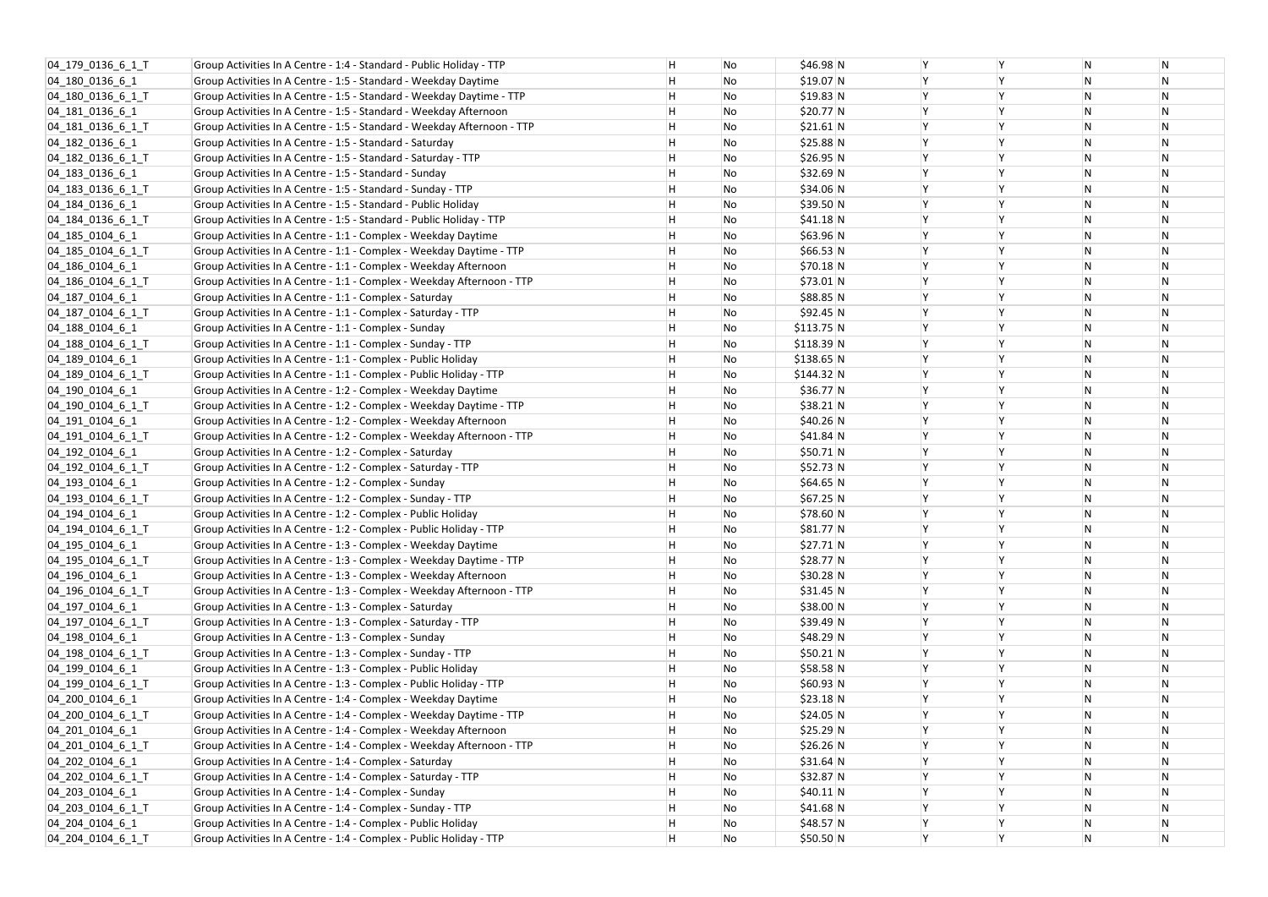| 04_179_0136_6_1_T             | Group Activities In A Centre - 1:4 - Standard - Public Holiday - TTP    | Η | No | $$46.98$ N  | Y |
|-------------------------------|-------------------------------------------------------------------------|---|----|-------------|---|
| 04 180 0136 6 1               | Group Activities In A Centre - 1:5 - Standard - Weekday Daytime         | Н | No | $$19.07$ N  | Υ |
| 04 180 0136 6 1 T             | Group Activities In A Centre - 1:5 - Standard - Weekday Daytime - TTP   | Η | No | \$19.83 N   | Υ |
| 04_181_0136_6_1               | Group Activities In A Centre - 1:5 - Standard - Weekday Afternoon       | н | No | \$20.77 N   | Υ |
| 04_181_0136_6_1_T             | Group Activities In A Centre - 1:5 - Standard - Weekday Afternoon - TTP | Η | No | $$21.61$ N  | Y |
| 04 182 0136 6 1               | Group Activities In A Centre - 1:5 - Standard - Saturday                | н | No | \$25.88 N   | Υ |
| 04_182_0136_6_1_T             | Group Activities In A Centre - 1:5 - Standard - Saturday - TTP          | Η | No | \$26.95 N   | Y |
| 04_183_0136_6_1               | Group Activities In A Centre - 1:5 - Standard - Sunday                  | Η | No | \$32.69 N   | Υ |
| 04_183_0136_6_1_T             | Group Activities In A Centre - 1:5 - Standard - Sunday - TTP            | н | No | \$34.06 N   | Υ |
| 04 184 0136 6 1               | Group Activities In A Centre - 1:5 - Standard - Public Holiday          | н | No | \$39.50 N   | Υ |
| 04 184 0136 6 1 T             | Group Activities In A Centre - 1:5 - Standard - Public Holiday - TTP    | н | No | \$41.18 N   | Υ |
| 04_185_0104_6_1               | Group Activities In A Centre - 1:1 - Complex - Weekday Daytime          | н | No | \$63.96 N   | Y |
| $[04]$ 185 $[0104]$ 6 $[1]$ T | Group Activities In A Centre - 1:1 - Complex - Weekday Daytime - TTP    | Η | No | \$66.53 N   | Υ |
| 04_186_0104_6_1               | Group Activities In A Centre - 1:1 - Complex - Weekday Afternoon        | Η | No | \$70.18 N   | Υ |
| 04 186 0104 6 1 T             | Group Activities In A Centre - 1:1 - Complex - Weekday Afternoon - TTP  | Η | No | \$73.01 N   | Y |
| 04_187_0104_6_1               | Group Activities In A Centre - 1:1 - Complex - Saturday                 | н | No | \$88.85 N   | Υ |
| 04 187 0104 6 1 T             | Group Activities In A Centre - 1:1 - Complex - Saturday - TTP           | н | No | \$92.45 N   | Y |
| 04_188_0104_6_1               | Group Activities In A Centre - 1:1 - Complex - Sunday                   | н | No | \$113.75 N  | Υ |
| 04 188 0104 6 1 T             | Group Activities In A Centre - 1:1 - Complex - Sunday - TTP             | Η | No | $$118.39$ N | Y |
| 04 189 0104 6 1               | Group Activities In A Centre - 1:1 - Complex - Public Holiday           | н | No | \$138.65 N  | Υ |
| 04 189 0104 6 1 T             | Group Activities In A Centre - 1:1 - Complex - Public Holiday - TTP     | н | No | \$144.32 N  | Y |
| 04 190 0104 6 1               | Group Activities In A Centre - 1:2 - Complex - Weekday Daytime          | н | No | \$36.77 N   | Υ |
| $[04]$ 190 $[0104]$ 6 $[1]$ T | Group Activities In A Centre - 1:2 - Complex - Weekday Daytime - TTP    | н | No | $$38.21$ N  | Υ |
| 04 191 0104 6 1               | Group Activities In A Centre - 1:2 - Complex - Weekday Afternoon        | Η | No | \$40.26 N   | Υ |
| 04 191 0104 6 1 T             | Group Activities In A Centre - 1:2 - Complex - Weekday Afternoon - TTP  | H | No | \$41.84 N   | Υ |
| 04 192 0104 6 1               | Group Activities In A Centre - 1:2 - Complex - Saturday                 | Η | No | $$50.71$ N  | Y |
| 04_192_0104_6_1_T             | Group Activities In A Centre - 1:2 - Complex - Saturday - TTP           | Η | No | \$52.73 N   | Υ |
| 04_193_0104_6_1               | Group Activities In A Centre - 1:2 - Complex - Sunday                   | н | No | \$64.65 N   | Υ |
| 04 193 0104 6 1 T             | Group Activities In A Centre - 1:2 - Complex - Sunday - TTP             | н | No | \$67.25 N   | Υ |
| 04 194 0104 6 1               | Group Activities In A Centre - 1:2 - Complex - Public Holiday           | H | No | \$78.60 N   | Υ |
| 04 194 0104 6 1 T             | Group Activities In A Centre - 1:2 - Complex - Public Holiday - TTP     | н | No | \$81.77 N   | Υ |
| 04_195_0104_6_1               | Group Activities In A Centre - 1:3 - Complex - Weekday Daytime          | Η | No | $$27.71$ N  | Y |
| 04_195_0104_6_1_T             | Group Activities In A Centre - 1:3 - Complex - Weekday Daytime - TTP    | Η | No | $$28.77$ N  | Υ |
| 04_196_0104_6_1               | Group Activities In A Centre - 1:3 - Complex - Weekday Afternoon        | Н | No | \$30.28 N   | Y |
| 04_196_0104_6_1_T             | Group Activities In A Centre - 1:3 - Complex - Weekday Afternoon - TTP  | н | No | \$31.45 N   | Υ |
| 04_197_0104_6_1               | Group Activities In A Centre - 1:3 - Complex - Saturday                 | н | No | \$38.00 N   | Y |
| 04 197 0104 6 1 T             | Group Activities In A Centre - 1:3 - Complex - Saturday - TTP           | н | No | \$39.49 N   | Υ |
| 04_198_0104_6_1               | Group Activities In A Centre - 1:3 - Complex - Sunday                   | Η | No | $$48.29$ N  | Υ |
| 04 198 0104 6 1 T             | Group Activities In A Centre - 1:3 - Complex - Sunday - TTP             | Η | No | $$50.21$ N  | Υ |
| 04_199_0104_6_1               | Group Activities In A Centre - 1:3 - Complex - Public Holiday           | Н | No | $$58.58$ N  | Υ |
| 04 199 0104 6 1 T             | Group Activities In A Centre - 1:3 - Complex - Public Holiday - TTP     | Η | No | \$60.93 N   | Y |
| 04_200_0104_6_1               | Group Activities In A Centre - 1:4 - Complex - Weekday Daytime          | н | No | $$23.18$ N  | Υ |
| 04 200 0104 6 1 T             | Group Activities In A Centre - 1:4 - Complex - Weekday Daytime - TTP    | Н | No | \$24.05 N   | Y |
| 04_201_0104_6_1               | Group Activities In A Centre - 1:4 - Complex - Weekday Afternoon        | н | No | \$25.29 N   | Υ |
| 04 201 0104 6 1 T             | Group Activities In A Centre - 1:4 - Complex - Weekday Afternoon - TTP  | Н | No | \$26.26 N   | Y |
| 04_202_0104_6_1               | Group Activities In A Centre - 1:4 - Complex - Saturday                 | Η | No | \$31.64 N   | Υ |
| 04_202_0104_6_1_T             | Group Activities In A Centre - 1:4 - Complex - Saturday - TTP           | Η | No | $$32.87$ N  | Υ |
| 04 203 0104 6 1               | Group Activities In A Centre - 1:4 - Complex - Sunday                   | Н | No | $$40.11$ N  | Υ |
| 04 203 0104 6 1 T             | Group Activities In A Centre - 1:4 - Complex - Sunday - TTP             | н | No | \$41.68 N   | Υ |
| 04 204 0104 6 1               | Group Activities In A Centre - 1:4 - Complex - Public Holiday           | н | No | $$48.57$ N  | Y |
| 04 204 0104 6 1 T             | Group Activities In A Centre - 1:4 - Complex - Public Holiday - TTP     | H | No | \$50.50 N   | Y |
|                               |                                                                         |   |    |             |   |

| Υ | N         | N         |
|---|-----------|-----------|
| Υ | N         | ${\sf N}$ |
| Υ | N         | ${\sf N}$ |
| Y | N         | N         |
| Y | N         | N         |
| Υ | N         | N         |
| Υ | ${\sf N}$ | ${\sf N}$ |
| Υ | N         | N         |
| Y | ${\sf N}$ | N         |
| Υ | N         | N         |
| Υ | N         | N         |
| Y | N         | ${\sf N}$ |
| Υ | N         | N         |
| Υ | N         | N         |
| Υ | N         | N         |
| Υ | ${\sf N}$ | N         |
| Υ | N         | ${\sf N}$ |
| Υ | N         | N         |
| Y | N         | N         |
| Υ | N         | N         |
| Υ | ${\sf N}$ | ${\sf N}$ |
| Υ | N         | ${\sf N}$ |
| Y | N         | N         |
| Y | N         | N         |
| Υ | N         | N         |
| Υ | ${\sf N}$ | ${\sf N}$ |
| Υ | N         | N         |
| Y | N         | N         |
| Υ | N         | N         |
| Υ | N         | N         |
| Υ | N         | N         |
| Υ | N         | N         |
| Υ | N         | N         |
| Υ | N         | N         |
| Y | N         | N         |
| Υ | N         | N         |
| Υ | N         | N         |
| Υ | N         | ${\sf N}$ |
| Υ | N         | N         |
| Υ | N         | N         |
| Υ | N         | N         |
| Υ | N         | N         |
| Υ | N         | N         |
| Υ | N         | N         |
| Υ | N         | N         |
| Υ | N         | N         |
| Υ | ${\sf N}$ | N         |
| Υ | N         | N         |
| Y | N         | N         |
| Y | N         | N         |
| Υ | N         | N         |
|   |           |           |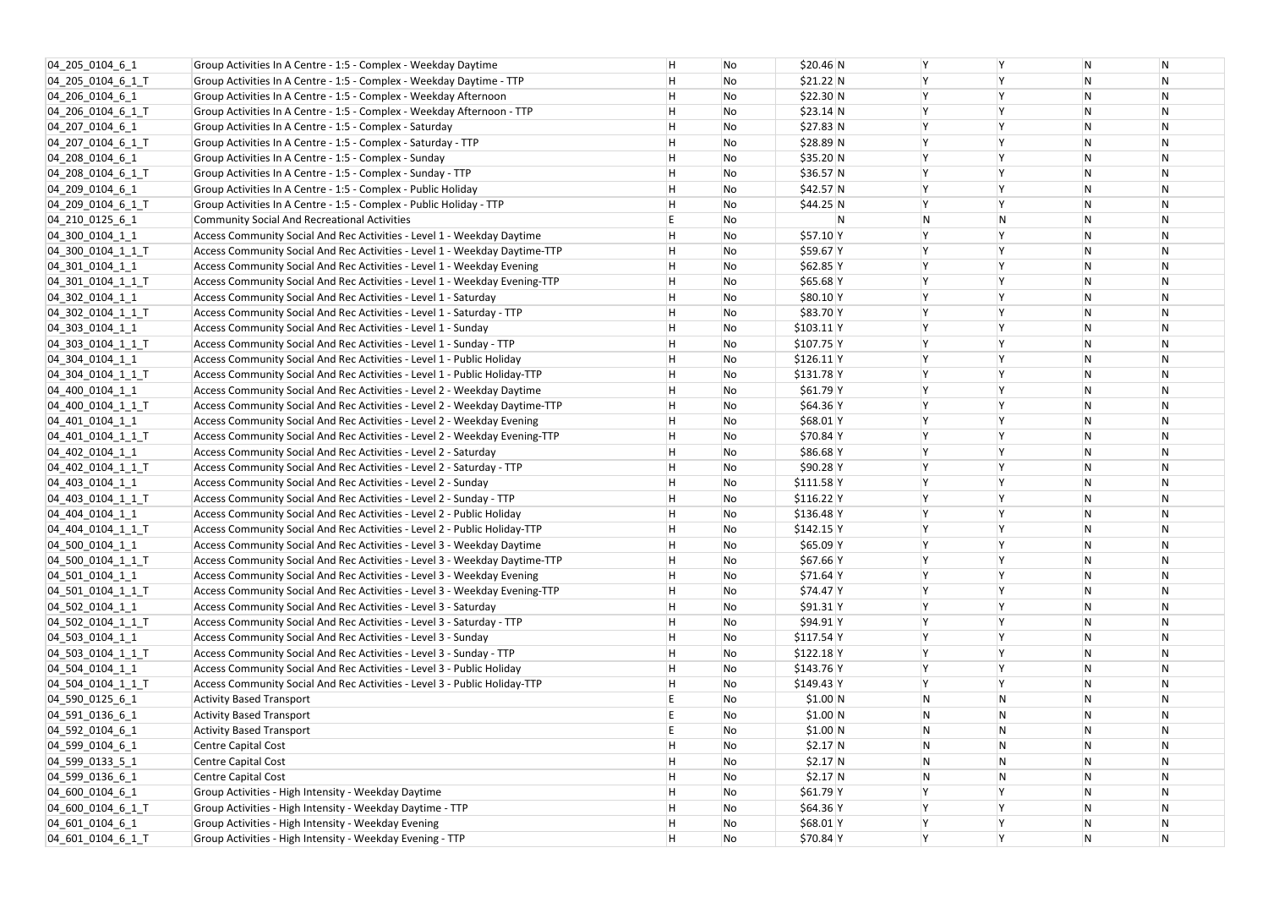| 04 205 0104 6 1     | Group Activities In A Centre - 1:5 - Complex - Weekday Daytime             | н       | No | \$20.46 N    | Y  |
|---------------------|----------------------------------------------------------------------------|---------|----|--------------|----|
| 04 205 0104 6 1 T   | Group Activities In A Centre - 1:5 - Complex - Weekday Daytime - TTP       | н       | No | \$21.22 N    | Y  |
| 04 206 0104 6 1     | Group Activities In A Centre - 1:5 - Complex - Weekday Afternoon           | н       | No | \$22.30 N    | Y  |
| 04 206 0104 6 1 T   | Group Activities In A Centre - 1:5 - Complex - Weekday Afternoon - TTP     | н       | No | \$23.14 N    | Y  |
| 04 207 0104 6 1     | Group Activities In A Centre - 1:5 - Complex - Saturday                    | Н       | No | \$27.83 N    | Y  |
| 04 207 0104 6 1 T   | Group Activities In A Centre - 1:5 - Complex - Saturday - TTP              | $\sf H$ | No | $$28.89$ N   | Y  |
| 04 208 0104 6 1     | Group Activities In A Centre - 1:5 - Complex - Sunday                      | Н       | No | \$35.20 N    | Y  |
| 04 208 0104 6 1 T   | Group Activities In A Centre - 1:5 - Complex - Sunday - TTP                | Н       | No | $$36.57$ N   | Y  |
| 04 209 0104 6 1     | Group Activities In A Centre - 1:5 - Complex - Public Holiday              | н       | No | $$42.57$ N   | Y  |
| 04 209 0104 6 1 T   | Group Activities In A Centre - 1:5 - Complex - Public Holiday - TTP        | Н       | No | $$44.25$ N   | Y  |
| 04_210_0125_6_1     | <b>Community Social And Recreational Activities</b>                        | E       | No | N            | N  |
| 04_300_0104_1_1     | Access Community Social And Rec Activities - Level 1 - Weekday Daytime     | Н       | No | \$57.10 Y    | Y  |
| $[04]$ 300 0104 1 1 | Access Community Social And Rec Activities - Level 1 - Weekday Daytime-TTP | Н       | No | $$59.67$ Y   | Y  |
| 04_301_0104_1_1     | Access Community Social And Rec Activities - Level 1 - Weekday Evening     | н       | No | $$62.85$ Y   | Y  |
| 04 301 0104 1 1 T   | Access Community Social And Rec Activities - Level 1 - Weekday Evening-TTP | Н       | No | $$65.68$ Y   | Y  |
| $[04]$ 302 0104 1 1 | Access Community Social And Rec Activities - Level 1 - Saturday            | н       | No | \$80.10 Y    | Y  |
| 04_302_0104_1_1_T   | Access Community Social And Rec Activities - Level 1 - Saturday - TTP      | Н       | No | \$83.70 Y    | Y  |
| 04_303_0104_1_1     | Access Community Social And Rec Activities - Level 1 - Sunday              | Н       | No | $$103.11$  Y | Y  |
| 04 303 0104 1 1 T   | Access Community Social And Rec Activities - Level 1 - Sunday - TTP        | Н       | No | $$107.75$ Y  | Y  |
| 04 304 0104 1 1     | Access Community Social And Rec Activities - Level 1 - Public Holiday      | Н       | No | $$126.11$  Y | Y  |
| 04 304 0104 1 1 T   | Access Community Social And Rec Activities - Level 1 - Public Holiday-TTP  | н       | No | $$131.78$ Y  | Y  |
| 04 400 0104 1 1     | Access Community Social And Rec Activities - Level 2 - Weekday Daytime     | Н       | No | $$61.79$ Y   | Y  |
| 04_400_0104_1_1_T   | Access Community Social And Rec Activities - Level 2 - Weekday Daytime-TTP | н       | No | \$64.36 Y    | Y  |
| 04 401 0104 1 1     | Access Community Social And Rec Activities - Level 2 - Weekday Evening     | Н       | No | $$68.01$ Y   | Y  |
| 04_401_0104_1_1_T   | Access Community Social And Rec Activities - Level 2 - Weekday Evening-TTP | Н       | No | $$70.84$ Y   | Y  |
| 04 402 0104 1 1     | Access Community Social And Rec Activities - Level 2 - Saturday            | Н       | No | $$86.68$ Y   | Y  |
| 04_402_0104_1_1_T   | Access Community Social And Rec Activities - Level 2 - Saturday - TTP      | Н       | No | \$90.28 Y    | Y  |
| $04_403_0104_11$    | Access Community Social And Rec Activities - Level 2 - Sunday              | н       | No | $$111.58$ Y  | Y  |
| 04_403_0104_1_1_T   | Access Community Social And Rec Activities - Level 2 - Sunday - TTP        | Н       | No | $$116.22$ Y  | Y  |
| 04 404 0104 1 1     | Access Community Social And Rec Activities - Level 2 - Public Holiday      | н       | No | $$136.48$ Y  | Y  |
| 04 404 0104 1 1 T   | Access Community Social And Rec Activities - Level 2 - Public Holiday-TTP  | H       | No | $$142.15$ Y  | Y  |
| 04_500_0104_1_1     | Access Community Social And Rec Activities - Level 3 - Weekday Daytime     | н       | No | $$65.09$ Y   | Y  |
| 04 500 0104 1 1 T   | Access Community Social And Rec Activities - Level 3 - Weekday Daytime-TTP | Н       | No | \$67.66 Y    | Y  |
| 04_501_0104_1_1     | Access Community Social And Rec Activities - Level 3 - Weekday Evening     | Н       | No | $$71.64$ Y   | Y  |
| 04 501 0104 1 1 T   | Access Community Social And Rec Activities - Level 3 - Weekday Evening-TTP | н       | No | \$74.47 Y    | Y  |
| 04 502 0104 1 1     | Access Community Social And Rec Activities - Level 3 - Saturday            | Н       | No | $$91.31$ Y   | Y  |
| 04_502_0104_1_1_T   | Access Community Social And Rec Activities - Level 3 - Saturday - TTP      | н       | No | $$94.91$ Y   |    |
| 04 503 0104 1 1     | Access Community Social And Rec Activities - Level 3 - Sunday              | Н       | No | $$117.54$ Y  | Y  |
| 04_503_0104_1_1_T   | Access Community Social And Rec Activities - Level 3 - Sunday - TTP        | Н       | No | $$122.18$ Y  | Y  |
| 04_504_0104_1_1     | Access Community Social And Rec Activities - Level 3 - Public Holiday      | Н       | No | $$143.76$ Y  | Y  |
| 04_504_0104_1_1_T   | Access Community Social And Rec Activities - Level 3 - Public Holiday-TTP  | Н       | No | $$149.43$ Y  | Y  |
| 04_590_0125_6_1     | <b>Activity Based Transport</b>                                            | E       | No | \$1.00 N     | N  |
| 04_591_0136_6_1     | <b>Activity Based Transport</b>                                            | E       | No | \$1.00 N     | N  |
| 04_592_0104_6_1     | <b>Activity Based Transport</b>                                            | E       | No | \$1.00 N     | N  |
| 04_599_0104_6_1     | Centre Capital Cost                                                        | н       | No | $$2.17$ N    | N  |
| 04_599_0133_5_1     | Centre Capital Cost                                                        | Н       | No | $$2.17$ N    | N  |
| 04_599_0136_6_1     | Centre Capital Cost                                                        | н       | No | $$2.17$ N    | N. |
| 04_600_0104_6_1     | Group Activities - High Intensity - Weekday Daytime                        | Н       | No | \$61.79 Y    | Y  |
| 04_600_0104_6_1_T   | Group Activities - High Intensity - Weekday Daytime - TTP                  | н       | No | \$64.36 Y    | Y  |
| 04 601 0104 6 1     | Group Activities - High Intensity - Weekday Evening                        | Н       | No | $$68.01$ Y   | Y  |
| 04 601 0104 6 1 T   | Group Activities - High Intensity - Weekday Evening - TTP                  | H       | No | $$70.84$ Y   | Y  |
|                     |                                                                            |         |    |              |    |

| Υ         | N         | N         |
|-----------|-----------|-----------|
| Υ         | N         | N         |
| Y         | ${\sf N}$ | N         |
| Y         | N         | N         |
| Y         | N         | N         |
| Υ         | N         | N         |
| Y         | N         | N         |
| Y         | N         | N         |
| Y         | N         | N         |
| Y         | N         | N         |
| N         | N         | N         |
| Υ         | N         | N         |
| Υ         | N         | N         |
| Υ         | N         | N         |
| Υ         | N         | N         |
| Y         | N         | ${\sf N}$ |
| Y         | N         | N         |
| Y         | N         | N         |
| Y         | N         | N         |
| Υ         | N         | N         |
| Y         | N         | ${\sf N}$ |
| Y         | N         | N         |
| Y         | N         | N         |
| Y         | N         | N         |
| Υ         | N         | N         |
| Y         | N         | ${\sf N}$ |
| Y         | N         | N         |
| Y         | N         | N         |
| Y         | N         | N         |
| Υ         | N         | N         |
| Υ         | N         | N         |
| Υ         | N         | N         |
| Υ         | N         | N         |
| Υ         | N         | N         |
| Υ         | N         | N         |
| Y         | N         | N         |
| Υ         | N         | N         |
| Y         | N         | N         |
| Υ         | N         | N         |
| Y         | N         | N         |
| Υ         | N         | N         |
| ${\sf N}$ | N         | N         |
| ${\sf N}$ | N         | N         |
| ${\sf N}$ | N         | N         |
| ${\sf N}$ | N         | N         |
| ${\sf N}$ | N         | N         |
| ${\sf N}$ | N         | ${\sf N}$ |
| Υ         | N         | N         |
| Υ         | N         | N         |
| Y         | N         | N         |
| Υ         | N         | N         |
|           |           |           |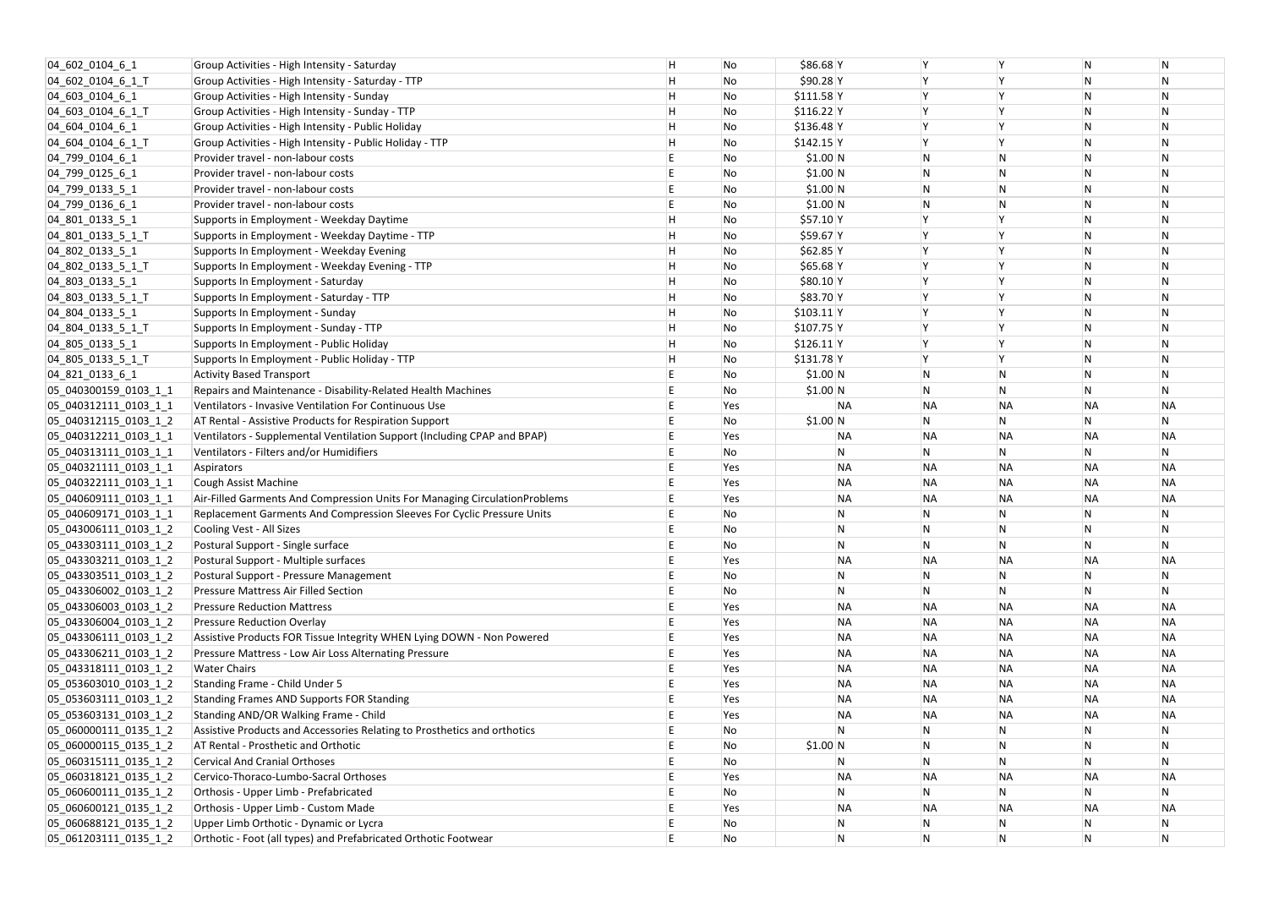| 04 602 0104 6 1                                | Group Activities - High Intensity - Saturday                               | H | No  | \$86.68 Y   |              |                |                | N            | N               |
|------------------------------------------------|----------------------------------------------------------------------------|---|-----|-------------|--------------|----------------|----------------|--------------|-----------------|
| 04 602 0104 6 1 T                              | Group Activities - High Intensity - Saturday - TTP                         | Η | No  | \$90.28 Y   |              |                |                | N            | N               |
| 04_603_0104_6_1                                | Group Activities - High Intensity - Sunday                                 | Η | No  | $$111.58$ Y |              |                |                | N            | N               |
| $[04]$ 603 0104 6 1 T                          | Group Activities - High Intensity - Sunday - TTP                           | Η | No  | $$116.22$ Y |              |                |                | N            | N               |
| 04_604_0104_6_1                                | Group Activities - High Intensity - Public Holiday                         | H | No  | $$136.48$ Y |              |                |                | N            | $\mathsf{N}$    |
| $[04]$ 604 0104 6 1                            | Group Activities - High Intensity - Public Holiday - TTP                   | H | No  | $$142.15$ Y |              |                |                | N            | $\mathsf{N}$    |
| 04 799 0104 6 1                                | Provider travel - non-labour costs                                         |   | No  | \$1.00 N    |              | N              | N              | N            | $\mathsf{N}$    |
| $[04]$ 799 0125 6 1                            | Provider travel - non-labour costs                                         |   | No  | \$1.00 N    |              | $\overline{N}$ | N              | N            | N               |
| $ 04$ 799 0133 5 1                             | Provider travel - non-labour costs                                         |   | No  | \$1.00 N    |              | N              | N              | N            | N               |
| $ 04$ 799 0136 6 1                             | Provider travel - non-labour costs                                         |   | No  | \$1.00 N    |              | ${\sf N}$      | N              | N            | $\mathsf{N}$    |
| $04$ 801 0133 5 1                              | Supports in Employment - Weekday Daytime                                   | H | No  | \$57.10 Y   |              |                |                | N            | $\mathsf{N}$    |
| $[04]$ 801 0133 5 1                            | Supports in Employment - Weekday Daytime - TTP                             | H | No  | \$59.67 Y   |              |                |                | N            | $\mathsf{N}$    |
| 04_802_0133_5_1                                | Supports In Employment - Weekday Evening                                   | Η | No  | $$62.85$ Y  |              |                |                | N            | N               |
| $04$ 802 0133 5 1 T                            | Supports In Employment - Weekday Evening - TTP                             | Н | No  | $$65.68$ Y  |              |                |                | N            | $\mathsf{N}$    |
| $ 04_803_0133_51 $                             | Supports In Employment - Saturday                                          | Η | No  | $$80.10$ Y  |              |                |                | N            | N               |
| 04_803_0133_5_1_T                              | Supports In Employment - Saturday - TTP                                    | Η | No  | \$83.70 Y   |              |                |                | N            | $\mathsf{N}$    |
| 04_804_0133_5_1                                | Supports In Employment - Sunday                                            | H | No  | $$103.11$ Y |              |                |                | N            | N               |
| $[04]$ 804 0133 5 1 T                          | Supports In Employment - Sunday - TTP                                      | Η | No  | \$107.75 Y  |              |                |                | N            | $\mathsf{N}$    |
| $ 04_805_0133_51 $                             | Supports In Employment - Public Holiday                                    | Η | No  | $$126.11$ Y |              |                |                | N            | $\mathsf{N}$    |
| $ 04_805_0133_51_T$                            | Supports In Employment - Public Holiday - TTP                              | Н | No  | $$131.78$ Y |              |                |                | N            | $\mathsf{N}$    |
| 04_821_0133_6_1                                | <b>Activity Based Transport</b>                                            |   | No  | \$1.00 N    |              | N              | N              | N            | N               |
| 05 040300159 0103 1 1                          | Repairs and Maintenance - Disability-Related Health Machines               |   | No  | \$1.00 N    |              | $\overline{N}$ | N              | N            | N               |
| 05_040312111_0103_1_1                          | Ventilators - Invasive Ventilation For Continuous Use                      |   | Yes |             | <b>NA</b>    | <b>NA</b>      | <b>NA</b>      | <b>NA</b>    | NΑ              |
| 05_040312115_0103_1_2                          | AT Rental - Assistive Products for Respiration Support                     |   | No  | \$1.00 N    |              | ${\sf N}$      | N              | N            | N               |
| 05_040312211_0103_1_1                          | Ventilators - Supplemental Ventilation Support (Including CPAP and BPAP)   |   | Yes |             | ΝA           | <b>NA</b>      | <b>NA</b>      | <b>NA</b>    | NΑ              |
| 05 040313111 0103 1 1                          | Ventilators - Filters and/or Humidifiers                                   |   | No  |             | N            | ${\sf N}$      | N              | N            | N               |
| 05_040321111_0103_1_1                          | Aspirators                                                                 |   | Yes |             | <b>NA</b>    | <b>NA</b>      | <b>NA</b>      | <b>NA</b>    | NΑ              |
| 05_040322111_0103_1_1                          | Cough Assist Machine                                                       |   | Yes |             | <b>NA</b>    | <b>NA</b>      | <b>NA</b>      | <b>NA</b>    | NΑ              |
| 05 040609111 0103 1 1                          | Air-Filled Garments And Compression Units For Managing CirculationProblems |   | Yes |             | <b>NA</b>    | <b>NA</b>      | <b>NA</b>      | <b>NA</b>    | NΑ              |
| 05 040609171 0103 1 1                          | Replacement Garments And Compression Sleeves For Cyclic Pressure Units     |   | No  |             | N.           | N              |                | N            |                 |
| 05 043006111_0103_1_2                          | Cooling Vest - All Sizes                                                   |   | No  |             | N            | $\overline{N}$ | $\mathsf{N}$   | N            | N<br>N          |
| 05 043303111 0103 1 2                          | Postural Support - Single surface                                          |   | No  |             | $\mathsf{N}$ | ${\sf N}$      | N              | N            | N               |
| 05 043303211 0103 1 2                          | Postural Support - Multiple surfaces                                       |   | Yes |             | <b>NA</b>    | <b>NA</b>      | <b>NA</b>      | <b>NA</b>    | NΑ              |
| 05 043303511 0103 1 2                          | Postural Support - Pressure Management                                     |   | No  |             | N            | N              | N              | N            | $\mathsf{N}$    |
| 05_043306002_0103_1_2                          | Pressure Mattress Air Filled Section                                       |   | No  |             | N            | N              | N              | N            | N               |
| 05_043306003_0103_1_2                          | <b>Pressure Reduction Mattress</b>                                         |   | Yes |             | <b>NA</b>    | <b>NA</b>      | <b>NA</b>      | <b>NA</b>    | NΑ              |
|                                                | <b>Pressure Reduction Overlay</b>                                          |   | Yes |             | <b>NA</b>    | <b>NA</b>      | <b>NA</b>      | <b>NA</b>    |                 |
| 05_043306004_0103_1_2<br>05 043306111 0103 1 2 | Assistive Products FOR Tissue Integrity WHEN Lying DOWN - Non Powered      |   | Yes |             | <b>NA</b>    | <b>NA</b>      | <b>NA</b>      | <b>NA</b>    | NΑ<br>NΑ        |
| 05_043306211_0103_1_2                          | Pressure Mattress - Low Air Loss Alternating Pressure                      |   | Yes |             | <b>NA</b>    | <b>NA</b>      | <b>NA</b>      | <b>NA</b>    | NΑ              |
| 05 043318111 0103 1 2                          | <b>Water Chairs</b>                                                        |   | Yes |             | <b>NA</b>    | <b>NA</b>      | <b>NA</b>      | <b>NA</b>    | <b>ΝΑ</b>       |
|                                                | Standing Frame - Child Under 5                                             |   | Yes |             | <b>NA</b>    | <b>NA</b>      | <b>NA</b>      | <b>NA</b>    |                 |
| 05_053603010_0103_1_2                          | <b>Standing Frames AND Supports FOR Standing</b>                           |   | Yes |             | <b>NA</b>    | <b>NA</b>      | <b>NA</b>      | <b>NA</b>    | NΑ              |
| 05 053603111 0103 1 2                          | Standing AND/OR Walking Frame - Child                                      |   | Yes |             | <b>NA</b>    | <b>NA</b>      | <b>NA</b>      | <b>NA</b>    | NΑ<br><b>ΝΑ</b> |
| 05_053603131_0103_1_2                          | Assistive Products and Accessories Relating to Prosthetics and orthotics   |   | No  |             | N.           |                |                | N            |                 |
| 05_060000111_0135_1_2<br>05_060000115_0135_1_2 | AT Rental - Prosthetic and Orthotic                                        |   | No  | \$1.00 N    |              | N              | N<br>N         |              | N               |
|                                                |                                                                            |   |     |             |              | $\overline{N}$ |                | N            | $\mathsf{N}$    |
| 05_060315111_0135_1_2                          | <b>Cervical And Cranial Orthoses</b>                                       |   | No  |             | N            | $\overline{N}$ | N              | N            | N               |
| 05_060318121_0135_1_2                          | Cervico-Thoraco-Lumbo-Sacral Orthoses                                      |   | Yes |             | <b>NA</b>    | <b>NA</b>      | <b>NA</b>      | <b>NA</b>    | NΑ              |
| 05 060600111 0135 1 2                          | Orthosis - Upper Limb - Prefabricated                                      |   | No  |             | $\mathsf{N}$ | N              | $\mathsf{N}$   | N            | N               |
| 05_060600121_0135_1_2                          | Orthosis - Upper Limb - Custom Made                                        |   | Yes |             | <b>NA</b>    | <b>NA</b>      | <b>NA</b>      | <b>NA</b>    | NΑ              |
| 05_060688121_0135_1_2                          | Upper Limb Orthotic - Dynamic or Lycra                                     |   | No  |             | $\mathsf{N}$ | $\overline{N}$ | $\mathsf{N}$   | N            | N               |
| 05_061203111_0135_1_2                          | Orthotic - Foot (all types) and Prefabricated Orthotic Footwear            | F | No  |             | N            | $\overline{N}$ | $\overline{N}$ | $\mathsf{N}$ | N.              |

| Υ         | N         | N            |
|-----------|-----------|--------------|
| Υ         | N         | N            |
| Υ         | N         | N            |
| Υ         | N         | N            |
| Υ         | N         | N            |
| Υ         | N         | ${\sf N}$    |
| N         | N         | N            |
| N         | N         | $\mathsf{N}$ |
| ${\sf N}$ | N         | N            |
| N         | N         | ${\sf N}$    |
| Υ         | N         | ${\sf N}$    |
| Υ         | N         | N            |
| Y         | N         | N            |
| Υ         | N         | N            |
| Υ         | N         | ${\sf N}$    |
| Υ         | N         | N            |
| Υ         | N         | N            |
| Y         | N         | N            |
| Υ         | N         | N            |
| Υ         | N         | ${\sf N}$    |
| ${\sf N}$ | N         | N            |
| N         | N         | ${\sf N}$    |
| <b>NA</b> | <b>NA</b> | <b>NA</b>    |
| N         | N         | N            |
| <b>NA</b> | <b>NA</b> | <b>NA</b>    |
| N         | N         | N            |
| <b>NA</b> | <b>NA</b> | <b>NA</b>    |
| <b>NA</b> | <b>NA</b> | <b>NA</b>    |
| <b>NA</b> | <b>NA</b> | <b>NA</b>    |
| N         | N         | N            |
| N         | N         | N            |
| N         | N         | N            |
| <b>NA</b> | <b>NA</b> | <b>NA</b>    |
| N         | N         | N            |
| N         | N         | N            |
| <b>NA</b> | <b>NA</b> | <b>NA</b>    |
| <b>NA</b> | <b>NA</b> | <b>NA</b>    |
| <b>NA</b> | <b>NA</b> | ΝA           |
| <b>NA</b> | <b>NA</b> | <b>NA</b>    |
| <b>NA</b> | <b>NA</b> | <b>NA</b>    |
| <b>NA</b> | <b>NA</b> | $\sf NA$     |
| <b>NA</b> | <b>NA</b> | <b>NA</b>    |
| <b>NA</b> | <b>NA</b> | <b>NA</b>    |
| N         | N         | N            |
| N         | N         | N            |
| N         | N         | N            |
| <b>NA</b> | <b>NA</b> | <b>NA</b>    |
| N         | N         | N            |
| $\sf NA$  | <b>NA</b> | <b>NA</b>    |
| N         | N         | N            |
| N         | N         | N            |
|           |           |              |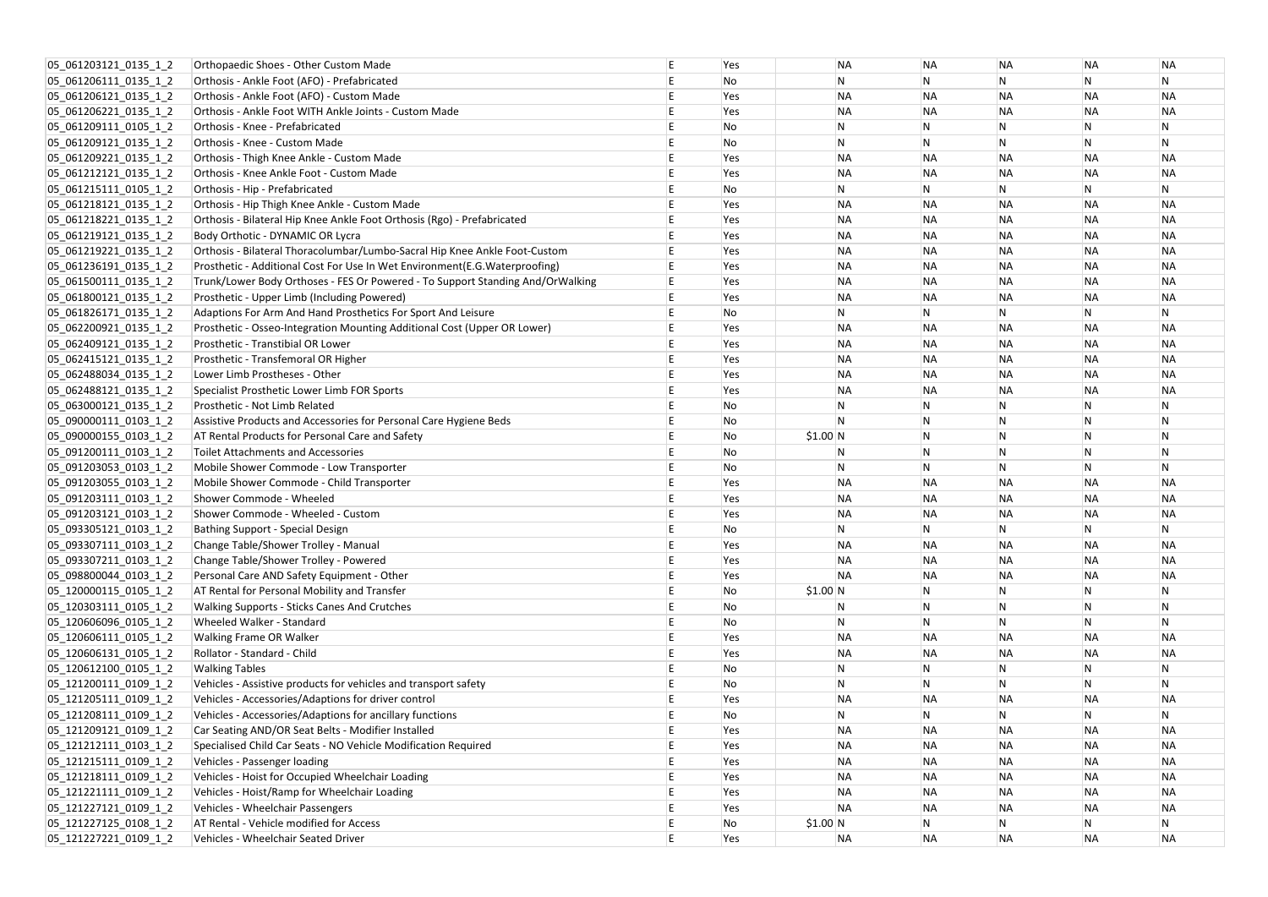| 05_061203121_0135_1_2 | Orthopaedic Shoes - Other Custom Made                                          |   | Yes | ΝA        | <b>NA</b>    | ΝA             | <b>NA</b>               | ΝA        |
|-----------------------|--------------------------------------------------------------------------------|---|-----|-----------|--------------|----------------|-------------------------|-----------|
| 05_061206111_0135_1_2 | Orthosis - Ankle Foot (AFO) - Prefabricated                                    |   | No  | N         | N            | N              | N                       | N         |
| 05 061206121 0135 1 2 | Orthosis - Ankle Foot (AFO) - Custom Made                                      |   | Yes | <b>NA</b> | <b>NA</b>    | <b>NA</b>      | <b>NA</b>               | <b>NA</b> |
| 05_061206221_0135_1_2 | Orthosis - Ankle Foot WITH Ankle Joints - Custom Made                          |   | Yes | <b>NA</b> | <b>NA</b>    | <b>NA</b>      | <b>NA</b>               | <b>NA</b> |
| 05_061209111_0105_1_2 | Orthosis - Knee - Prefabricated                                                |   | No  | N         | N            | <b>N</b>       | N                       | N         |
| 05_061209121_0135_1_2 | Orthosis - Knee - Custom Made                                                  |   | No  | N         | N            | <sup>N</sup>   | N                       | N         |
| 05 061209221 0135 1 2 | Orthosis - Thigh Knee Ankle - Custom Made                                      |   | Yes | <b>NA</b> | <b>NA</b>    | <b>NA</b>      | <b>NA</b>               | <b>NA</b> |
| 05_061212121_0135_1_2 | Orthosis - Knee Ankle Foot - Custom Made                                       |   | Yes | <b>NA</b> | <b>NA</b>    | <b>NA</b>      | <b>NA</b>               | <b>NA</b> |
| 05_061215111_0105_1_2 | Orthosis - Hip - Prefabricated                                                 |   | No  | N         | ${\sf N}$    | N              | $\overline{\mathsf{N}}$ | N         |
| 05 061218121 0135 1 2 | Orthosis - Hip Thigh Knee Ankle - Custom Made                                  |   | Yes | <b>NA</b> | <b>NA</b>    | <b>NA</b>      | <b>NA</b>               | <b>NA</b> |
| 05 061218221 0135 1 2 | Orthosis - Bilateral Hip Knee Ankle Foot Orthosis (Rgo) - Prefabricated        |   | Yes | <b>NA</b> | <b>NA</b>    | <b>NA</b>      | <b>NA</b>               | <b>NA</b> |
| 05_061219121_0135_1_2 | Body Orthotic - DYNAMIC OR Lycra                                               |   | Yes | <b>NA</b> | <b>NA</b>    | <b>NA</b>      | <b>NA</b>               | <b>NA</b> |
| 05_061219221_0135_1_2 | Orthosis - Bilateral Thoracolumbar/Lumbo-Sacral Hip Knee Ankle Foot-Custom     |   | Yes | <b>NA</b> | <b>NA</b>    | <b>NA</b>      | <b>NA</b>               | <b>NA</b> |
| 05_061236191_0135_1_2 | Prosthetic - Additional Cost For Use In Wet Environment(E.G. Waterproofing)    |   | Yes | <b>NA</b> | <b>NA</b>    | <b>NA</b>      | <b>NA</b>               | <b>NA</b> |
| 05_061500111_0135_1_2 | Trunk/Lower Body Orthoses - FES Or Powered - To Support Standing And/OrWalking |   | Yes | <b>NA</b> | <b>NA</b>    | <b>NA</b>      | <b>NA</b>               | <b>NA</b> |
| 05_061800121_0135_1_2 | Prosthetic - Upper Limb (Including Powered)                                    |   | Yes | <b>NA</b> | <b>NA</b>    | <b>NA</b>      | <b>NA</b>               | <b>NA</b> |
| 05_061826171_0135_1_2 | Adaptions For Arm And Hand Prosthetics For Sport And Leisure                   |   | No  | N         | N            | N              | N                       | N         |
| 05_062200921_0135_1_2 | Prosthetic - Osseo-Integration Mounting Additional Cost (Upper OR Lower)       |   | Yes | <b>NA</b> | <b>NA</b>    | <b>NA</b>      | <b>NA</b>               | <b>NA</b> |
| 05_062409121_0135_1_2 | Prosthetic - Transtibial OR Lower                                              |   | Yes | <b>NA</b> | <b>NA</b>    | <b>NA</b>      | <b>NA</b>               | <b>NA</b> |
| 05_062415121_0135_1_2 | Prosthetic - Transfemoral OR Higher                                            |   | Yes | <b>NA</b> | <b>NA</b>    | <b>NA</b>      | <b>NA</b>               | <b>NA</b> |
| 05_062488034_0135_1_2 | Lower Limb Prostheses - Other                                                  |   | Yes | <b>NA</b> | <b>NA</b>    | <b>NA</b>      | <b>NA</b>               | <b>NA</b> |
| 05_062488121_0135_1_2 | Specialist Prosthetic Lower Limb FOR Sports                                    |   | Yes | <b>NA</b> | <b>NA</b>    | <b>NA</b>      | <b>NA</b>               | <b>NA</b> |
| 05_063000121_0135_1_2 | Prosthetic - Not Limb Related                                                  |   | No  | N         | N            | N              | N                       | N         |
| 05_090000111_0103_1_2 | Assistive Products and Accessories for Personal Care Hygiene Beds              |   | No  | N         | N            | <b>N</b>       | $\mathsf{N}$            | N         |
| 05_090000155_0103_1_2 | AT Rental Products for Personal Care and Safety                                |   | No  | \$1.00 N  | N            | $\mathsf{N}$   | $\mathsf{N}$            | N         |
| 05 091200111 0103 1 2 | Toilet Attachments and Accessories                                             |   | No  | N         | <b>N</b>     | $\overline{N}$ | $\mathsf{N}$            | N         |
| 05_091203053_0103_1_2 | Mobile Shower Commode - Low Transporter                                        |   | No  | N         | N            | $\overline{N}$ | $\overline{\mathsf{N}}$ | N         |
| 05_091203055_0103_1_2 | Mobile Shower Commode - Child Transporter                                      |   | Yes | <b>NA</b> | <b>NA</b>    | <b>NA</b>      | <b>NA</b>               | <b>NA</b> |
| 05 091203111 0103 1 2 | Shower Commode - Wheeled                                                       |   | Yes | <b>NA</b> | <b>NA</b>    | <b>NA</b>      | <b>NA</b>               | <b>NA</b> |
| 05 091203121 0103 1 2 | Shower Commode - Wheeled - Custom                                              |   | Yes | ΝA        | <b>NA</b>    | <b>NA</b>      | <b>NA</b>               | <b>NA</b> |
| 05 093305121 0103 1 2 | Bathing Support - Special Design                                               |   | No  | N         | N            | N              | N                       | N         |
| 05 093307111 0103 1 2 | Change Table/Shower Trolley - Manual                                           |   | Yes | <b>NA</b> | <b>NA</b>    | <b>NA</b>      | <b>NA</b>               | <b>NA</b> |
| 05 093307211 0103 1 2 | Change Table/Shower Trolley - Powered                                          |   | Yes | <b>NA</b> | <b>NA</b>    | <b>NA</b>      | <b>NA</b>               | <b>NA</b> |
| 05_098800044_0103_1_2 | Personal Care AND Safety Equipment - Other                                     |   | Yes | <b>NA</b> | <b>NA</b>    | <b>NA</b>      | <b>NA</b>               | <b>NA</b> |
| 05_120000115_0105_1_2 | AT Rental for Personal Mobility and Transfer                                   |   | No  | \$1.00 N  | N            | N              | N                       | N         |
| 05_120303111_0105_1_2 | Walking Supports - Sticks Canes And Crutches                                   |   | No  | N         |              | <b>N</b>       | $\mathsf{N}$            |           |
| 05_120606096_0105_1_2 | Wheeled Walker - Standard                                                      |   | No  | N         | N            | $\mathsf{N}$   | $\mathsf N$             | N         |
| 05 120606111 0105 1 2 | Walking Frame OR Walker                                                        |   | Yes | <b>NA</b> | <b>NA</b>    | <b>NA</b>      | <b>NA</b>               | <b>NA</b> |
| 05_120606131_0105_1_2 | Rollator - Standard - Child                                                    |   | Yes | <b>NA</b> | <b>NA</b>    | <b>NA</b>      | <b>NA</b>               | <b>NA</b> |
| 05_120612100_0105_1_2 | <b>Walking Tables</b>                                                          |   | No  | N         | $\mathsf{N}$ | N              | N                       | Ν         |
| 05_121200111_0109_1_2 | Vehicles - Assistive products for vehicles and transport safety                |   | No  | N         | N            | <b>N</b>       | N                       | N         |
| 05 121205111 0109 1 2 | Vehicles - Accessories/Adaptions for driver control                            |   | Yes | <b>NA</b> | <b>NA</b>    | <b>NA</b>      | <b>NA</b>               | <b>NA</b> |
| 05_121208111_0109_1_2 | Vehicles - Accessories/Adaptions for ancillary functions                       |   | No  | N         | $\mathsf{N}$ | N              | N                       | N         |
| 05_121209121_0109_1_2 | Car Seating AND/OR Seat Belts - Modifier Installed                             |   | Yes | <b>NA</b> | <b>NA</b>    | <b>NA</b>      | <b>NA</b>               | <b>NA</b> |
| 05 121212111 0103 1 2 | Specialised Child Car Seats - NO Vehicle Modification Required                 |   | Yes | <b>NA</b> | <b>NA</b>    | <b>NA</b>      | <b>NA</b>               | <b>NA</b> |
| 05 121215111 0109 1 2 | Vehicles - Passenger loading                                                   |   | Yes | <b>NA</b> | <b>NA</b>    | <b>NA</b>      | <b>NA</b>               | <b>NA</b> |
| 05_121218111_0109_1_2 | Vehicles - Hoist for Occupied Wheelchair Loading                               |   | Yes | <b>NA</b> | <b>NA</b>    | <b>NA</b>      | <b>NA</b>               | <b>NA</b> |
| 05_121221111_0109_1_2 | Vehicles - Hoist/Ramp for Wheelchair Loading                                   |   | Yes | <b>NA</b> | <b>NA</b>    | <b>NA</b>      | <b>NA</b>               | <b>NA</b> |
| 05 121227121 0109 1 2 | Vehicles - Wheelchair Passengers                                               |   | Yes | <b>NA</b> | <b>NA</b>    | <b>NA</b>      | <b>NA</b>               | <b>NA</b> |
| 05_121227125_0108_1_2 | AT Rental - Vehicle modified for Access                                        |   | No  | \$1.00 N  | $\mathsf{N}$ | N              | N                       | N         |
| 05_121227221_0109_1_2 | Vehicles - Wheelchair Seated Driver                                            | E | Yes | <b>NA</b> | <b>NA</b>    | <b>NA</b>      | <b>NA</b>               | <b>NA</b> |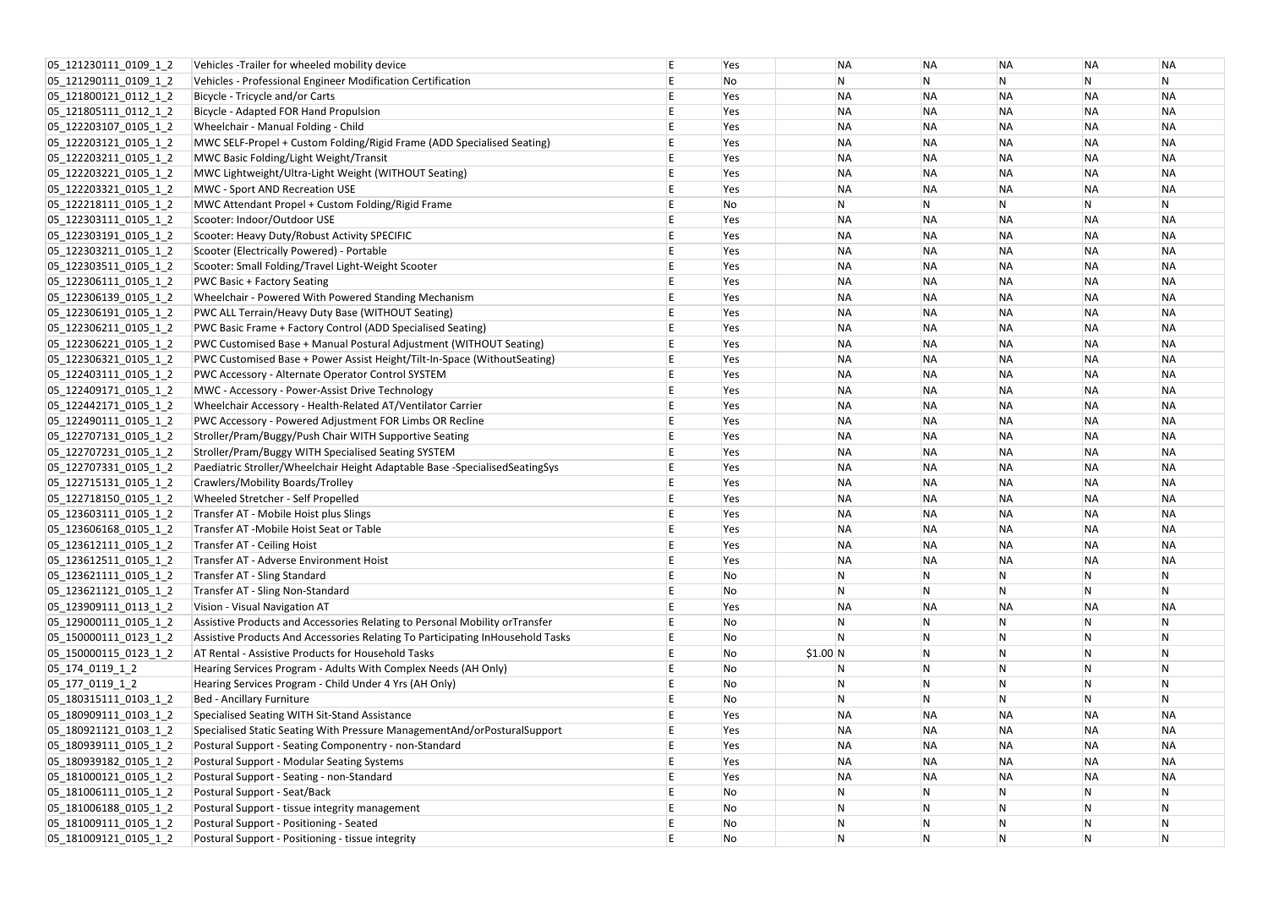| 05 121230111 0109 1 2    | Vehicles - Trailer for wheeled mobility device                                 |   | Yes | ΝA             | <b>NA</b>    | ΝA             | <b>NA</b>      | ΝA        |
|--------------------------|--------------------------------------------------------------------------------|---|-----|----------------|--------------|----------------|----------------|-----------|
| 05 121290111 0109 1 2    | Vehicles - Professional Engineer Modification Certification                    |   | No  | N              | N            | N              | N              | N         |
| 05_121800121_0112_1_2    | Bicycle - Tricycle and/or Carts                                                |   | Yes | <b>NA</b>      | <b>NA</b>    | <b>NA</b>      | <b>NA</b>      | <b>NA</b> |
| 05_121805111_0112_1_2    | Bicycle - Adapted FOR Hand Propulsion                                          |   | Yes | ΝA             | <b>NA</b>    | <b>NA</b>      | <b>NA</b>      | <b>NA</b> |
| 05_122203107_0105_1_2    | Wheelchair - Manual Folding - Child                                            |   | Yes | <b>NA</b>      | <b>NA</b>    | <b>NA</b>      | <b>NA</b>      | <b>NA</b> |
| 05_122203121_0105_1_2    | MWC SELF-Propel + Custom Folding/Rigid Frame (ADD Specialised Seating)         |   | Yes | <b>NA</b>      | <b>NA</b>    | <b>NA</b>      | <b>NA</b>      | <b>NA</b> |
| 05 122203211 0105 1 2    | MWC Basic Folding/Light Weight/Transit                                         |   | Yes | <b>NA</b>      | <b>NA</b>    | <b>NA</b>      | <b>NA</b>      | <b>NA</b> |
| 05 122203221 0105 1 2    | MWC Lightweight/Ultra-Light Weight (WITHOUT Seating)                           |   | Yes | <b>NA</b>      | <b>NA</b>    | <b>NA</b>      | <b>NA</b>      | <b>NA</b> |
| 05_122203321_0105_1_2    | <b>MWC - Sport AND Recreation USE</b>                                          |   | Yes | <b>NA</b>      | <b>NA</b>    | <b>NA</b>      | <b>NA</b>      | <b>NA</b> |
| 05_122218111_0105_1_2    | MWC Attendant Propel + Custom Folding/Rigid Frame                              |   | No  | N              | N            | N              | N              | N         |
| 05_122303111_0105_1_2    | Scooter: Indoor/Outdoor USE                                                    |   | Yes | <b>NA</b>      | <b>NA</b>    | <b>NA</b>      | <b>NA</b>      | <b>NA</b> |
| 05_122303191_0105_1_2    | Scooter: Heavy Duty/Robust Activity SPECIFIC                                   |   | Yes | <b>NA</b>      | <b>NA</b>    | <b>NA</b>      | <b>NA</b>      | <b>NA</b> |
| 05_122303211_0105_1_2    | Scooter (Electrically Powered) - Portable                                      |   | Yes | <b>NA</b>      | <b>NA</b>    | <b>NA</b>      | <b>NA</b>      | <b>NA</b> |
| 05_122303511_0105_1_2    | Scooter: Small Folding/Travel Light-Weight Scooter                             |   | Yes | <b>NA</b>      | <b>NA</b>    | <b>NA</b>      | <b>NA</b>      | <b>NA</b> |
| 05_122306111_0105_1_2    | <b>PWC Basic + Factory Seating</b>                                             |   | Yes | <b>NA</b>      | <b>NA</b>    | <b>NA</b>      | <b>NA</b>      | <b>NA</b> |
| 05 122306139 0105 1 2    | Wheelchair - Powered With Powered Standing Mechanism                           |   | Yes | <b>NA</b>      | <b>NA</b>    | <b>NA</b>      | <b>NA</b>      | <b>NA</b> |
| 05_122306191_0105_1_2    | PWC ALL Terrain/Heavy Duty Base (WITHOUT Seating)                              |   | Yes | <b>NA</b>      | <b>NA</b>    | <b>NA</b>      | <b>NA</b>      | <b>NA</b> |
| 05 122306211 0105 1 2    | PWC Basic Frame + Factory Control (ADD Specialised Seating)                    |   | Yes | ΝA             | <b>NA</b>    | <b>NA</b>      | <b>NA</b>      | <b>NA</b> |
| 05 122306221 0105 1 2    | PWC Customised Base + Manual Postural Adjustment (WITHOUT Seating)             |   | Yes | <b>NA</b>      | <b>NA</b>    | <b>NA</b>      | <b>NA</b>      | <b>NA</b> |
| 05_122306321_0105_1_2    | PWC Customised Base + Power Assist Height/Tilt-In-Space (WithoutSeating)       |   | Yes | <b>NA</b>      | <b>NA</b>    | <b>NA</b>      | <b>NA</b>      | <b>NA</b> |
| 05_122403111_0105_1_2    | PWC Accessory - Alternate Operator Control SYSTEM                              |   | Yes | <b>NA</b>      | <b>NA</b>    | <b>NA</b>      | <b>NA</b>      | <b>NA</b> |
| 05 122409171 0105 1 2    | MWC - Accessory - Power-Assist Drive Technology                                |   | Yes | <b>NA</b>      | <b>NA</b>    | <b>NA</b>      | <b>NA</b>      | <b>NA</b> |
| 05_122442171_0105_1_2    | Wheelchair Accessory - Health-Related AT/Ventilator Carrier                    |   | Yes | ΝA             | <b>NA</b>    | <b>NA</b>      | <b>NA</b>      | <b>NA</b> |
| 05_122490111_0105_1_2    | PWC Accessory - Powered Adjustment FOR Limbs OR Recline                        |   | Yes | <b>NA</b>      | <b>NA</b>    | <b>NA</b>      | <b>NA</b>      | <b>NA</b> |
| 05 122707131 0105 1 2    | Stroller/Pram/Buggy/Push Chair WITH Supportive Seating                         |   | Yes | <b>NA</b>      | <b>NA</b>    | <b>NA</b>      | <b>NA</b>      | <b>NA</b> |
| 05 122707231 0105 1 2    | Stroller/Pram/Buggy WITH Specialised Seating SYSTEM                            |   | Yes | <b>NA</b>      | <b>NA</b>    | <b>NA</b>      | <b>NA</b>      | <b>NA</b> |
| 05_122707331_0105_1_2    | Paediatric Stroller/Wheelchair Height Adaptable Base -SpecialisedSeatingSys    |   | Yes | <b>NA</b>      | <b>NA</b>    | <b>NA</b>      | <b>NA</b>      | <b>NA</b> |
| 05 122715131 0105 1 2    | Crawlers/Mobility Boards/Trolley                                               |   | Yes | <b>NA</b>      | <b>NA</b>    | <b>NA</b>      | <b>NA</b>      | <b>NA</b> |
| 05 122718150 0105 1 2    | Wheeled Stretcher - Self Propelled                                             |   | Yes | <b>NA</b>      | <b>NA</b>    | <b>NA</b>      | <b>NA</b>      | <b>NA</b> |
| 05 123603111 0105 1 2    | Transfer AT - Mobile Hoist plus Slings                                         |   | Yes | <b>NA</b>      | <b>NA</b>    | ΝA             | <b>NA</b>      | <b>NA</b> |
| 05 123606168 0105 1 2    | Transfer AT -Mobile Hoist Seat or Table                                        |   | Yes | <b>NA</b>      | <b>NA</b>    | ΝA             | <b>NA</b>      | <b>NA</b> |
| 05_123612111_0105_1_2    | Transfer AT - Ceiling Hoist                                                    |   | Yes | <b>NA</b>      | <b>NA</b>    | <b>NA</b>      | <b>NA</b>      | <b>NA</b> |
| 05_123612511_0105_1_2    | Transfer AT - Adverse Environment Hoist                                        |   | Yes | <b>NA</b>      | <b>NA</b>    | <b>NA</b>      | <b>NA</b>      | <b>NA</b> |
| 05 123621111 0105 1 2    | Transfer AT - Sling Standard                                                   |   | No  | $\mathsf{N}$   | N            | N              | N              | N         |
| 05 123621121 0105 1 2    | Transfer AT - Sling Non-Standard                                               |   | No  | N              | N            | N              | $\overline{N}$ | N         |
| 05_123909111_0113_1_2    | Vision - Visual Navigation AT                                                  |   | Yes | <b>NA</b>      | <b>NA</b>    | <b>NA</b>      | <b>NA</b>      | <b>NA</b> |
| 05 129000111 0105 1 2    | Assistive Products and Accessories Relating to Personal Mobility orTransfer    |   | No  | N              |              | N              | N              | N         |
| 05 150000111 0123 1 2    | Assistive Products And Accessories Relating To Participating InHousehold Tasks |   | No  | $\overline{N}$ | N            | $\overline{N}$ | ${\sf N}$      | N         |
| 05_150000115_0123_1_2    | AT Rental - Assistive Products for Household Tasks                             |   | No  | \$1.00 N       | N            | N              | $\mathsf{N}$   | N         |
| $ 05_174_0119_12 $       | Hearing Services Program - Adults With Complex Needs (AH Only)                 |   | No  | N              | N            | N              | $\overline{N}$ | N         |
| $ 05 \t177 \t0119 \t1$ 2 | Hearing Services Program - Child Under 4 Yrs (AH Only)                         |   | No  | $\overline{N}$ |              | N              | $\mathsf{N}$   | N         |
| 05_180315111_0103_1_2    | <b>Bed - Ancillary Furniture</b>                                               |   | No  | N              | N            | N              | $\overline{N}$ | N         |
| 05_180909111_0103_1_2    | Specialised Seating WITH Sit-Stand Assistance                                  |   | Yes | <b>NA</b>      | <b>NA</b>    | <b>NA</b>      | <b>NA</b>      | <b>NA</b> |
| 05_180921121_0103_1_2    | Specialised Static Seating With Pressure ManagementAnd/orPosturalSupport       |   | Yes | <b>NA</b>      | <b>NA</b>    | <b>NA</b>      | <b>NA</b>      | <b>NA</b> |
| 05_180939111_0105_1_2    | Postural Support - Seating Componentry - non-Standard                          |   | Yes | <b>NA</b>      | <b>NA</b>    | <b>NA</b>      | <b>NA</b>      | <b>NA</b> |
| 05_180939182_0105_1_2    | Postural Support - Modular Seating Systems                                     |   | Yes | <b>NA</b>      | <b>NA</b>    | <b>NA</b>      | <b>NA</b>      | <b>NA</b> |
| 05_181000121_0105_1_2    | Postural Support - Seating - non-Standard                                      |   | Yes | <b>NA</b>      | <b>NA</b>    | <b>NA</b>      | <b>NA</b>      | <b>NA</b> |
| 05 181006111 0105 1 2    | Postural Support - Seat/Back                                                   |   | No  | $\mathsf{N}$   | N            | N              | N              | N         |
| 05_181006188_0105_1_2    | Postural Support - tissue integrity management                                 |   | No  | $\overline{N}$ | N            | N              | $\mathsf{N}$   | N         |
| 05_181009111_0105_1_2    | Postural Support - Positioning - Seated                                        |   | No  | $\overline{N}$ | N            | $\overline{N}$ | ${\sf N}$      | Ν         |
| 05_181009121_0105_1_2    | Postural Support - Positioning - tissue integrity                              | E | No  | $\overline{N}$ | $\mathsf{N}$ | $\mathsf{N}$   | N              | N         |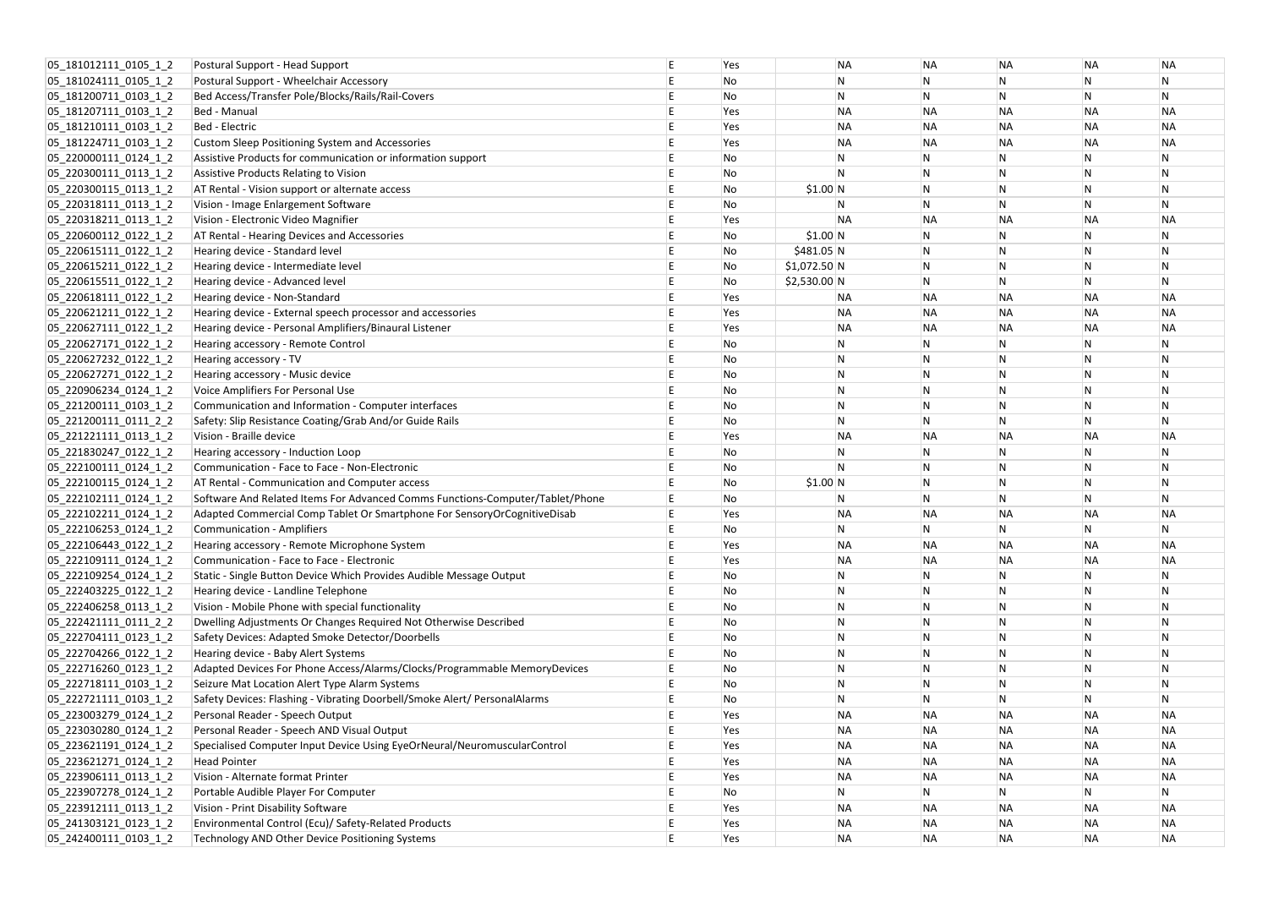| 05_181012111_0105_1_2 | Postural Support - Head Support                                               | Yes | <b>NA</b>      | <b>NA</b>    | <b>NA</b>      | <b>NA</b>               | ΝA        |
|-----------------------|-------------------------------------------------------------------------------|-----|----------------|--------------|----------------|-------------------------|-----------|
| 05 181024111 0105 1 2 | Postural Support - Wheelchair Accessory                                       | No  | N              |              | N              | $\mathsf{N}$            | N         |
| 05 181200711 0103 1 2 | Bed Access/Transfer Pole/Blocks/Rails/Rail-Covers                             | No  | N              | N            | $\overline{N}$ | $\mathsf{N}$            | N         |
| 05_181207111_0103_1_2 | Bed - Manual                                                                  | Yes | <b>NA</b>      | <b>NA</b>    | <b>NA</b>      | <b>NA</b>               | <b>NA</b> |
| 05_181210111_0103_1_2 | Bed - Electric                                                                | Yes | <b>NA</b>      | <b>NA</b>    | <b>NA</b>      | <b>NA</b>               | <b>NA</b> |
| 05_181224711_0103_1_2 | <b>Custom Sleep Positioning System and Accessories</b>                        | Yes | <b>NA</b>      | <b>NA</b>    | <b>NA</b>      | <b>NA</b>               | <b>NA</b> |
| 05 220000111 0124 1 2 | Assistive Products for communication or information support                   | No  | N              | N            | N              | $\mathsf N$             | Ν         |
| 05 220300111 0113 1 2 | Assistive Products Relating to Vision                                         | No  | N              | N            | N              | $\mathsf{N}$            | N         |
| 05 220300115 0113 1 2 | AT Rental - Vision support or alternate access                                | No  | \$1.00 N       |              | N              | $\mathsf{N}$            | N         |
| 05_220318111_0113_1_2 | Vision - Image Enlargement Software                                           | No  | N              | N            | N              | $\overline{\mathsf{N}}$ | N         |
| 05_220318211_0113_1_2 | Vision - Electronic Video Magnifier                                           | Yes | <b>NA</b>      | <b>NA</b>    | <b>NA</b>      | <b>NA</b>               | <b>NA</b> |
| 05_220600112_0122_1_2 | AT Rental - Hearing Devices and Accessories                                   | No  | \$1.00 N       | $\mathsf{N}$ | N              | $\mathsf N$             | Ν         |
| 05_220615111_0122_1_2 | Hearing device - Standard level                                               | No  | \$481.05 N     | $\mathsf{N}$ | <b>N</b>       | N                       | N         |
| 05_220615211_0122_1_2 | Hearing device - Intermediate level                                           | No  | $$1,072.50$ N  |              | N              | $\mathsf{N}$            | N         |
| 05_220615511_0122_1_2 | Hearing device - Advanced level                                               | No  | $$2,530.00$ N  | N            | N              | $\overline{\mathsf{N}}$ | N         |
| 05_220618111_0122_1_2 | Hearing device - Non-Standard                                                 | Yes | <b>NA</b>      | <b>NA</b>    | <b>NA</b>      | <b>NA</b>               | <b>NA</b> |
| 05_220621211_0122_1_2 | Hearing device - External speech processor and accessories                    | Yes | <b>NA</b>      | <b>NA</b>    | <b>NA</b>      | <b>NA</b>               | <b>NA</b> |
| 05 220627111 0122 1 2 | Hearing device - Personal Amplifiers/Binaural Listener                        | Yes | <b>NA</b>      | <b>NA</b>    | <b>NA</b>      | <b>NA</b>               | <b>NA</b> |
| 05 220627171 0122 1 2 | Hearing accessory - Remote Control                                            | No  | N              | N            | N              | $\overline{\mathsf{N}}$ | N         |
| 05_220627232_0122_1_2 | Hearing accessory - TV                                                        | No  | N              | N            | <b>N</b>       | $\mathsf{N}$            | N         |
| 05_220627271_0122_1_2 | Hearing accessory - Music device                                              | No  | $\overline{N}$ | N            | N              | $\mathsf{N}$            | N         |
| 05_220906234_0124_1_2 | Voice Amplifiers For Personal Use                                             | No  | $\overline{N}$ | N            | N              | $\mathsf{N}$            | N         |
| 05_221200111_0103_1_2 | Communication and Information - Computer interfaces                           | No  | N              | N            | <b>N</b>       | $\mathsf{N}$            | N         |
| 05_221200111_0111_2_2 | Safety: Slip Resistance Coating/Grab And/or Guide Rails                       | No  | N              | N            | N              | $\mathsf{N}$            | N         |
| 05 221221111 0113 1 2 | Vision - Braille device                                                       | Yes | <b>NA</b>      | <b>NA</b>    | <b>NA</b>      | <b>NA</b>               | <b>NA</b> |
| 05 221830247 0122 1 2 | Hearing accessory - Induction Loop                                            | No  | N              | N            | N              | N                       | N         |
| 05_222100111_0124_1_2 | Communication - Face to Face - Non-Electronic                                 | No  | N              | N            | N              | $\mathsf{N}$            | N         |
| 05 222100115 0124 1 2 | AT Rental - Communication and Computer access                                 | No  | \$1.00 N       | N            | N              | $\mathsf{N}$            | N         |
| 05 222102111 0124 1 2 | Software And Related Items For Advanced Comms Functions-Computer/Tablet/Phone | No  | N              | N            | N              | $\mathsf{N}$            | N         |
| 05_222102211_0124_1_2 | Adapted Commercial Comp Tablet Or Smartphone For SensoryOrCognitiveDisab      | Yes | <b>NA</b>      | <b>NA</b>    | <b>NA</b>      | <b>NA</b>               | <b>NA</b> |
| 05 222106253 0124 1 2 | <b>Communication - Amplifiers</b>                                             | No  | N              | N            | N              | N                       | N         |
| 05_222106443_0122_1_2 | Hearing accessory - Remote Microphone System                                  | Yes | <b>NA</b>      | <b>NA</b>    | <b>NA</b>      | <b>NA</b>               | <b>NA</b> |
| 05_222109111_0124_1_2 | Communication - Face to Face - Electronic                                     | Yes | <b>NA</b>      | <b>NA</b>    | <b>NA</b>      | <b>NA</b>               | <b>NA</b> |
| 05_222109254_0124_1_2 | Static - Single Button Device Which Provides Audible Message Output           | No  | N              | N            | $\mathsf{N}$   | N                       | N         |
| 05_222403225_0122_1_2 | Hearing device - Landline Telephone                                           | No  | N              | N            | N              | $\mathsf{N}$            | N         |
| 05_222406258_0113_1_2 | Vision - Mobile Phone with special functionality                              | No  | $\overline{N}$ |              | $\mathsf{N}$   | $\mathsf{N}$            | N         |
| 05 222421111 0111 2 2 | Dwelling Adjustments Or Changes Required Not Otherwise Described              | No  | N              | N            | N              | $\mathsf{N}$            | N         |
| 05 222704111 0123 1 2 | Safety Devices: Adapted Smoke Detector/Doorbells                              | No  | $\overline{N}$ | N            | $\overline{N}$ | $\mathsf{N}$            | Ν         |
| 05_222704266_0122_1_2 | Hearing device - Baby Alert Systems                                           | No  | $\mathsf{N}$   | N            | $\mathsf{N}$   | $\mathsf{N}$            | N         |
| 05_222716260_0123_1_2 | Adapted Devices For Phone Access/Alarms/Clocks/Programmable MemoryDevices     | No  | $\overline{N}$ | N            | N              | $\mathsf{N}$            | N         |
| 05 222718111 0103 1 2 | Seizure Mat Location Alert Type Alarm Systems                                 | No  | $\overline{N}$ |              | N              | $\mathsf{N}$            | N         |
| 05 222721111 0103 1 2 | Safety Devices: Flashing - Vibrating Doorbell/Smoke Alert/ PersonalAlarms     | No  | N              | N            | $\overline{N}$ | $\overline{\mathsf{N}}$ | N         |
| 05_223003279_0124_1_2 | Personal Reader - Speech Output                                               | Yes | <b>NA</b>      | <b>NA</b>    | <b>NA</b>      | <b>NA</b>               | <b>NA</b> |
| 05_223030280_0124_1_2 | Personal Reader - Speech AND Visual Output                                    | Yes | <b>NA</b>      | <b>NA</b>    | <b>NA</b>      | <b>NA</b>               | <b>NA</b> |
| 05_223621191_0124_1_2 | Specialised Computer Input Device Using EyeOrNeural/NeuromuscularControl      | Yes | <b>NA</b>      | <b>NA</b>    | <b>NA</b>      | <b>NA</b>               | <b>NA</b> |
| 05_223621271_0124_1_2 | <b>Head Pointer</b>                                                           | Yes | <b>NA</b>      | <b>NA</b>    | <b>NA</b>      | <b>NA</b>               | <b>NA</b> |
| 05_223906111_0113_1_2 | Vision - Alternate format Printer                                             | Yes | <b>NA</b>      | <b>NA</b>    | <b>NA</b>      | <b>NA</b>               | <b>NA</b> |
| 05_223907278_0124_1_2 | Portable Audible Player For Computer                                          | No  | N              | N            | $\mathsf{N}$   | N                       | N         |
| 05 223912111 0113 1 2 | Vision - Print Disability Software                                            | Yes | <b>NA</b>      | <b>NA</b>    | <b>NA</b>      | <b>NA</b>               | <b>NA</b> |
| 05_241303121_0123_1_2 | Environmental Control (Ecu)/ Safety-Related Products                          | Yes | <b>NA</b>      | <b>NA</b>    | <b>NA</b>      | <b>NA</b>               | <b>NA</b> |
| 05_242400111_0103_1_2 | Technology AND Other Device Positioning Systems                               | Yes | <b>NA</b>      | <b>NA</b>    | <b>NA</b>      | <b>NA</b>               | <b>NA</b> |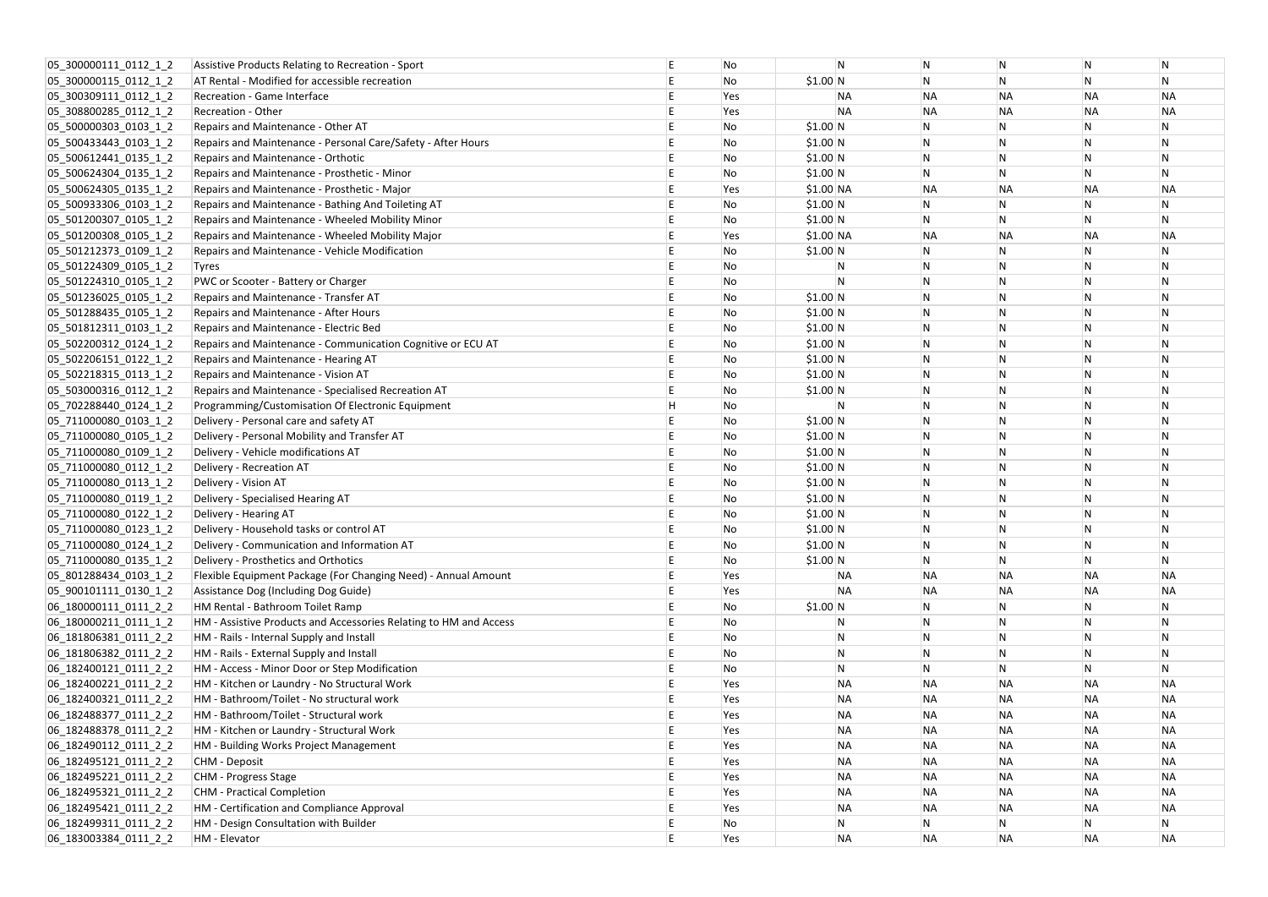| 05_300000111_0112_1_2    | Assistive Products Relating to Recreation - Sport                 | No  | N            | N         | N            | N                       | N         |
|--------------------------|-------------------------------------------------------------------|-----|--------------|-----------|--------------|-------------------------|-----------|
| 05 300000115 0112 1 2    | AT Rental - Modified for accessible recreation                    | No  | $$1.00$ N    | N         | N            | $\overline{N}$          | N         |
| 05 300309111 0112 1 2    | Recreation - Game Interface                                       | Yes | <b>NA</b>    | <b>NA</b> | <b>NA</b>    | <b>NA</b>               | <b>NA</b> |
| 05_308800285_0112_1_2    | <b>Recreation - Other</b>                                         | Yes | <b>NA</b>    | <b>NA</b> | <b>NA</b>    | <b>NA</b>               | <b>NA</b> |
| $ 05_500000303_0103_12 $ | Repairs and Maintenance - Other AT                                | No  | \$1.00 N     | N         | N            | $\mathsf{N}$            | N         |
| 05_500433443_0103_1_2    | Repairs and Maintenance - Personal Care/Safety - After Hours      | No  | \$1.00 N     | N         | N            | $\mathsf{N}$            | N         |
| 05 500612441 0135 1 2    | Repairs and Maintenance - Orthotic                                | No  | \$1.00 N     |           | N            | ${\sf N}$               | N         |
| 05_500624304_0135_1_2    | Repairs and Maintenance - Prosthetic - Minor                      | No  | \$1.00 N     | N         | $\mathsf{N}$ | N                       | N         |
| 05_500624305_0135_1_2    | Repairs and Maintenance - Prosthetic - Major                      | Yes | $$1.00$ NA   | <b>NA</b> | <b>NA</b>    | <b>NA</b>               | <b>NA</b> |
| 05 500933306 0103 1 2    | Repairs and Maintenance - Bathing And Toileting AT                | No  | \$1.00 N     |           | N            | N                       |           |
| 05 501200307 0105 1 2    | Repairs and Maintenance - Wheeled Mobility Minor                  | No  | \$1.00 N     | N         | N            | $\mathsf{N}$            | N         |
| 05_501200308_0105_1_2    | Repairs and Maintenance - Wheeled Mobility Major                  | Yes | $$1.00$ NA   | <b>NA</b> | <b>NA</b>    | <b>NA</b>               | <b>NA</b> |
| 05_501212373_0109_1_2    | Repairs and Maintenance - Vehicle Modification                    | No  | $$1.00$ N    | N         | N            | N                       | N         |
| 05 501224309 0105 1 2    | Tyres                                                             | No  | ${\sf N}$    |           | N            | $\overline{N}$          |           |
| 05 501224310 0105 1 2    | PWC or Scooter - Battery or Charger                               | No  | N.           |           | N            | N                       |           |
| 05_501236025_0105_1_2    | Repairs and Maintenance - Transfer AT                             | No  | \$1.00 N     |           | N            | $\mathsf{N}$            |           |
| 05 501288435 0105 1 2    | Repairs and Maintenance - After Hours                             | No  | \$1.00 N     | N         | $\mathsf N$  | $\mathsf{N}$            |           |
| 05 501812311 0103 1 2    | Repairs and Maintenance - Electric Bed                            | No  | \$1.00 N     | N         | N            | $\mathsf{N}$            |           |
| 05 502200312 0124 1 2    | Repairs and Maintenance - Communication Cognitive or ECU AT       | No  | \$1.00 N     |           | N            | $\overline{N}$          |           |
| 05 502206151 0122 1 2    | Repairs and Maintenance - Hearing AT                              | No  | \$1.00 N     | N         | N            | $\mathsf{N}$            |           |
| 05 502218315 0113 1 2    | Repairs and Maintenance - Vision AT                               | No  | $$1.00$ N    |           | N            | $\overline{N}$          |           |
| 05_503000316_0112_1_2    | Repairs and Maintenance - Specialised Recreation AT               | No  | $$1.00$ N    | N         | N            | $\overline{N}$          |           |
| 05_702288440_0124_1_2    | Programming/Customisation Of Electronic Equipment                 | No  | N.           | N         | N            | $\mathsf{N}$            | N         |
| 05 711000080 0103 1 2    | Delivery - Personal care and safety AT                            | No  | \$1.00 N     |           | N            | $\mathsf{N}$            |           |
| 05 711000080 0105 1 2    | Delivery - Personal Mobility and Transfer AT                      | No  | \$1.00 N     | N         | N            | $\mathsf{N}$            | N         |
| 05 711000080 0109 1 2    | Delivery - Vehicle modifications AT                               | No  | \$1.00 N     |           | $\mathsf{N}$ | $\overline{N}$          |           |
| 05_711000080_0112_1_2    | Delivery - Recreation AT                                          | No  | \$1.00 N     | N         | N            | $\mathsf{N}$            |           |
| 05 711000080 0113 1 2    | Delivery - Vision AT                                              | No  | \$1.00 N     | N         | N            | $\mathsf{N}$            |           |
| 05 711000080 0119 1 2    | Delivery - Specialised Hearing AT                                 | No  | \$1.00 N     |           | N            | N                       |           |
| 05 711000080 0122 1 2    | Delivery - Hearing AT                                             | No  | \$1.00 N     |           | N            | N                       |           |
| 05 711000080 0123 1 2    | Delivery - Household tasks or control AT                          | No  | \$1.00 N     |           | N            | N                       |           |
| 05_711000080_0124_1_2    | Delivery - Communication and Information AT                       | No  | \$1.00 N     | N         | N            | $\mathsf{N}$            | N         |
| 05 711000080 0135 1 2    | Delivery - Prosthetics and Orthotics                              | No  | $$1.00$ N    | N         | ${\sf N}$    | ${\sf N}$               | N         |
| 05 801288434 0103 1 2    | Flexible Equipment Package (For Changing Need) - Annual Amount    | Yes | <b>NA</b>    | <b>NA</b> | <b>NA</b>    | <b>NA</b>               | <b>NA</b> |
| 05_900101111_0130_1_2    | Assistance Dog (Including Dog Guide)                              | Yes | <b>NA</b>    | <b>NA</b> | <b>NA</b>    | <b>NA</b>               | <b>NA</b> |
| 06_180000111_0111_2_2    | HM Rental - Bathroom Toilet Ramp                                  | No  | $$1.00$ N    |           | N            | $\mathsf N$             |           |
| 06 180000211 0111 1 2    | HM - Assistive Products and Accessories Relating to HM and Access | No  | N            | N         | N            | $\mathsf{N}$            | N         |
| 06 181806381 0111 2 2    | HM - Rails - Internal Supply and Install                          | No  | $\mathsf{N}$ | N         | $\mathsf{N}$ | ${\sf N}$               | N         |
| 06_181806382_0111_2_2    | HM - Rails - External Supply and Install                          | No  | N            | N         | $\mathsf{N}$ | $\mathsf{N}$            | N         |
| 06 182400121 0111 2 2    | HM - Access - Minor Door or Step Modification                     | No  | $\mathsf{N}$ | N         | N            | $\overline{\mathsf{N}}$ | N         |
| 06 182400221 0111 2 2    | HM - Kitchen or Laundry - No Structural Work                      | Yes | <b>NA</b>    | <b>NA</b> | <b>NA</b>    | <b>NA</b>               | <b>NA</b> |
| 06 182400321 0111 2 2    | HM - Bathroom/Toilet - No structural work                         | Yes | <b>NA</b>    | <b>NA</b> | <b>NA</b>    | <b>NA</b>               | <b>NA</b> |
| 06 182488377 0111 2 2    | HM - Bathroom/Toilet - Structural work                            | Yes | <b>NA</b>    | <b>NA</b> | <b>NA</b>    | <b>NA</b>               | <b>NA</b> |
| 06_182488378_0111_2_2    | HM - Kitchen or Laundry - Structural Work                         | Yes | <b>NA</b>    | <b>NA</b> | <b>NA</b>    | <b>NA</b>               | <b>NA</b> |
| 06 182490112 0111 2 2    | HM - Building Works Project Management                            | Yes | <b>NA</b>    | <b>NA</b> | <b>NA</b>    | <b>NA</b>               | <b>NA</b> |
| 06 182495121 0111 2 2    | CHM - Deposit                                                     | Yes | <b>NA</b>    | <b>NA</b> | <b>NA</b>    | <b>NA</b>               | <b>NA</b> |
| 06 182495221 0111 2 2    | CHM - Progress Stage                                              | Yes | <b>NA</b>    | <b>NA</b> | <b>NA</b>    | <b>NA</b>               | <b>NA</b> |
| 06 182495321 0111 2 2    | <b>CHM</b> - Practical Completion                                 | Yes | <b>NA</b>    | <b>NA</b> | <b>NA</b>    | <b>NA</b>               | <b>NA</b> |
| 06 182495421 0111 2 2    | HM - Certification and Compliance Approval                        | Yes | <b>NA</b>    | <b>NA</b> | <b>NA</b>    | <b>NA</b>               | <b>NA</b> |
| 06 182499311 0111 2 2    | HM - Design Consultation with Builder                             | No  | N            | N         | N            | N                       | N         |
| 06_183003384_0111_2_2    | HM - Elevator                                                     | Yes | <b>NA</b>    | <b>NA</b> | <b>NA</b>    | <b>NA</b>               | <b>NA</b> |
|                          |                                                                   |     |              |           |              |                         |           |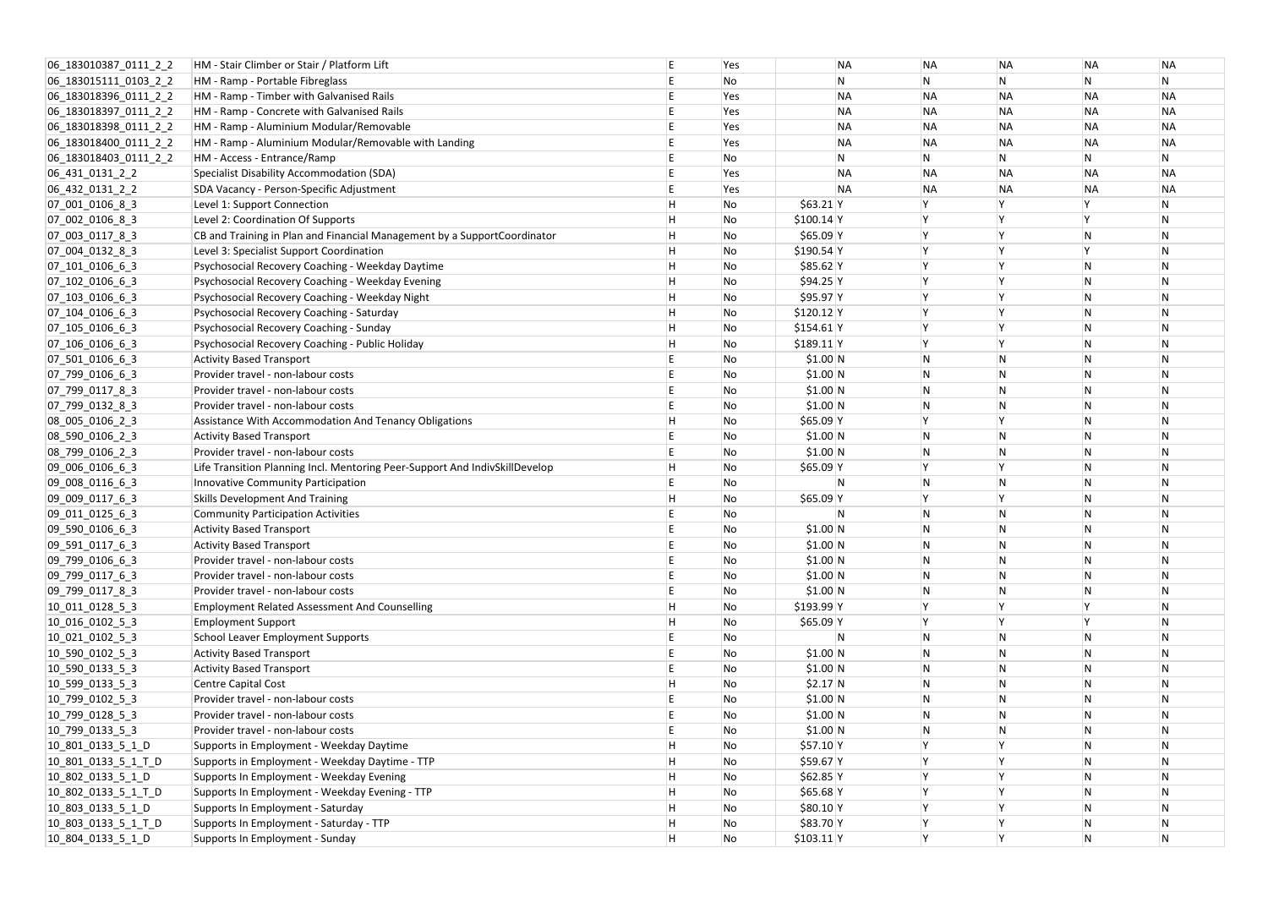| 06_183010387_0111_2_2     | HM - Stair Climber or Stair / Platform Lift                                 |     | Yes | <b>NA</b>    | <b>NA</b>    | <b>NA</b>               | <b>NA</b>    | ΝA        |
|---------------------------|-----------------------------------------------------------------------------|-----|-----|--------------|--------------|-------------------------|--------------|-----------|
| 06 183015111 0103 2 2     | HM - Ramp - Portable Fibreglass                                             |     | No  | N            | N            | N                       | ${\sf N}$    | N         |
| 06 183018396 0111 2 2     | HM - Ramp - Timber with Galvanised Rails                                    |     | Yes | <b>NA</b>    | <b>NA</b>    | <b>NA</b>               | <b>NA</b>    | <b>NA</b> |
| 06_183018397_0111_2_2     | HM - Ramp - Concrete with Galvanised Rails                                  |     | Yes | <b>NA</b>    | <b>NA</b>    | <b>NA</b>               | <b>NA</b>    | <b>NA</b> |
| 06_183018398_0111_2_2     | HM - Ramp - Aluminium Modular/Removable                                     |     | Yes | <b>NA</b>    | <b>NA</b>    | <b>NA</b>               | <b>NA</b>    | <b>NA</b> |
| 06_183018400_0111_2_2     | HM - Ramp - Aluminium Modular/Removable with Landing                        |     | Yes | <b>NA</b>    | <b>NA</b>    | <b>NA</b>               | <b>NA</b>    | <b>NA</b> |
| 06 183018403 0111 2 2     | HM - Access - Entrance/Ramp                                                 |     | No  | $\mathsf{N}$ | N            | $\mathsf{N}$            | $\mathsf{N}$ | N         |
| 06_431_0131_2_2           | Specialist Disability Accommodation (SDA)                                   |     | Yes | <b>NA</b>    | <b>NA</b>    | <b>NA</b>               | <b>NA</b>    | <b>NA</b> |
| 06_432_0131_2_2           | SDA Vacancy - Person-Specific Adjustment                                    |     | Yes | <b>NA</b>    | <b>NA</b>    | <b>NA</b>               | <b>NA</b>    | <b>NA</b> |
| 07_001_0106_8_3           | Level 1: Support Connection                                                 | Н   | No  | $$63.21$ Y   |              | <b>Y</b>                |              |           |
| 07 002 0106 8 3           | Level 2: Coordination Of Supports                                           |     | No  | $$100.14$ Y  |              | l Y                     |              | N         |
| 07_003_0117_8_3           | CB and Training in Plan and Financial Management by a SupportCoordinator    |     | No  | $$65.09$ Y   |              | İΥ                      | ${\sf N}$    | N         |
| 07_004_0132_8_3           | Level 3: Specialist Support Coordination                                    | H   | No  | $$190.54$ Y  |              | ١Y                      | $\mathsf{v}$ | N         |
| 07_101_0106_6_3           | Psychosocial Recovery Coaching - Weekday Daytime                            | H   | No  | $$85.62$ Y   |              | ١Y                      | ${\sf N}$    | N         |
| $[07_102_0106_6]$         | Psychosocial Recovery Coaching - Weekday Evening                            | Η   | No  | $$94.25$ Y   |              | ١Y                      | ${\sf N}$    | N         |
| $[07]$ 103 $[0106]$ 6 $3$ | Psychosocial Recovery Coaching - Weekday Night                              |     | No  | \$95.97 Y    |              | ١Y                      | ${\sf N}$    | N         |
| $[07_104_0106_6]$         | Psychosocial Recovery Coaching - Saturday                                   | H   | No  | $$120.12$ Y  |              | l Y                     | ${\sf N}$    |           |
| 07 105 0106 6 3           | Psychosocial Recovery Coaching - Sunday                                     |     | No  | $$154.61$ Y  |              | ١Y                      | ${\sf N}$    | N         |
| 07_106_0106_6_3           | Psychosocial Recovery Coaching - Public Holiday                             | H   | No  | $$189.11$ Y  |              | İΥ                      | ${\sf N}$    | N         |
| $[07]$ 501 0106 6 3       | <b>Activity Based Transport</b>                                             |     | No  | \$1.00 N     |              | $\overline{N}$          | ${\sf N}$    | N         |
| 07 799 0106 6 3           | Provider travel - non-labour costs                                          |     | No  | \$1.00 N     | N            | N                       | ${\sf N}$    | N         |
| 07 799 0117 8 3           | Provider travel - non-labour costs                                          |     | No  | \$1.00 N     | N            | N                       | ${\sf N}$    | N         |
| 07_799_0132_8_3           | Provider travel - non-labour costs                                          |     | No  | \$1.00 N     | <b>N</b>     | $\overline{\mathsf{N}}$ | N            | N         |
| 08_005_0106_2_3           | Assistance With Accommodation And Tenancy Obligations                       |     | No  | $$65.09$ Y   |              | ١Y                      | ${\sf N}$    |           |
| 08_590_0106_2_3           | <b>Activity Based Transport</b>                                             |     | No  | \$1.00 N     | N            | N                       | ${\sf N}$    | N         |
| 08_799_0106_2_3           | Provider travel - non-labour costs                                          |     | No  | \$1.00 N     |              | N                       | ${\sf N}$    |           |
| 09_006_0106_6_3           | Life Transition Planning Incl. Mentoring Peer-Support And IndivSkillDevelop |     | No  | $$65.09$ Y   |              | ١Y                      | ${\sf N}$    | N         |
| 09_008_0116_6_3           | Innovative Community Participation                                          |     | No  | N            | N            | $\overline{\mathsf{N}}$ | ${\sf N}$    | N         |
| 09_009_0117_6_3           | <b>Skills Development And Training</b>                                      |     | No  | $$65.09$ Y   |              | l Y                     | ${\sf N}$    |           |
| 09 011 0125 6 3           | <b>Community Participation Activities</b>                                   |     | No  | N            |              | $\overline{\mathsf{N}}$ | ${\sf N}$    | N         |
| 09 590 0106 6 3           | <b>Activity Based Transport</b>                                             |     | No  | \$1.00 N     |              | N                       | N            |           |
| 09_591_0117_6_3           | <b>Activity Based Transport</b>                                             |     | No  | \$1.00 N     | N            | N                       | ${\sf N}$    | N         |
| 09 799 0106 6 3           | Provider travel - non-labour costs                                          |     | No  | $$1.00$ N    | N            | $\mathsf{N}$            | ${\sf N}$    | N         |
| 09 799 0117 6 3           | Provider travel - non-labour costs                                          |     | No  | \$1.00 N     |              | $\overline{N}$          | ${\sf N}$    | N         |
| 09_799_0117_8_3           | Provider travel - non-labour costs                                          |     | No  | \$1.00 N     | N            | $\overline{N}$          | ${\sf N}$    | N         |
| $10$ 011 0128 5 3         | <b>Employment Related Assessment And Counselling</b>                        | H   | No  | $$193.99$ Y  |              | ١Y                      |              | N         |
| 10_016_0102_5_3           | <b>Employment Support</b>                                                   |     | No  | $$65.09$ Y   |              | İΥ.                     | $\mathsf{v}$ | N         |
| 10 021 0102 5 3           | <b>School Leaver Employment Supports</b>                                    |     | No  | N            |              | $\overline{N}$          | ${\sf N}$    |           |
| 10_590_0102_5_3           | <b>Activity Based Transport</b>                                             |     | No  | \$1.00 N     |              | $\overline{N}$          | $\mathsf{N}$ | N         |
| 10_590_0133_5_3           | <b>Activity Based Transport</b>                                             |     | No  | \$1.00 N     |              | $\mathsf{N}$            | ${\sf N}$    | N         |
| $10$ _599_0133_5_3        | Centre Capital Cost                                                         |     | No  | $$2.17$ N    |              | $\overline{N}$          | ${\sf N}$    | N         |
| 10 799 0102 5 3           | Provider travel - non-labour costs                                          |     | No  | \$1.00 N     | <sup>N</sup> | $\overline{N}$          | ${\sf N}$    | N         |
| $10$ 799 0128 5 3         | Provider travel - non-labour costs                                          |     | No  | $$1.00$ N    |              | $\overline{N}$          | ${\sf N}$    |           |
| 10_799_0133_5_3           | Provider travel - non-labour costs                                          |     | No  | $$1.00$ N    | N            | $\overline{N}$          | ${\sf N}$    | N         |
| 10 801 0133 5 1 D         | Supports in Employment - Weekday Daytime                                    |     | No  | \$57.10 Y    |              | İΥ                      | ${\sf N}$    | N         |
| 10 801 0133 5 1 T D       | Supports in Employment - Weekday Daytime - TTP                              | lН. | No  | \$59.67 Y    |              | ١Y                      | N            | N         |
| 10_802_0133_5_1_D         | Supports In Employment - Weekday Evening                                    | H   | No  | $$62.85$ Y   |              | ΙY.                     | ${\sf N}$    | N         |
| 10_802_0133_5_1_T_D       | Supports In Employment - Weekday Evening - TTP                              | H   | No  | $$65.68$ Y   |              | ١Y                      | ${\sf N}$    | N         |
| 10_803_0133_5_1_D         | Supports In Employment - Saturday                                           |     | No  | $$80.10$ Y   |              | İΥ.                     | ${\sf N}$    | N         |
| 10_803_0133_5_1_T_D       | Supports In Employment - Saturday - TTP                                     | H   | No  | \$83.70 Y    |              | İΥ                      | ${\sf N}$    | N         |
| 10 804 0133 5 1 D         | Supports In Employment - Sunday                                             | H   | No  | $$103.11$ Y  | ΙY.          | <b>Y</b>                | $\mathsf{N}$ | N         |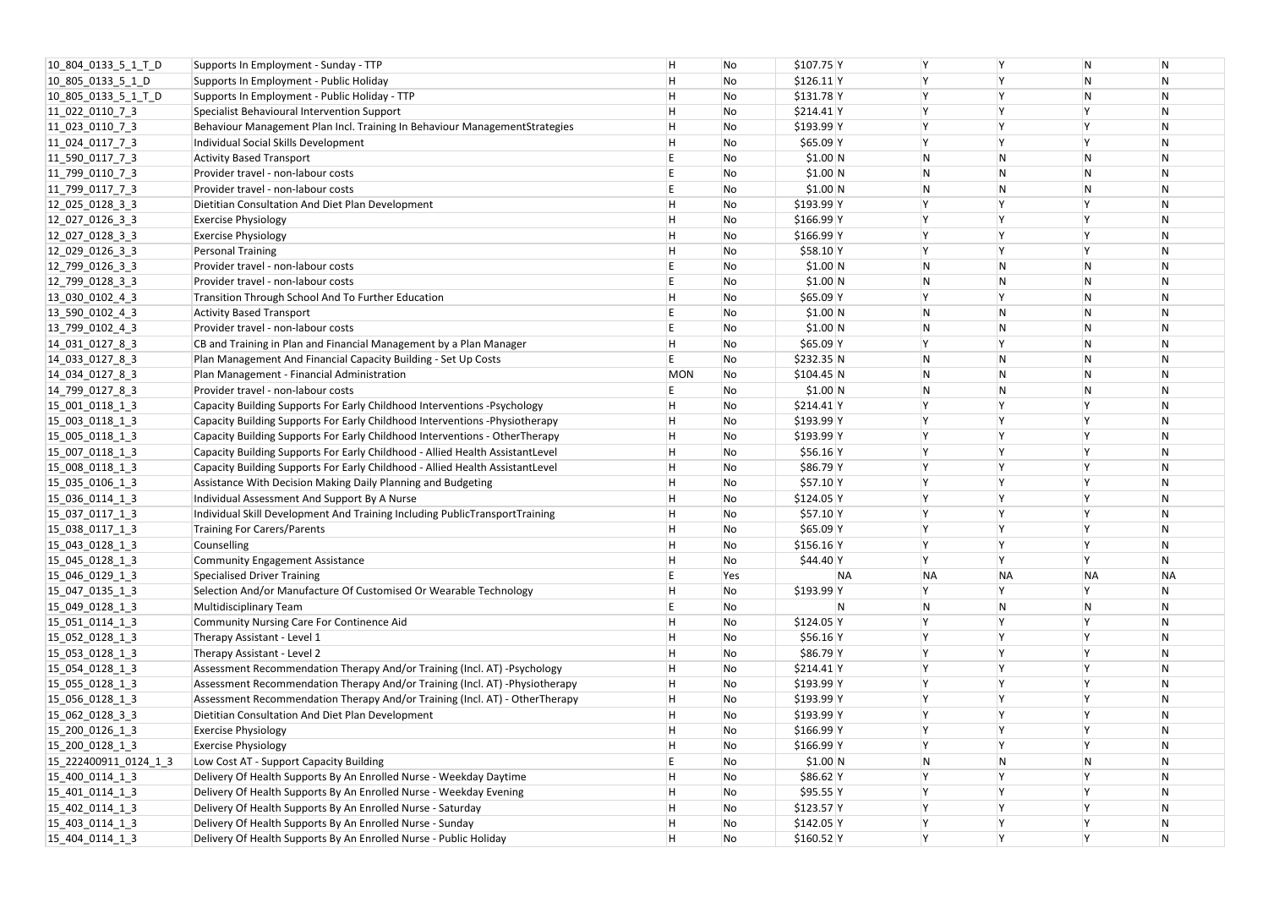| 10_804_0133_5_1_T_D   | Supports In Employment - Sunday - TTP                                         | н          | No  | $$107.75$ Y |                |              | N         | N              |
|-----------------------|-------------------------------------------------------------------------------|------------|-----|-------------|----------------|--------------|-----------|----------------|
| 10_805_0133_5_1_D     | Supports In Employment - Public Holiday                                       |            | No  | $$126.11$ Y |                |              | N         | N              |
| 10 805 0133 5 1 T D   | Supports In Employment - Public Holiday - TTP                                 | Н          | No  | $$131.78$ Y |                |              | N         | N              |
| 11_022_0110_7_3       | Specialist Behavioural Intervention Support                                   | н          | No  | $$214.41$ Y |                |              |           | $\mathsf{N}$   |
| $11_023_0110_73$      | Behaviour Management Plan Incl. Training In Behaviour ManagementStrategies    | Н          | No  | \$193.99 Y  |                |              |           | $\mathsf{N}$   |
| $11_024_0117_73$      | Individual Social Skills Development                                          |            | No  | \$65.09 Y   |                |              |           | $\mathsf{N}$   |
| $11$ _590 0117_7_3    | <b>Activity Based Transport</b>                                               |            | No  | \$1.00 N    | N              | N            | N         | $\mathsf{N}$   |
| $11$ 799 0110 7 3     | Provider travel - non-labour costs                                            |            | No  | \$1.00 N    | N              | N            | N         | N              |
| $11_799_0117_73$      | Provider travel - non-labour costs                                            |            | No  | \$1.00 N    | N              | N            | N         | N              |
| $12$ 025 0128 3 3     | Dietitian Consultation And Diet Plan Development                              | Н          | No  | \$193.99 Y  |                |              |           | $\overline{N}$ |
| $12$ 027 0126 3 3     | <b>Exercise Physiology</b>                                                    | н          | No  | $$166.99$ Y |                |              |           | $\mathsf{N}$   |
| $12$ 027 0128 3 3     | <b>Exercise Physiology</b>                                                    |            | No  | \$166.99 Y  |                |              |           | $\mathsf{N}$   |
| $12$ 029 0126 3 3     | <b>Personal Training</b>                                                      |            | No  | \$58.10 Y   |                |              |           | N              |
| 12 799 0126 3 3       | Provider travel - non-labour costs                                            |            | No  | \$1.00 N    | N              | N            | N         | N              |
| $12$ _799_0128_3_3    | Provider travel - non-labour costs                                            |            | No  | \$1.00 N    | $\overline{N}$ | N            | N         | N              |
| $13$ 030 0102 4 3     | Transition Through School And To Further Education                            | н          | No  | \$65.09 Y   |                |              | N         | $\mathsf{N}$   |
| 13 590 0102 4 3       | <b>Activity Based Transport</b>                                               |            | No  | \$1.00 N    | $\mathsf{N}$   | N            | N         | $\mathsf{N}$   |
| 13 799 0102 4 3       | Provider travel - non-labour costs                                            |            | No  | \$1.00 N    | N              | N            | N         | $\mathsf{N}$   |
| 14 031 0127 8 3       | CB and Training in Plan and Financial Management by a Plan Manager            |            | No  | \$65.09 Y   | Y              | <b>Y</b>     | N         | $\mathsf{N}$   |
| $14$ 033 0127 8 3     | Plan Management And Financial Capacity Building - Set Up Costs                |            | No  | \$232.35 N  | N              | N            | N         | N              |
| $14_034_0127_83$      | Plan Management - Financial Administration                                    | <b>MON</b> | No  | $$104.45$ N | IN.            |              | N         | N              |
| 14 799 0127 8 3       | Provider travel - non-labour costs                                            |            | No  | \$1.00 N    | $\overline{N}$ | N            | N         | N              |
| 15_001_0118_1_3       | Capacity Building Supports For Early Childhood Interventions - Psychology     | н          | No  | $$214.41$ Y |                |              |           | $\mathsf{N}$   |
| $15_003_0118_13$      | Capacity Building Supports For Early Childhood Interventions -Physiotherapy   | Н          | No  | \$193.99 Y  |                |              |           | $\mathsf{N}$   |
| 15_005_0118_1_3       | Capacity Building Supports For Early Childhood Interventions - OtherTherapy   | Н          | No  | \$193.99 Y  |                |              |           | $\mathsf{N}$   |
| 15 007 0118 1 3       | Capacity Building Supports For Early Childhood - Allied Health AssistantLevel |            | No  | $$56.16$ Y  |                |              |           | $\mathsf{N}$   |
| $15_008_0118_13$      | Capacity Building Supports For Early Childhood - Allied Health AssistantLevel | н          | No  | \$86.79 Y   |                |              |           | $\mathsf{N}$   |
| 15_035_0106_1_3       | Assistance With Decision Making Daily Planning and Budgeting                  |            | No  | $$57.10$ Y  | <b>Y</b>       |              |           | N              |
| $15$ 036 0114 1 3     | Individual Assessment And Support By A Nurse                                  | н          | No  | $$124.05$ Y |                |              |           | $\mathsf{N}$   |
| 15 037 0117 1 3       | Individual Skill Development And Training Including PublicTransportTraining   | н          | No  | \$57.10 Y   |                |              |           | $\mathsf{N}$   |
| 15 038 0117 1 3       | Training For Carers/Parents                                                   | H          | No  | $$65.09$ Y  | <b>V</b>       | <b>Y</b>     |           | $\overline{N}$ |
| 15 043 0128 1 3       | Counselling                                                                   | Н          | No  | $$156.16$ Y |                |              |           | N              |
| 15 045 0128 1 3       | <b>Community Engagement Assistance</b>                                        |            | No  | \$44.40 Y   |                |              |           | N              |
| $15$ 046 0129 1 3     | Specialised Driver Training                                                   |            | Yes | <b>NA</b>   | <b>NA</b>      | <b>NA</b>    | <b>NA</b> | NΑ             |
| 15_047_0135_1_3       | Selection And/or Manufacture Of Customised Or Wearable Technology             | н          | No  | \$193.99 Y  | Y              |              |           | N              |
| 15 049 0128 1 3       | <b>Multidisciplinary Team</b>                                                 |            | No  | 'N          | $\mathsf{N}$   | $\mathsf{N}$ | N         | $\mathsf{N}$   |
| 15 051 0114 1 3       | Community Nursing Care For Continence Aid                                     | н          | No  | $$124.05$ Y |                |              |           | $\mathsf{N}$   |
| 15 052 0128 1 3       | Therapy Assistant - Level 1                                                   |            | No  | $$56.16$ Y  |                |              |           | $\mathsf{N}$   |
| $15$ 053 0128 1 3     | Therapy Assistant - Level 2                                                   |            | No  | \$86.79 Y   |                |              |           | N              |
| $15_054_0128_13$      | Assessment Recommendation Therapy And/or Training (Incl. AT) -Psychology      |            | No  | $$214.41$ Y | Y              |              |           | N              |
| 15 055 0128 1 3       | Assessment Recommendation Therapy And/or Training (Incl. AT) - Physiotherapy  | н          | No  | \$193.99 Y  |                |              |           | N              |
| 15 056 0128 1 3       | Assessment Recommendation Therapy And/or Training (Incl. AT) - OtherTherapy   | Н          | No  | \$193.99 Y  |                |              |           | N              |
| 15_062_0128_3_3       | Dietitian Consultation And Diet Plan Development                              | Н          | No  | \$193.99 Y  |                |              |           | $\mathsf{N}$   |
| 15 200 0126 1 3       | <b>Exercise Physiology</b>                                                    | н          | No  | $$166.99$ Y |                |              |           | N              |
| 15 200 0128 1 3       | <b>Exercise Physiology</b>                                                    |            | No  | $$166.99$ Y | Y              |              |           | N              |
| 15 222400911 0124 1 3 | Low Cost AT - Support Capacity Building                                       |            | No  | \$1.00 N    | N              | N            | N         | N              |
| 15 400 0114 1 3       | Delivery Of Health Supports By An Enrolled Nurse - Weekday Daytime            |            | No  | \$86.62 Y   |                |              |           | N              |
| 15_401_0114_1_3       | Delivery Of Health Supports By An Enrolled Nurse - Weekday Evening            | Н          | No  | \$95.55 Y   |                |              |           | $\mathsf{N}$   |
| 15 402 0114 1 3       | Delivery Of Health Supports By An Enrolled Nurse - Saturday                   | н          | No  | $$123.57$ Y |                |              |           | $\mathsf{N}$   |
| $15_403_0114_13$      | Delivery Of Health Supports By An Enrolled Nurse - Sunday                     | Н          | No  | $$142.05$ Y | Y              |              |           | $\mathsf{N}$   |
| 15_404_0114_1_3       | Delivery Of Health Supports By An Enrolled Nurse - Public Holiday             | H          | No  | $$160.52$ Y | <b>V</b>       | <b>V</b>     |           | N.             |
|                       |                                                                               |            |     |             |                |              |           |                |

| Υ         | N         | N         |
|-----------|-----------|-----------|
| Y         | N         | N         |
| Υ         | N         | N         |
| Υ         | Y         | N         |
| Y         | Υ         | N         |
| Υ         | Υ         | N         |
| N         | N         | N         |
| N         | N         | N         |
| N         | N         | N         |
| Υ         | Υ         | N         |
| Υ         | Y         | N         |
| Υ         | Y         | N         |
| Υ         | Υ         | N         |
| N         | N         | N         |
| N         | N         | N         |
| Υ         | N         | N         |
| N         | N         | N         |
| N         | N         | N         |
| Υ         | N         | N         |
| N         | N         | N         |
| N         | N         | N         |
| N         | N         | N         |
| Υ         | Y         | N         |
| Y         | Y         | N         |
| Υ         | Y         | N         |
| Υ         | Υ         | N         |
| Υ         | Y         | N         |
| Υ         | Y         | N         |
| Y         | Y         | N         |
| Υ         | Y         | N         |
| Y         | Y         | N         |
| Υ         | Υ         | N         |
| Υ         | Υ         | N         |
| <b>NA</b> | <b>NA</b> | <b>NA</b> |
| Υ         | Υ         | N         |
| N         | N         | N         |
| Υ         | Υ         | N         |
| Υ         | Υ         | N         |
| Υ         | Υ         | N         |
| Υ         | Y         | N         |
| Υ         | Υ         | N         |
| Υ         | Y         | N         |
| Υ         | Y         | N         |
| Υ         | Υ         | N         |
| Υ         | Y         | N         |
| N         | N         | N         |
| Υ         | Υ         | N         |
| Υ         | Υ         | N         |
| Υ         | Y         | N         |
| Y         | Y         | N         |
| Υ         | Υ         | N         |
|           |           |           |